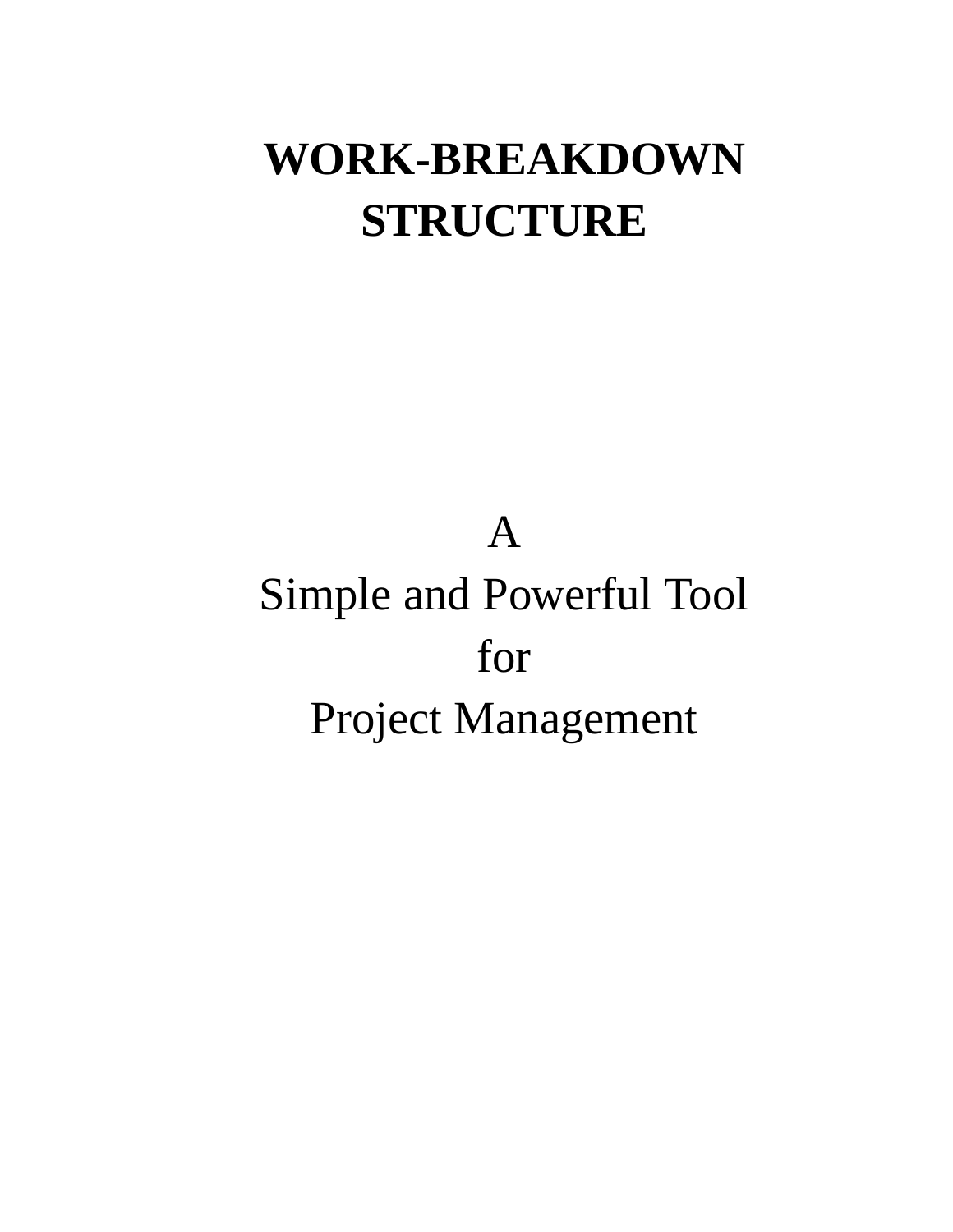# **WORK-BREAKDOWN STRUCTURE**

A

# Simple and Powerful Tool for Project Management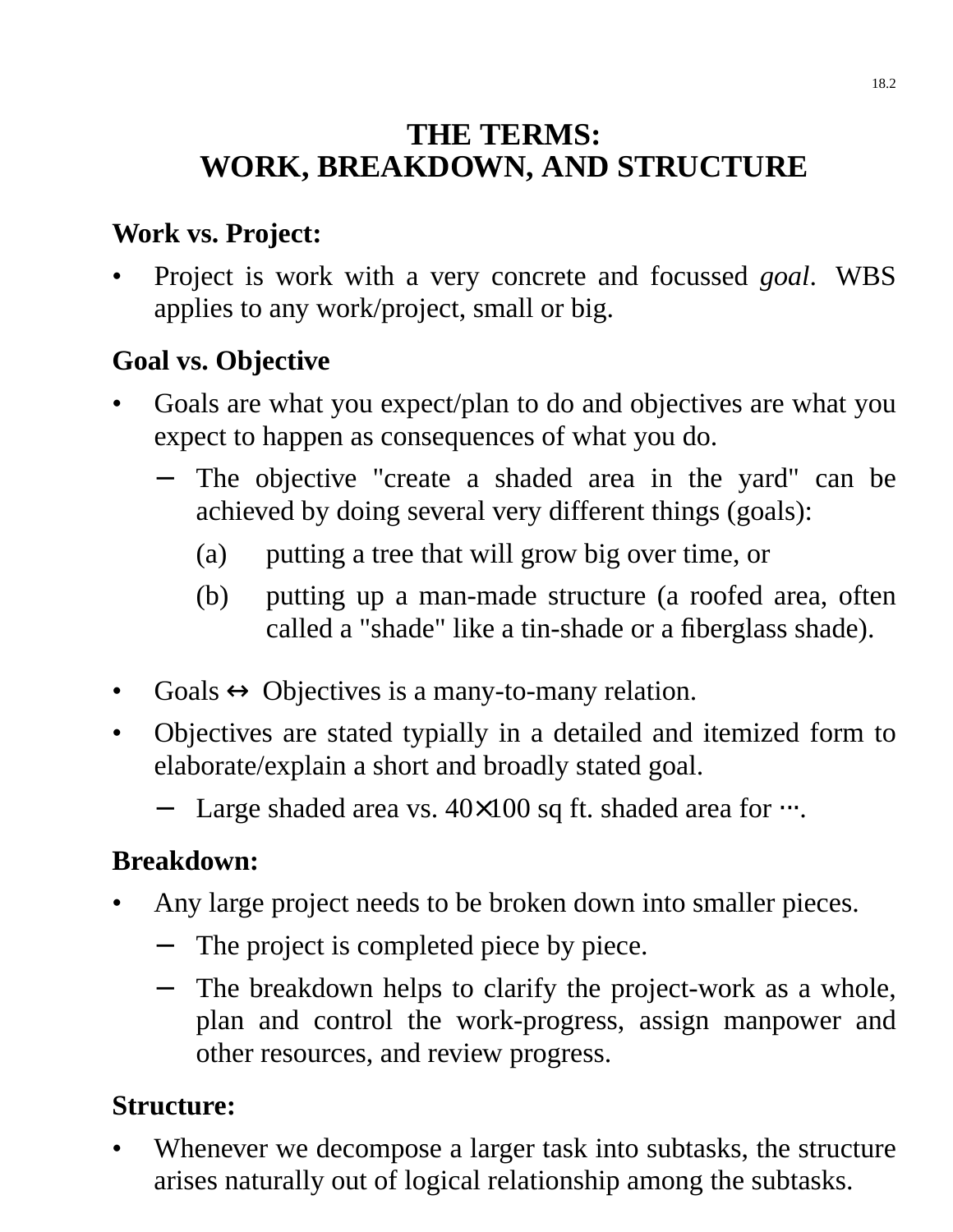### **THE TERMS: WORK, BREAKDOWN, AND STRUCTURE**

#### **Work vs. Project:**

• Project is work with a very concrete and focussed *goal*. WBS applies to any work/project, small or big.

### **Goal vs. Objective**

- Goals are what you expect/plan to do and objectives are what you expect to happen as consequences of what you do.
	- The objective "create a shaded area in the yard" can be achieved by doing several very different things (goals):
		- (a) putting a tree that will grow big over time, or
		- (b) putting up a man-made structure (a roofed area, often called a "shade" like a tin-shade or a fiberglass shade).
- Goals  $\leftrightarrow$  Objectives is a many-to-many relation.
- Objectives are stated typially in a detailed and itemized form to elaborate/explain a short and broadly stated goal.
	- Large shaded area vs.  $40\times100$  sq ft. shaded area for  $\cdots$ .

#### **Breakdown:**

- Any large project needs to be broken down into smaller pieces.
	- The project is completed piece by piece.
	- − The breakdown helps to clarify the project-work as a whole, plan and control the work-progress, assign manpower and other resources, and review progress.

#### **Structure:**

Whenever we decompose a larger task into subtasks, the structure arises naturally out of logical relationship among the subtasks.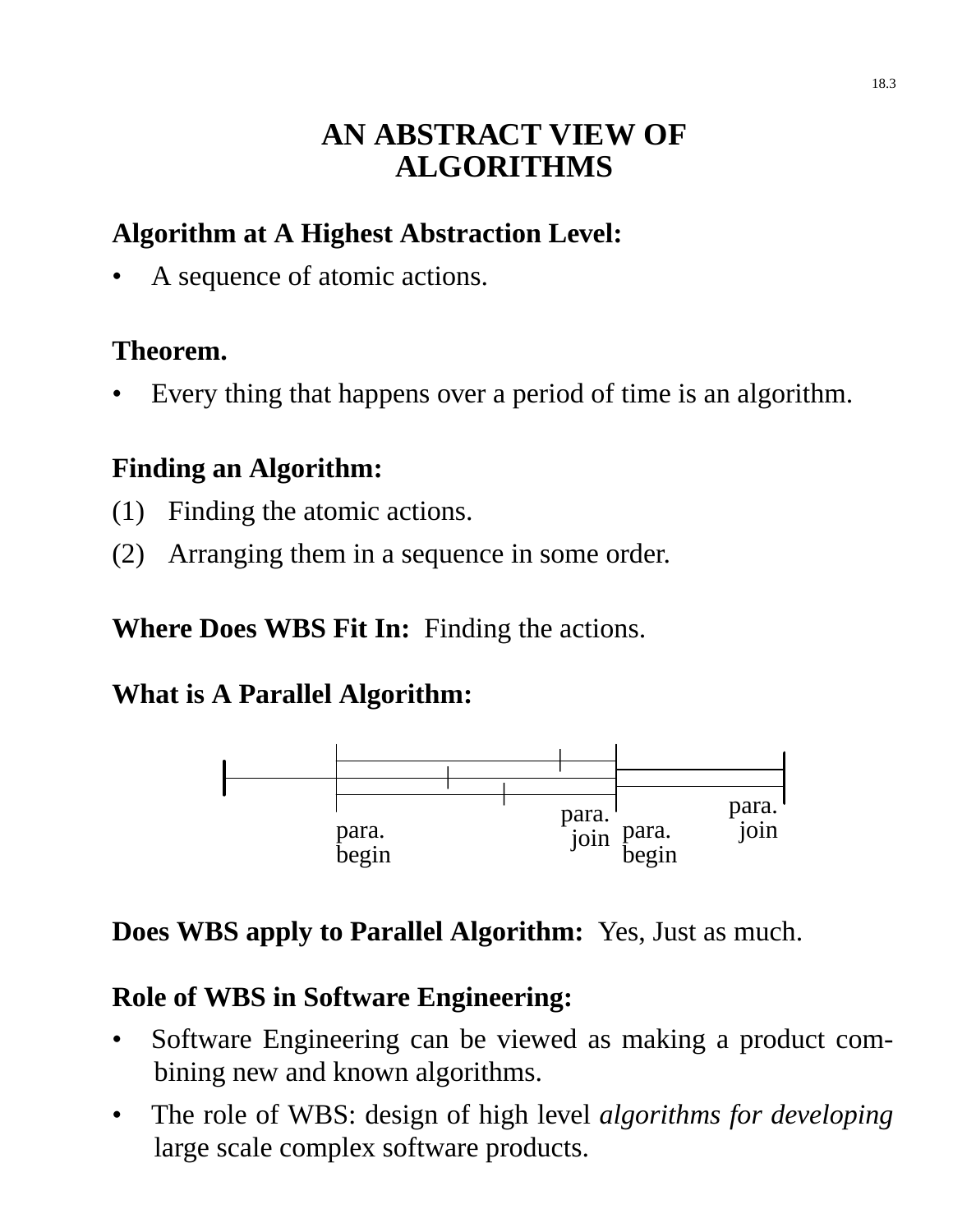### **AN ABSTRACT VIEW OF ALGORITHMS**

#### **Algorithm at A Highest Abstraction Level:**

A sequence of atomic actions.

#### **Theorem.**

Every thing that happens over a period of time is an algorithm.

#### **Finding an Algorithm:**

- (1) Finding the atomic actions.
- (2) Arranging them in a sequence in some order.

**Where Does WBS Fit In:** Finding the actions.

#### **What is A Parallel Algorithm:**



**Does WBS apply to Parallel Algorithm:** Yes, Just as much.

#### **Role of WBS in Software Engineering:**

- Software Engineering can be viewed as making a product combining new and known algorithms.
- The role of WBS: design of high level *algorithms for developing* large scale complex software products.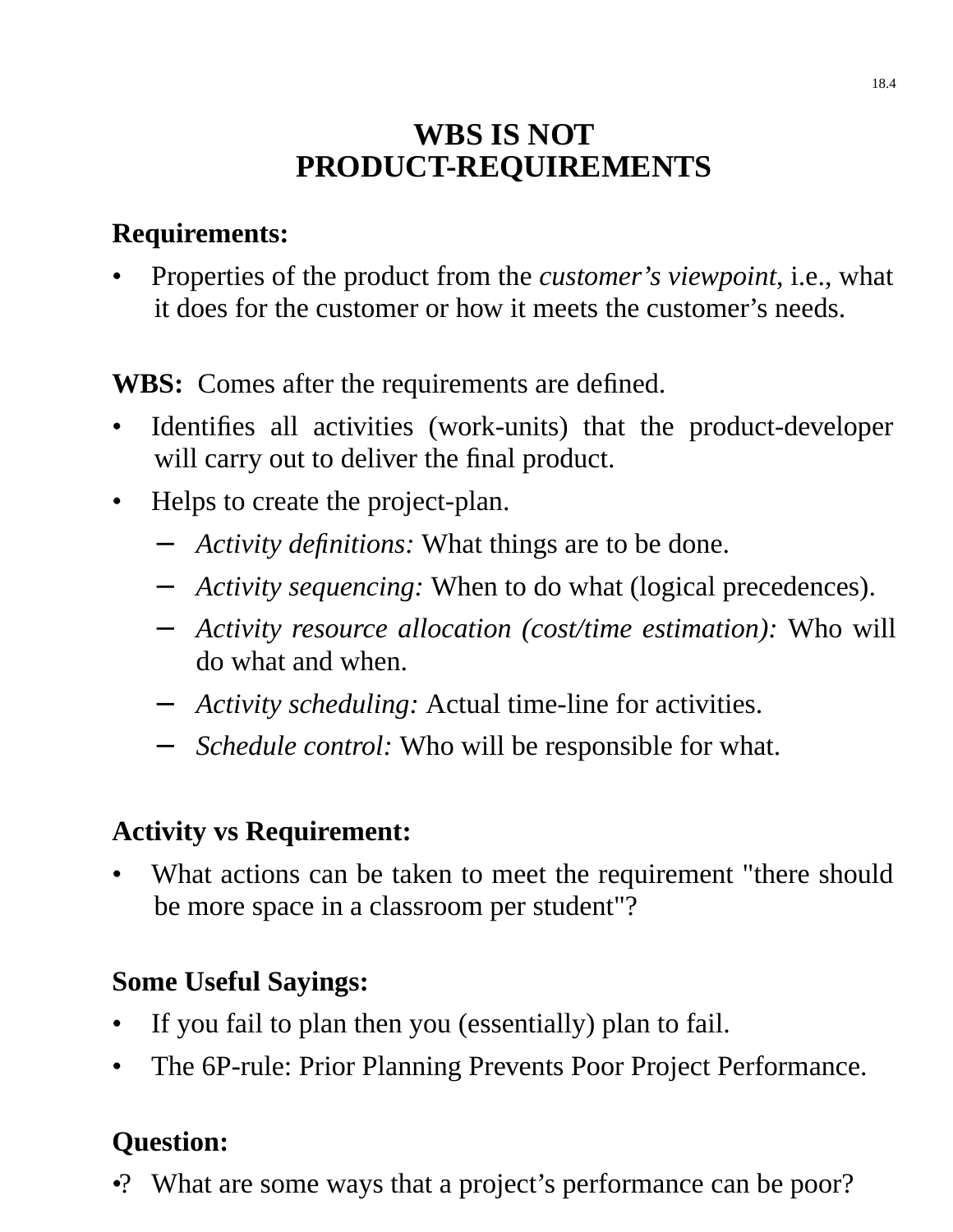### **WBS IS NOT PRODUCT-REQUIREMENTS**

#### **Requirements:**

• Properties of the product from the *customer's viewpoint*, i.e., what it does for the customer or how it meets the customer's needs.

**WBS:** Comes after the requirements are defined.

- Identifies all activities (work-units) that the product-developer will carry out to deliver the final product.
- Helps to create the project-plan.
	- − *Activity definitions:* What things are to be done.
	- − *Activity sequencing:* When to do what (logical precedences).
	- − *Activity resource allocation (cost/time estimation):* Who will do what and when.
	- − *Activity scheduling:* Actual time-line for activities.
	- − *Schedule control:* Who will be responsible for what.

#### **Activity vs Requirement:**

What actions can be taken to meet the requirement "there should be more space in a classroom per student"?

#### **Some Useful Sayings:**

- If you fail to plan then you (essentially) plan to fail.
- The 6P-rule: Prior Planning Prevents Poor Project Performance.

### **Question:**

•? What are some ways that a project's performance can be poor?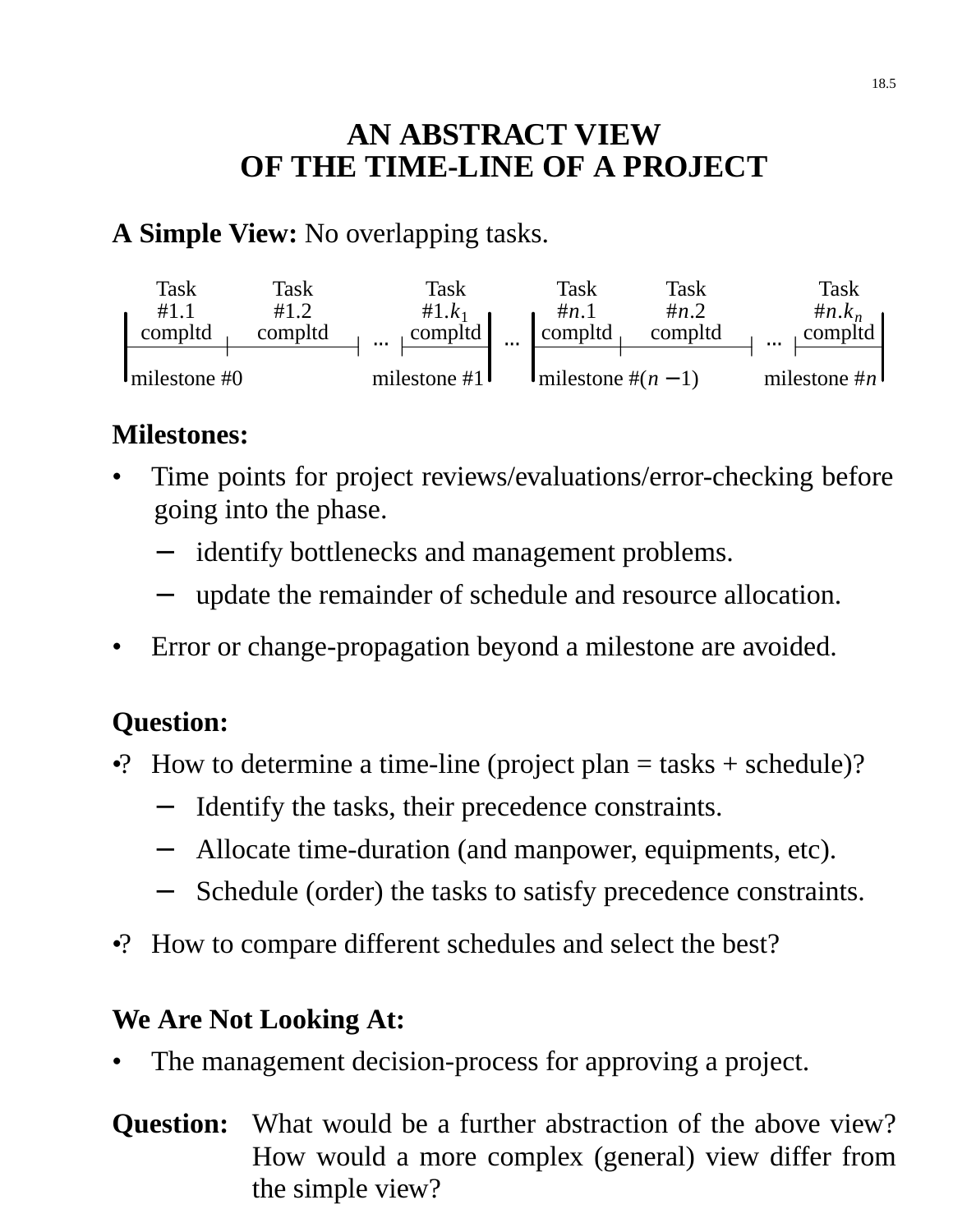### **AN ABSTRACT VIEW OF THE TIME-LINE OF A PROJECT**

### **A Simple View:** No overlapping tasks.



#### **Milestones:**

- Time points for project reviews/evaluations/error-checking before going into the phase.
	- identify bottlenecks and management problems.
	- update the remainder of schedule and resource allocation.
- Error or change-propagation beyond a milestone are avoided.

### **Question:**

- •? How to determine a time-line (project plan  $=$  tasks  $+$  schedule)?
	- Identify the tasks, their precedence constraints.
	- − Allocate time-duration (and manpower, equipments, etc).
	- − Schedule (order) the tasks to satisfy precedence constraints.
- •? How to compare different schedules and select the best?

#### **We Are Not Looking At:**

- The management decision-process for approving a project.
- **Question:** What would be a further abstraction of the above view? How would a more complex (general) view differ from the simple view?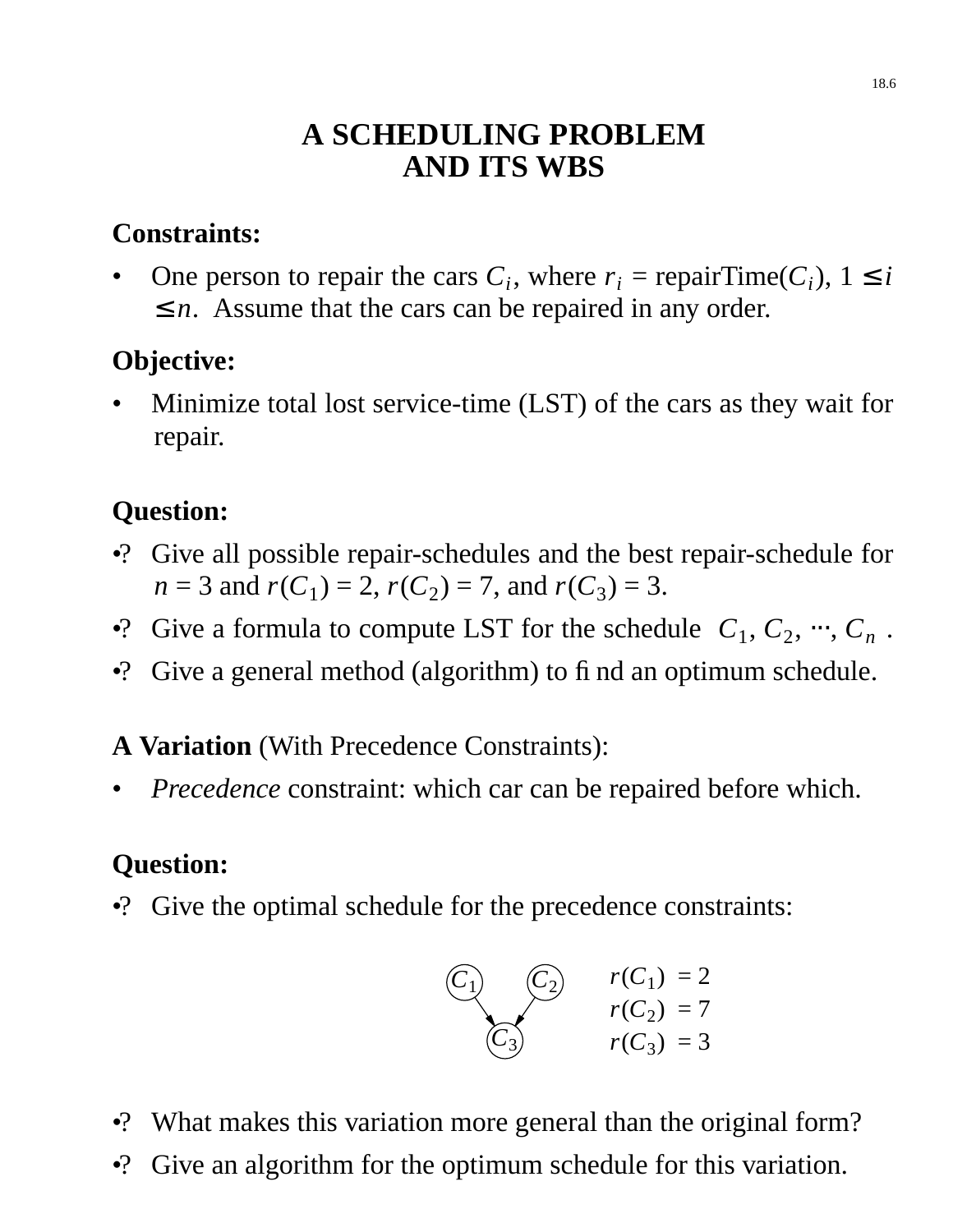### **A SCHEDULING PROBLEM AND ITS WBS**

### **Constraints:**

• One person to repair the cars  $C_i$ , where  $r_i$  = repairTime( $C_i$ ),  $1 \leq i$  $\leq n$ . Assume that the cars can be repaired in any order.

### **Objective:**

• Minimize total lost service-time (LST) of the cars as they wait for repair.

### **Question:**

- •? Give all possible repair-schedules and the best repair-schedule for  $n = 3$  and  $r(C_1) = 2$ ,  $r(C_2) = 7$ , and  $r(C_3) = 3$ .
- •? Give a formula to compute LST for the schedule  $\langle C_1, C_2, ..., C_n \rangle$ .
- •? Give a general method (algorithm) to find an optimum schedule.

**A Variation** (With Precedence Constraints):

• *Precedence* constraint: which car can be repaired before which.

### **Question:**

•? Give the optimal schedule for the precedence constraints:

$$
C_1\n\nC_2\n\nr(C_1) = 2\n\nr(C_2) = 7\n\nr(C_3) = 3
$$

- •? What makes this variation more general than the original form?
- •? Give an algorithm for the optimum schedule for this variation.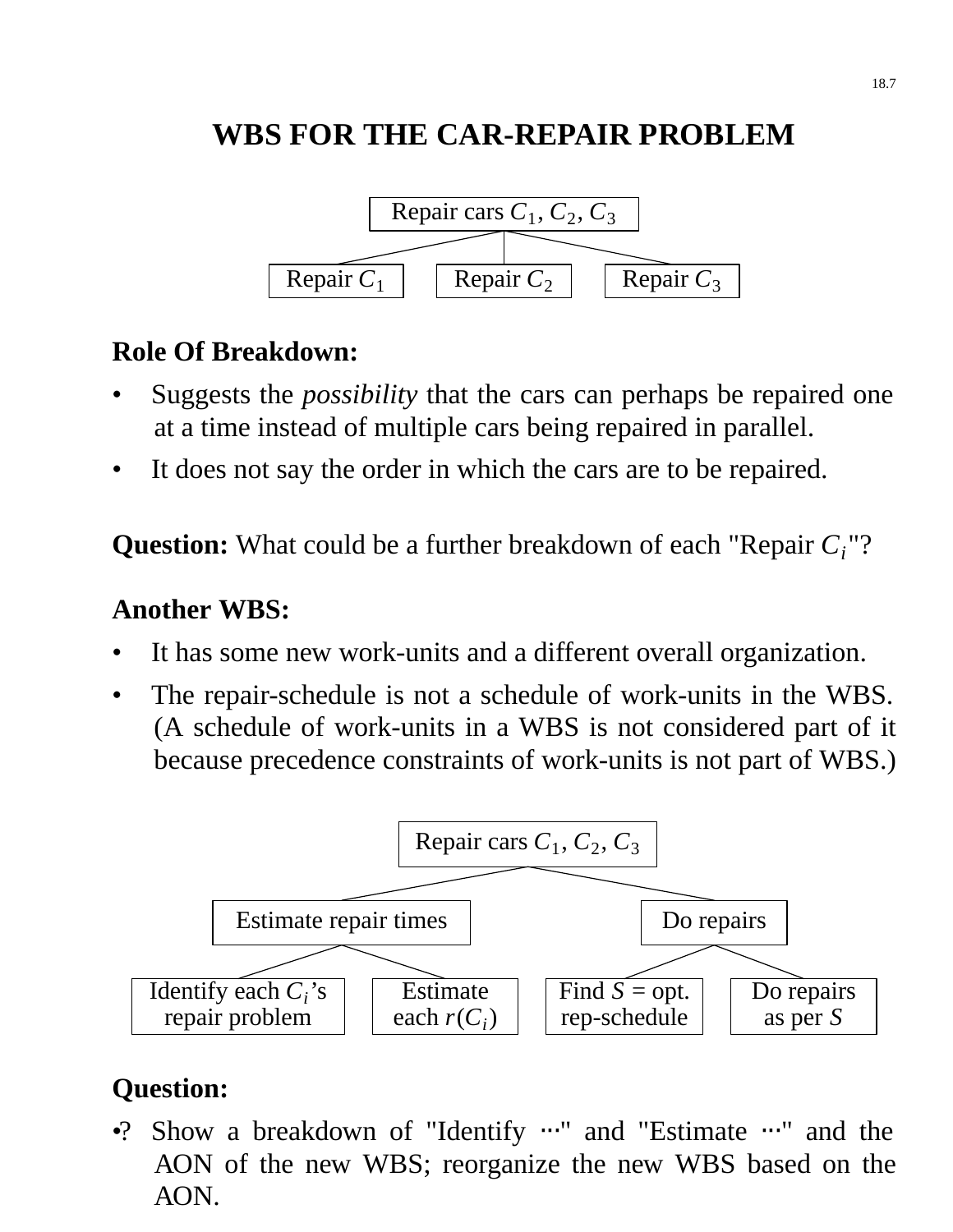# **WBS FOR THE CAR-REPAIR PROBLEM**



#### **Role Of Breakdown:**

- Suggests the *possibility* that the cars can perhaps be repaired one at a time instead of multiple cars being repaired in parallel.
- It does not say the order in which the cars are to be repaired.

**Question:** What could be a further breakdown of each "Repair *Ci*"?

#### **Another WBS:**

- It has some new work-units and a different overall organization.
- The repair-schedule is not a schedule of work-units in the WBS. (A schedule of work-units in a WBS is not considered part of it because precedence constraints of work-units is not part of WBS.)



#### **Question:**

•? Show a breakdown of "Identify  $\cdots$ " and "Estimate  $\cdots$ " and the AON of the new WBS; reorganize the new WBS based on the AON.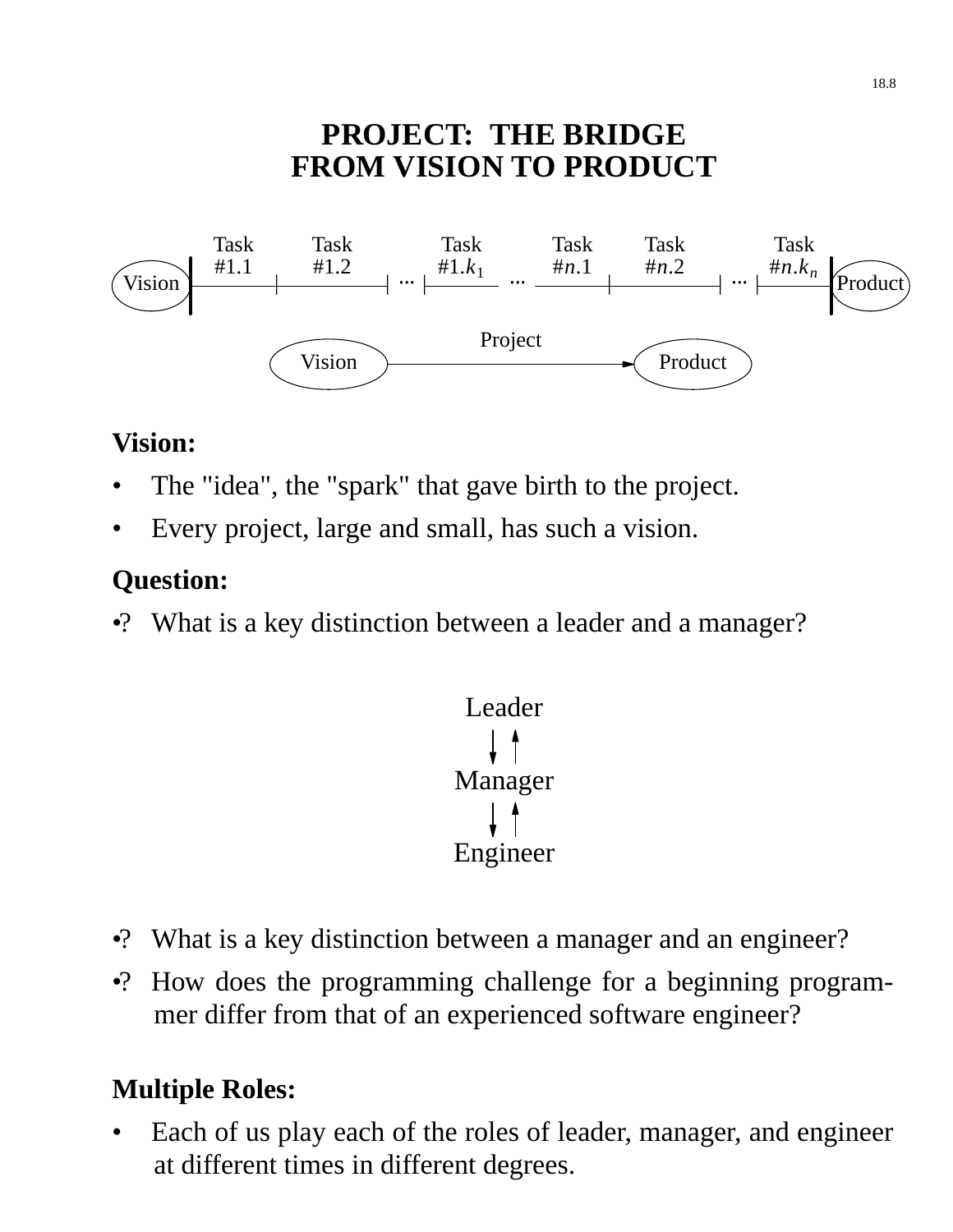### **PROJECT: THE BRIDGE FROM VISION TO PRODUCT**



#### **Vision:**

- The "idea", the "spark" that gave birth to the project.
- Every project, large and small, has such a vision.

### **Question:**

•? What is a key distinction between a leader and a manager?



- •? What is a key distinction between a manager and an engineer?
- •? How does the programming challenge for a beginning programmer differ from that of an experienced software engineer?

### **Multiple Roles:**

• Each of us play each of the roles of leader, manager, and engineer at different times in different degrees.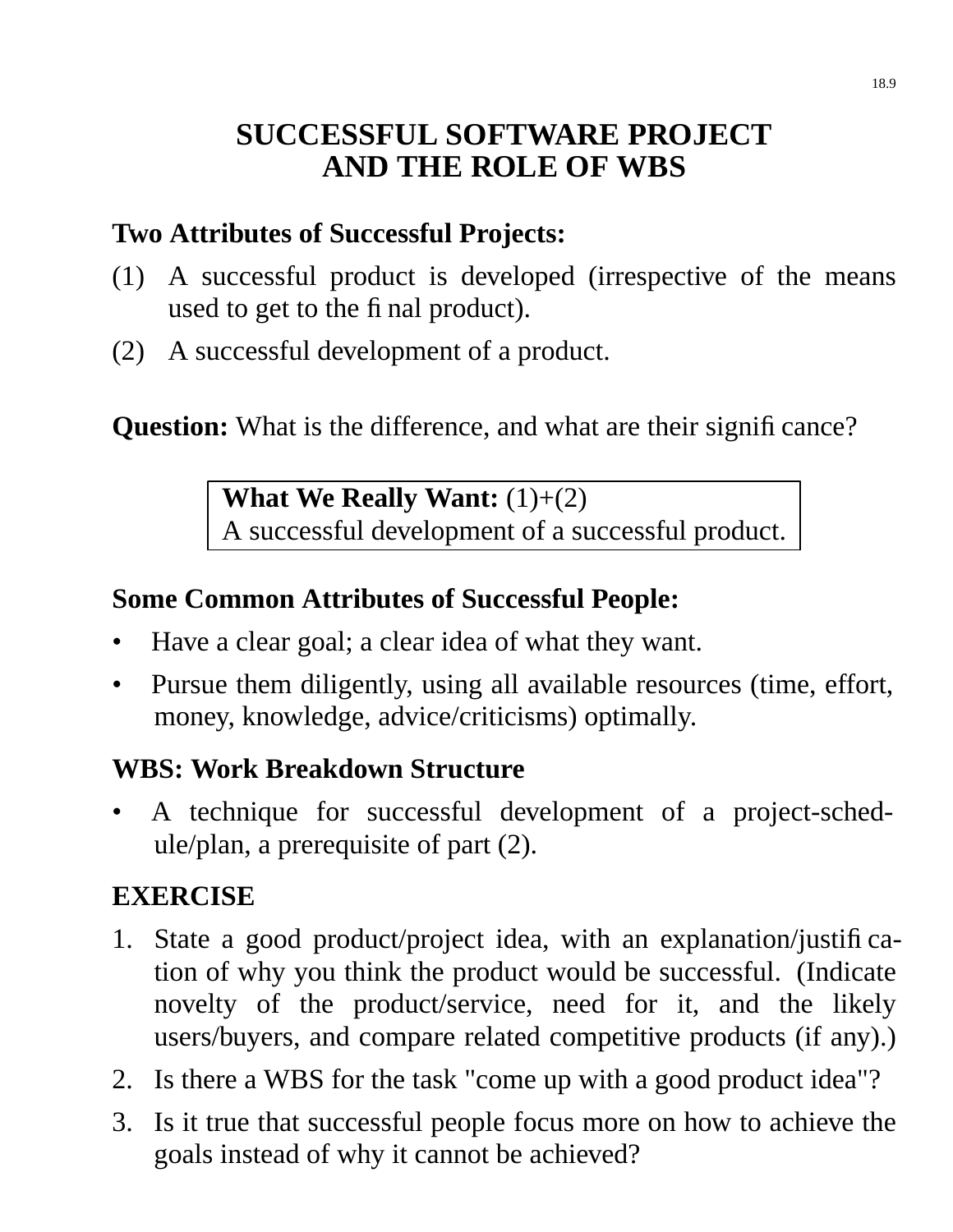### **SUCCESSFUL SOFTWARE PROJECT AND THE ROLE OF WBS**

#### **Two Attributes of Successful Projects:**

- (1) A successful product is developed (irrespective of the means used to get to the final product).
- (2) A successful development of a product.

**Question:** What is the difference, and what are their significance?

**What We Really Want:** (1)+(2) A successful development of a successful product.

#### **Some Common Attributes of Successful People:**

- Have a clear goal; a clear idea of what they want.
- Pursue them diligently, using all available resources (time, effort, money, knowledge, advice/criticisms) optimally.

### **WBS: Work Breakdown Structure**

• A technique for successful development of a project-schedule/plan, a prerequisite of part (2).

### **EXERCISE**

- 1. State a good product/project idea, with an explanation/justification of why you think the product would be successful. (Indicate novelty of the product/service, need for it, and the likely users/buyers, and compare related competitive products (if any).)
- 2. Is there a WBS for the task "come up with a good product idea"?
- 3. Is it true that successful people focus more on how to achieve the goals instead of why it cannot be achieved?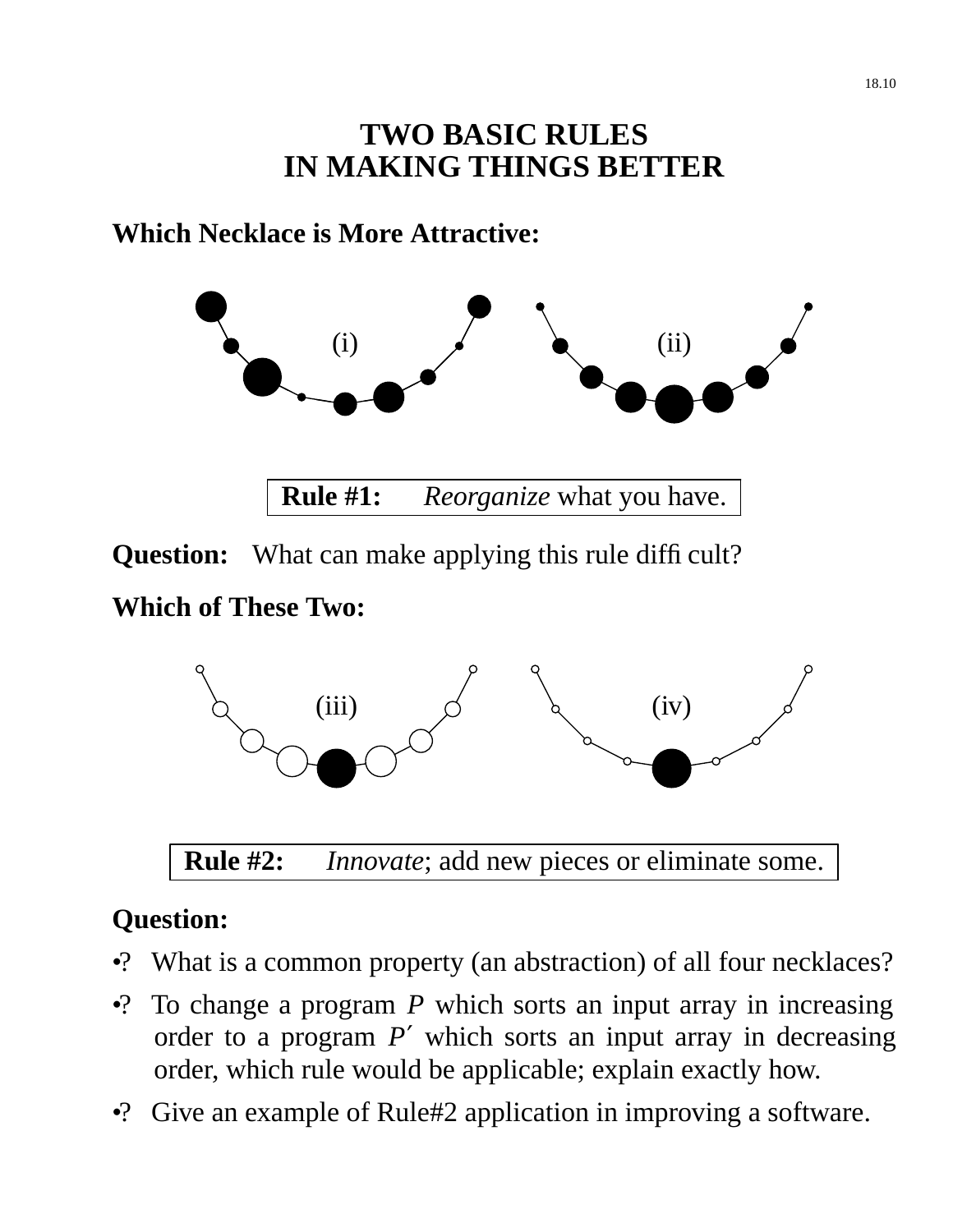### **TWO BASIC RULES IN MAKING THINGS BETTER**

**Which Necklace is More Attractive:**



**Rule #1:** *Reorganize* what you have.

**Question:** What can make applying this rule difficult?

**Which of These Two:**



**Rule #2:** *Innovate*; add new pieces or eliminate some.

- •? What is a common property (an abstraction) of all four necklaces?
- •? To change a program *P* which sorts an input array in increasing order to a program *P*′ which sorts an input array in decreasing order, which rule would be applicable; explain exactly how.
- •? Give an example of Rule#2 application in improving a software.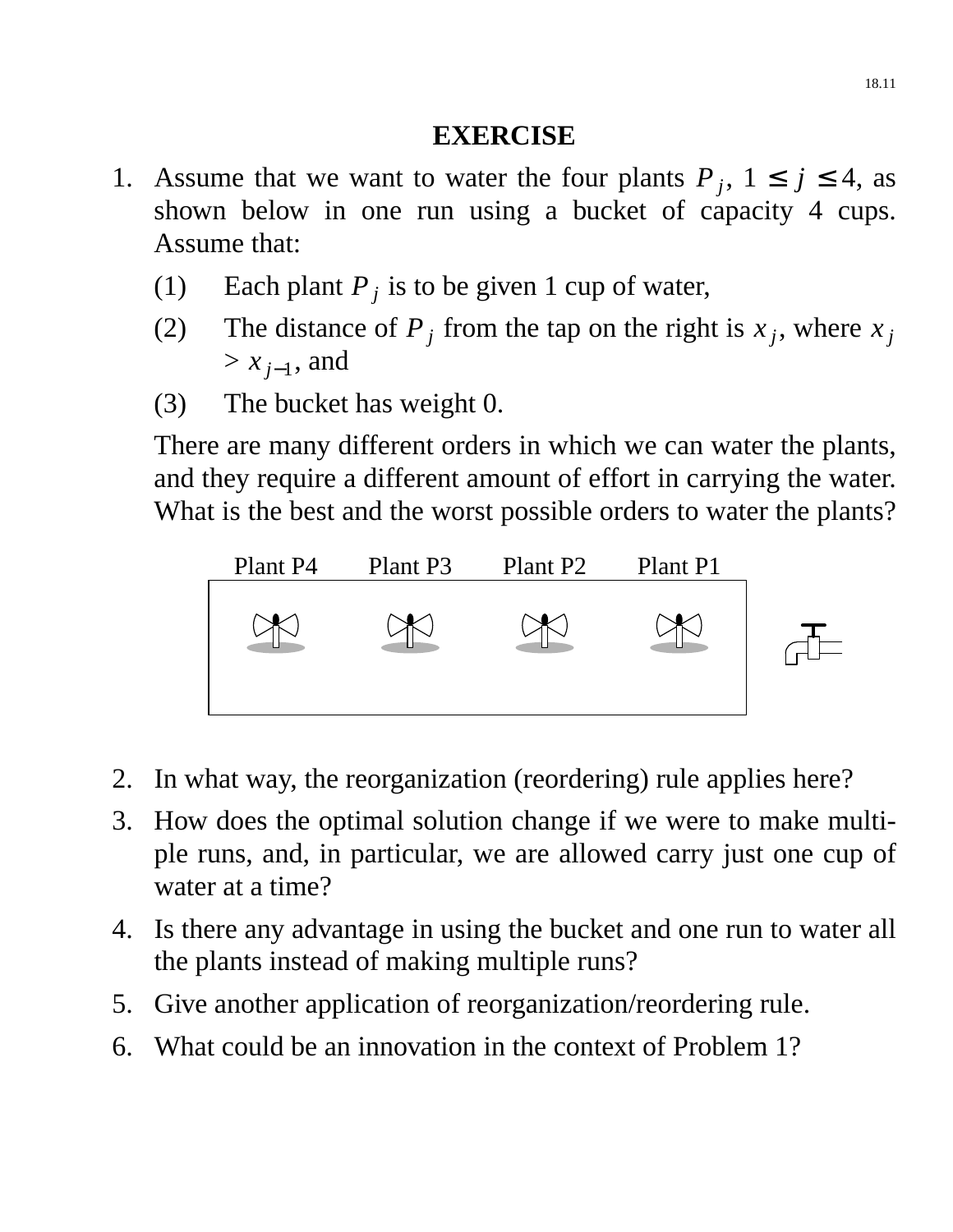#### **EXERCISE**

- 1. Assume that we want to water the four plants  $P_j$ ,  $1 \le j \le 4$ , as shown below in one run using a bucket of capacity 4 cups. Assume that:
	- (1) Each plant  $P_j$  is to be given 1 cup of water,
	- (2) The distance of  $P_j$  from the tap on the right is  $x_j$ , where  $x_j$  $> x_{j-1}$ , and
	- (3) The bucket has weight 0.

There are many different orders in which we can water the plants, and they require a different amount of effort in carrying the water. What is the best and the worst possible orders to water the plants?



- 2. In what way, the reorganization (reordering) rule applies here?
- 3. How does the optimal solution change if we were to make multiple runs, and, in particular, we are allowed carry just one cup of water at a time?
- 4. Is there any advantage in using the bucket and one run to water all the plants instead of making multiple runs?
- 5. Give another application of reorganization/reordering rule.
- 6. What could be an innovation in the context of Problem 1?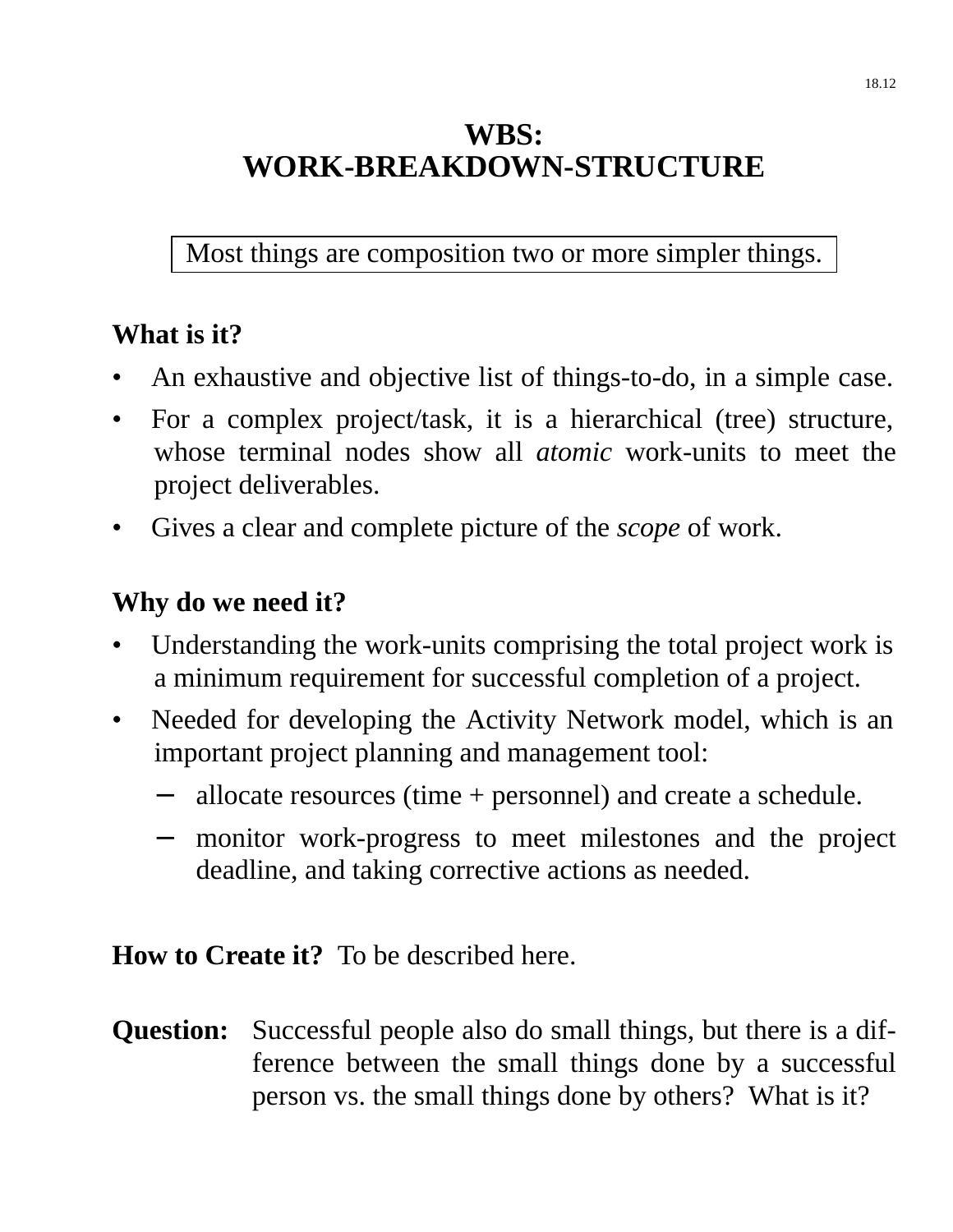### **WBS: WORK-BREAKDOWN-STRUCTURE**

Most things are composition two or more simpler things.

#### **What is it?**

- An exhaustive and objective list of things-to-do, in a simple case.
- For a complex project/task, it is a hierarchical (tree) structure, whose terminal nodes show all *atomic* work-units to meet the project deliverables.
- Gives a clear and complete picture of the *scope* of work.

#### **Why do we need it?**

- Understanding the work-units comprising the total project work is a minimum requirement for successful completion of a project.
- Needed for developing the Activity Network model, which is an important project planning and management tool:
	- allocate resources (time + personnel) and create a schedule.
	- monitor work-progress to meet milestones and the project deadline, and taking corrective actions as needed.

**How to Create it?** To be described here.

**Question:** Successful people also do small things, but there is a difference between the small things done by a successful person vs. the small things done by others? What is it?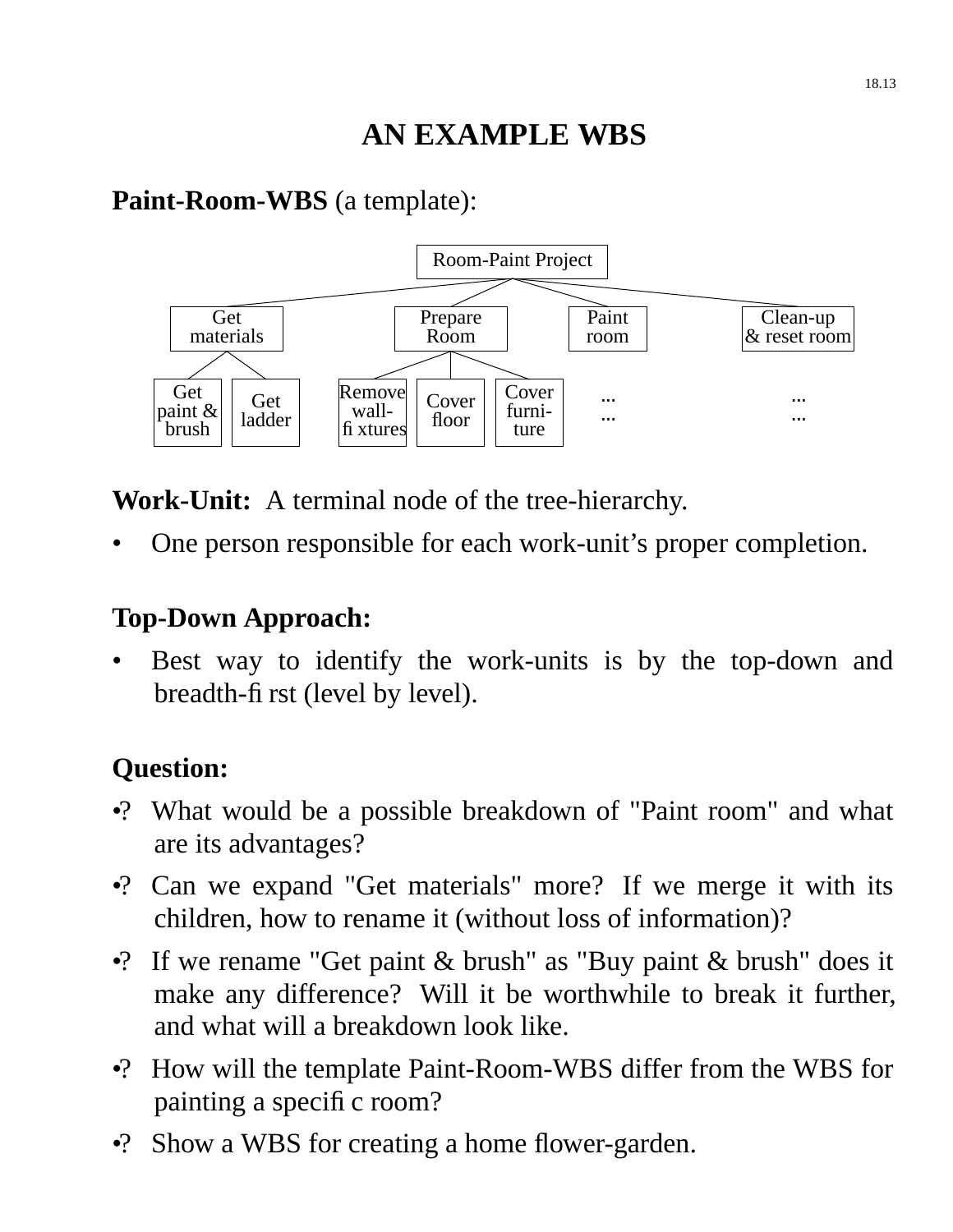# **AN EXAMPLE WBS**

### **Paint-Room-WBS** (a template):



**Work-Unit:** A terminal node of the tree-hierarchy.

• One person responsible for each work-unit's proper completion.

#### **Top-Down Approach:**

Best way to identify the work-units is by the top-down and breadth-first (level by level).

- •? What would be a possible breakdown of "Paint room" and what are its advantages?
- •? Can we expand "Get materials" more? If we merge it with its children, how to rename it (without loss of information)?
- •? If we rename "Get paint & brush" as "Buy paint & brush" does it make any difference? Will it be worthwhile to break it further, and what will a breakdown look like.
- •? How will the template Paint-Room-WBS differ from the WBS for painting a specific room?
- •? Show a WBS for creating a home flower-garden.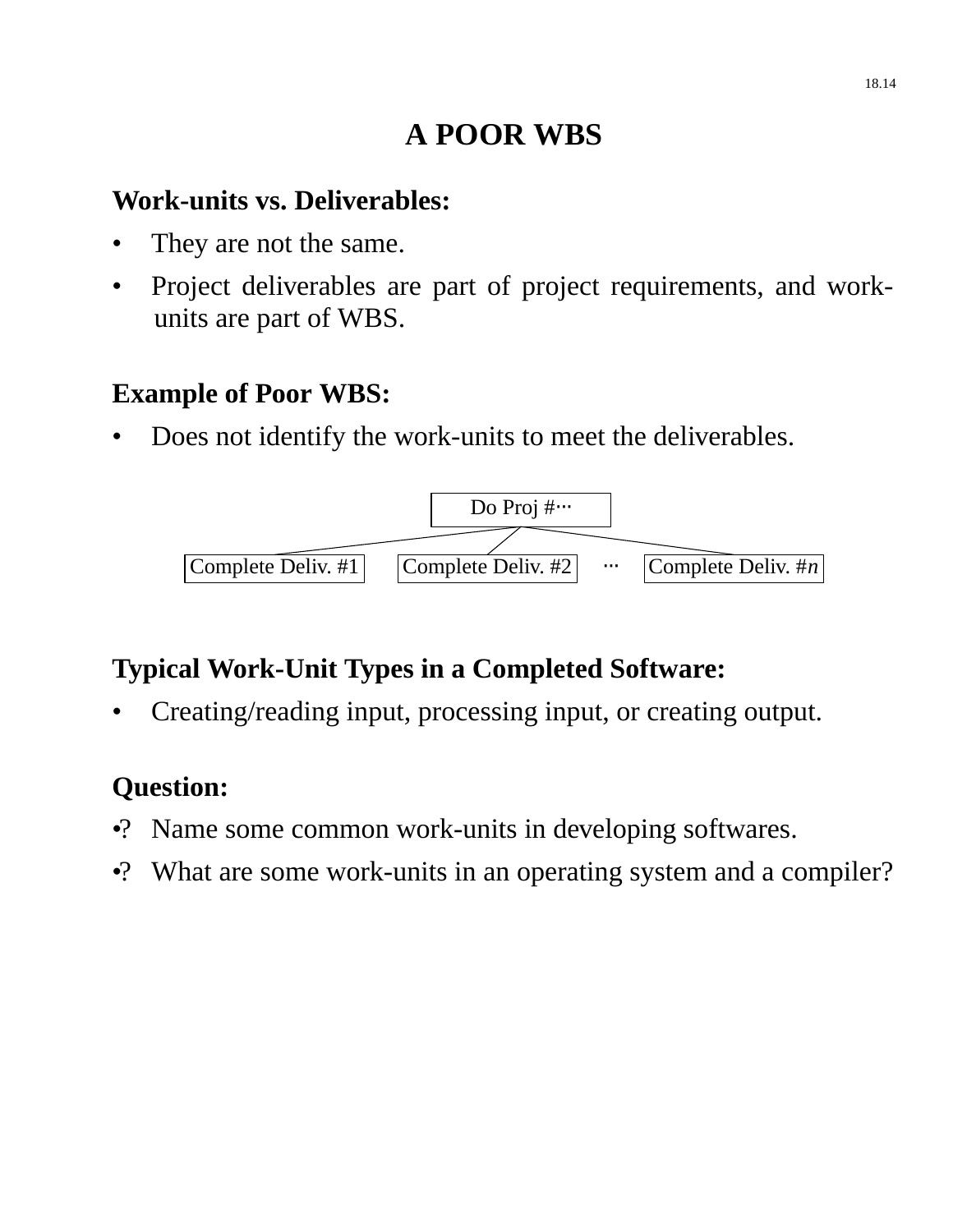# **A POOR WBS**

#### **Work-units vs. Deliverables:**

- They are not the same.
- Project deliverables are part of project requirements, and workunits are part of WBS.

#### **Example of Poor WBS:**

Does not identify the work-units to meet the deliverables.



### **Typical Work-Unit Types in a Completed Software:**

• Creating/reading input, processing input, or creating output.

- •? Name some common work-units in developing softwares.
- •? What are some work-units in an operating system and a compiler?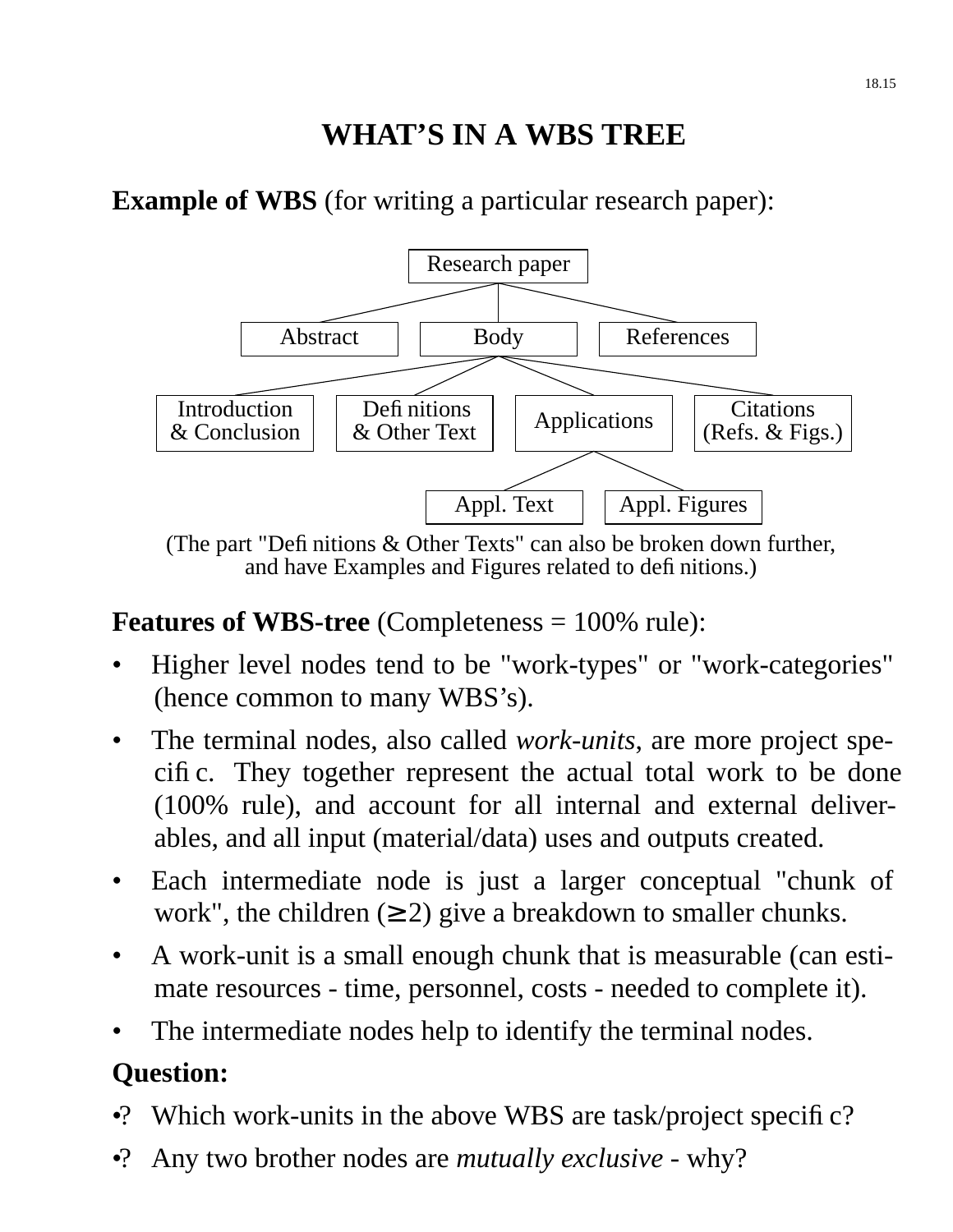# **WHAT'S IN A WBS TREE**

**Example of WBS** (for writing a particular research paper):



(The part "Definitions & Other Texts" can also be broken down further, and have Examples and Figures related to definitions.)

#### **Features of WBS-tree** (Completeness = 100% rule):

- Higher level nodes tend to be "work-types" or "work-categories" (hence common to many WBS's).
- The terminal nodes, also called *work-units*, are more project specific. They together represent the actual total work to be done (100% rule), and account for all internal and external deliverables, and all input (material/data) uses and outputs created.
- Each intermediate node is just a larger conceptual "chunk of work", the children  $(≥ 2)$  give a breakdown to smaller chunks.
- A work-unit is a small enough chunk that is measurable (can estimate resources - time, personnel, costs - needed to complete it).
- The intermediate nodes help to identify the terminal nodes.

- •? Which work-units in the above WBS are task/project specific?
- •? Any two brother nodes are *mutually exclusive* why?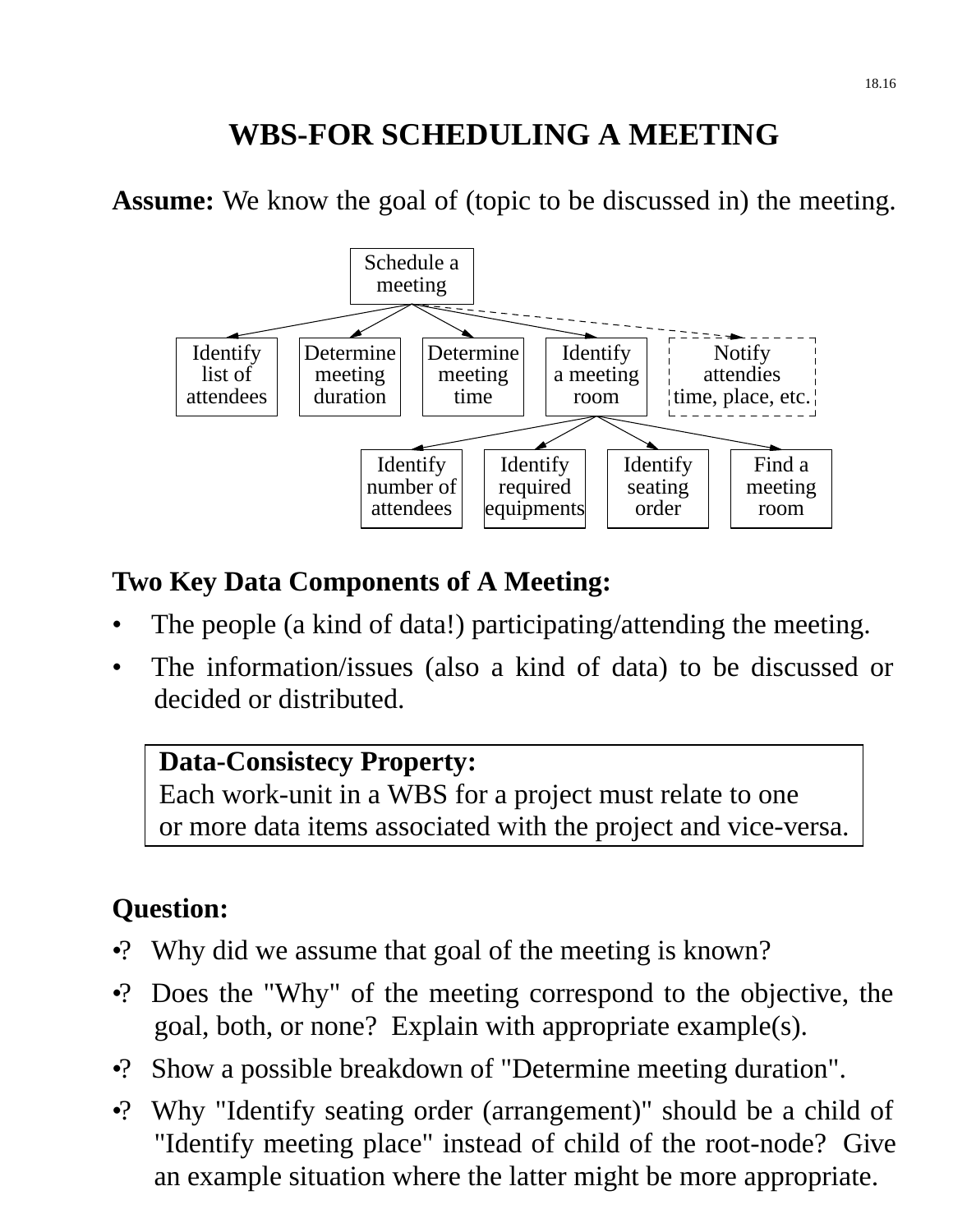# **WBS-FOR SCHEDULING A MEETING**

**Assume:** We know the goal of (topic to be discussed in) the meeting.



#### **Two Key Data Components of A Meeting:**

- The people (a kind of data!) participating/attending the meeting.
- The information/issues (also a kind of data) to be discussed or decided or distributed.

#### **Data-Consistecy Property:**

Each work-unit in a WBS for a project must relate to one or more data items associated with the project and vice-versa.

- •? Why did we assume that goal of the meeting is known?
- •? Does the "Why" of the meeting correspond to the objective, the goal, both, or none? Explain with appropriate example(s).
- •? Show a possible breakdown of "Determine meeting duration".
- •? Why "Identify seating order (arrangement)" should be a child of "Identify meeting place" instead of child of the root-node? Give an example situation where the latter might be more appropriate.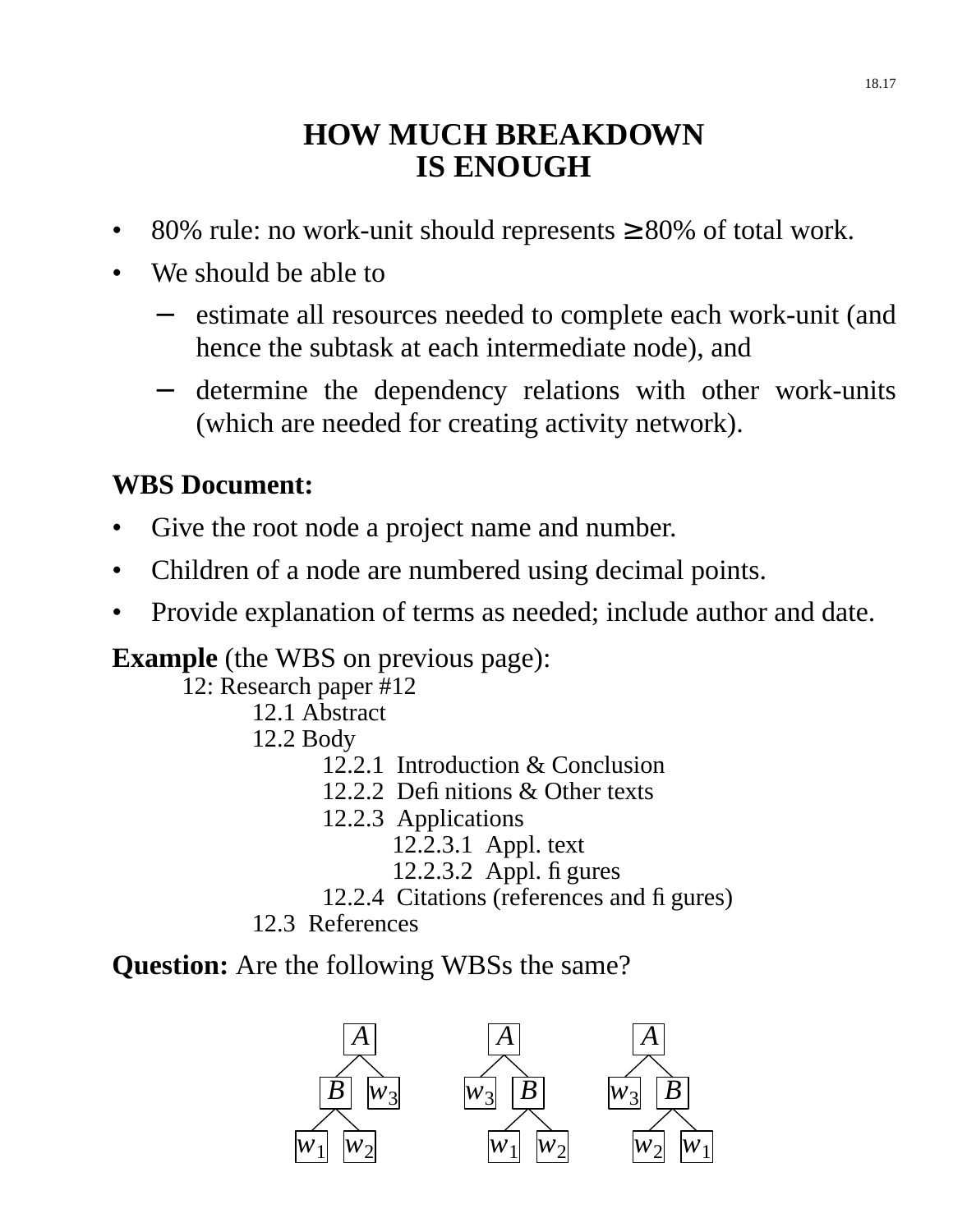### **HOW MUCH BREAKDOWN IS ENOUGH**

- 80% rule: no work-unit should represents  $\geq 80\%$  of total work.
- We should be able to
	- estimate all resources needed to complete each work-unit (and hence the subtask at each intermediate node), and
	- determine the dependency relations with other work-units (which are needed for creating activity network).

#### **WBS Document:**

- Give the root node a project name and number.
- Children of a node are numbered using decimal points.
- Provide explanation of terms as needed; include author and date.

#### **Example** (the WBS on previous page):

12: Research paper #12 12.1 Abstract 12.2 Body 12.2.1 Introduction & Conclusion 12.2.2 Definitions & Other texts 12.2.3 Applications 12.2.3.1 Appl. text 12.2.3.2 Appl. figures

12.2.4 Citations (references and figures)

12.3 References

**Question:** Are the following WBSs the same?

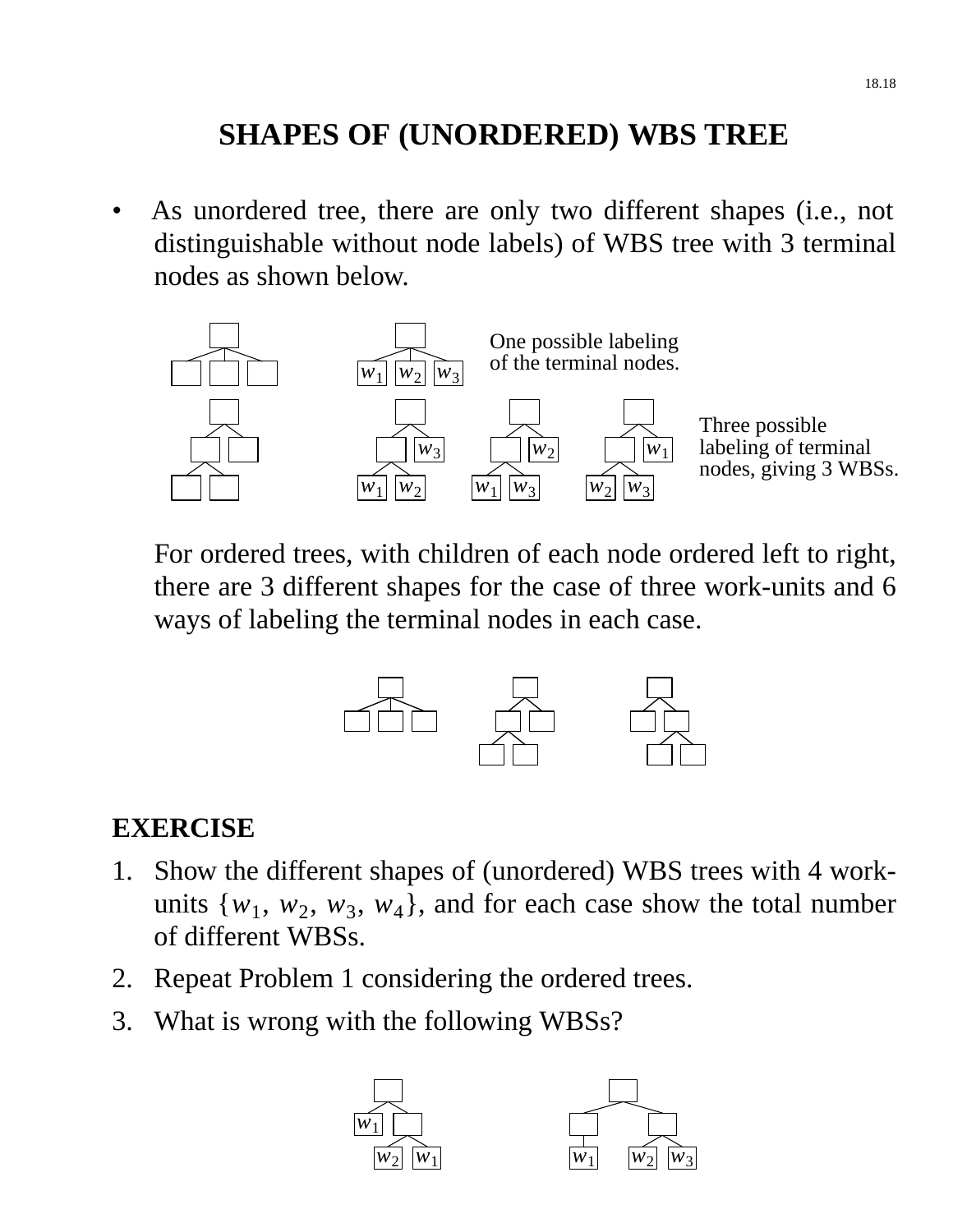# **SHAPES OF (UNORDERED) WBS TREE**

As unordered tree, there are only two different shapes (i.e., not distinguishable without node labels) of WBS tree with 3 terminal nodes as shown below.



For ordered trees, with children of each node ordered left to right, there are 3 different shapes for the case of three work-units and 6 ways of labeling the terminal nodes in each case.



#### **EXERCISE**

- 1. Show the different shapes of (unordered) WBS trees with 4 workunits  $\{w_1, w_2, w_3, w_4\}$ , and for each case show the total number of different WBSs.
- 2. Repeat Problem 1 considering the ordered trees.
- 3. What is wrong with the following WBSs?

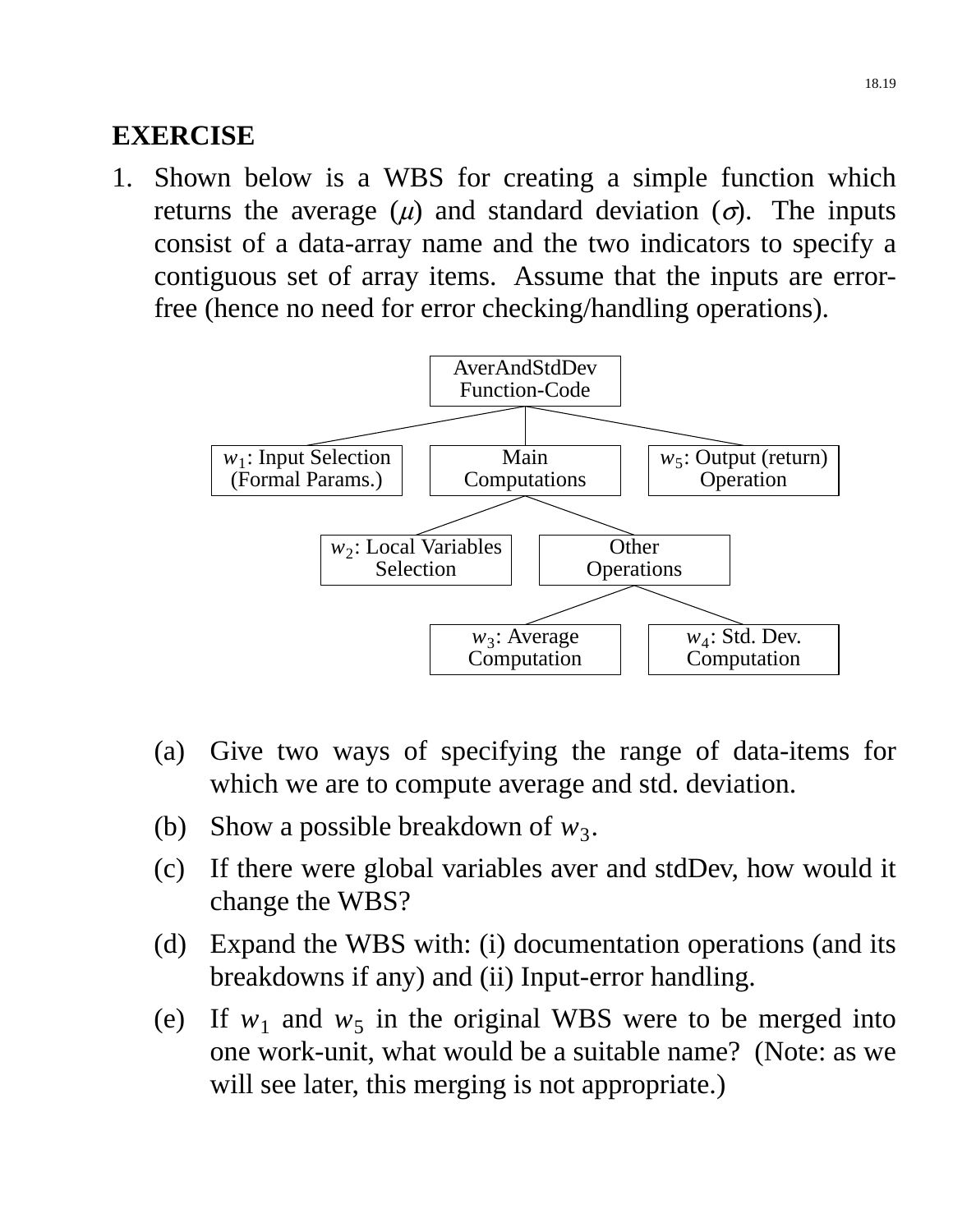### **EXERCISE**

1. Shown below is a WBS for creating a simple function which returns the average ( $\mu$ ) and standard deviation ( $\sigma$ ). The inputs consist of a data-array name and the two indicators to specify a contiguous set of array items. Assume that the inputs are errorfree (hence no need for error checking/handling operations).



- (a) Give two ways of specifying the range of data-items for which we are to compute average and std. deviation.
- (b) Show a possible breakdown of  $w_3$ .
- (c) If there were global variables aver and stdDev, how would it change the WBS?
- (d) Expand the WBS with: (i) documentation operations (and its breakdowns if any) and (ii) Input-error handling.
- (e) If  $w_1$  and  $w_5$  in the original WBS were to be merged into one work-unit, what would be a suitable name? (Note: as we will see later, this merging is not appropriate.)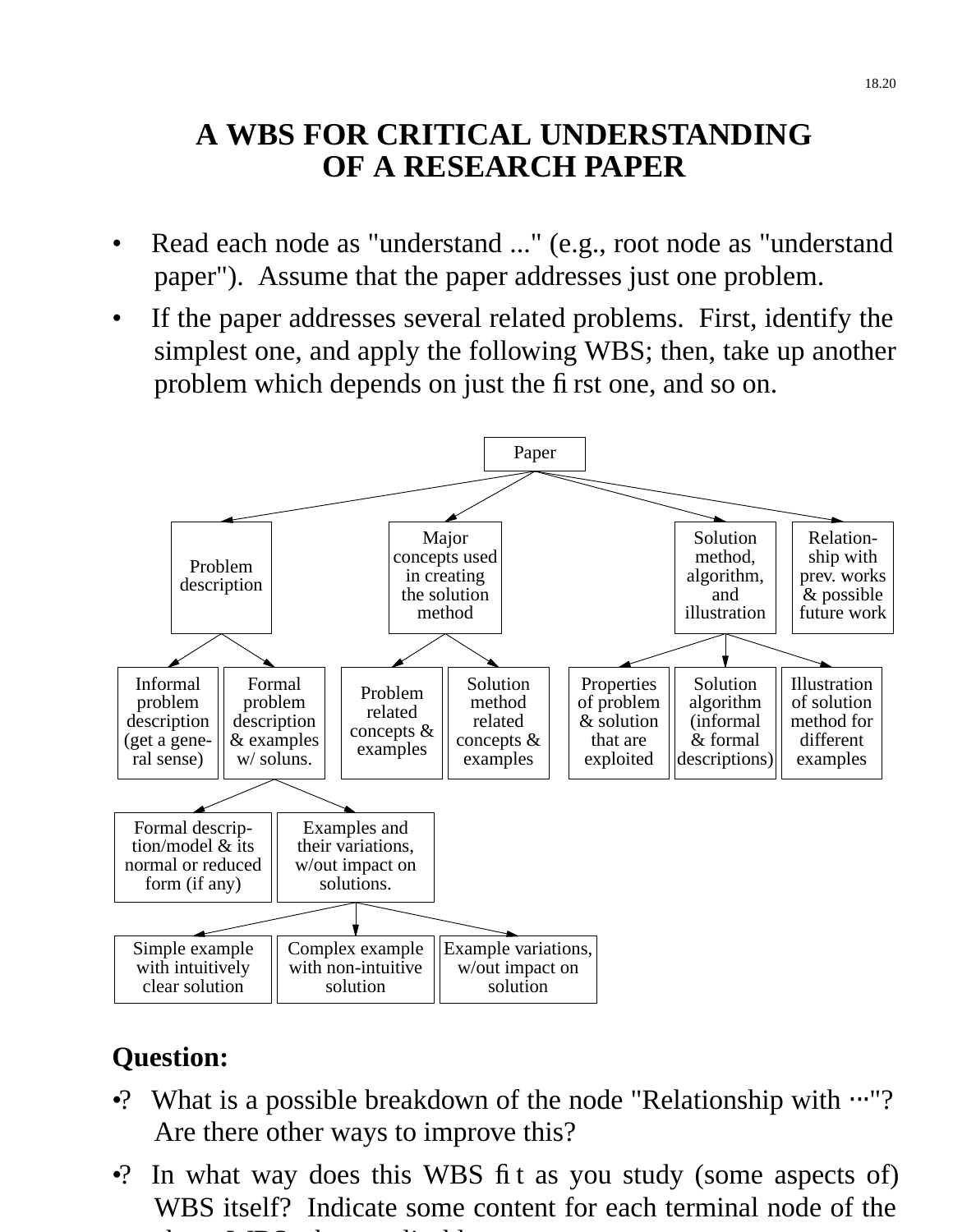### **A WBS FOR CRITICAL UNDERSTANDING OF A RESEARCH PAPER**

- Read each node as "understand ..." (e.g., root node as "understand paper"). Assume that the paper addresses just one problem.
- If the paper addresses several related problems. First, identify the simplest one, and apply the following WBS; then, take up another problem which depends on just the first one, and so on.



- •? What is a possible breakdown of the node "Relationship with  $\cdots$ "? Are there other ways to improve this?
- •? In what way does this WBS fit as you study (some aspects of) WBS itself? Indicate some content for each terminal node of the above WBS when applicable when applicable when applicable. WBS when applicable.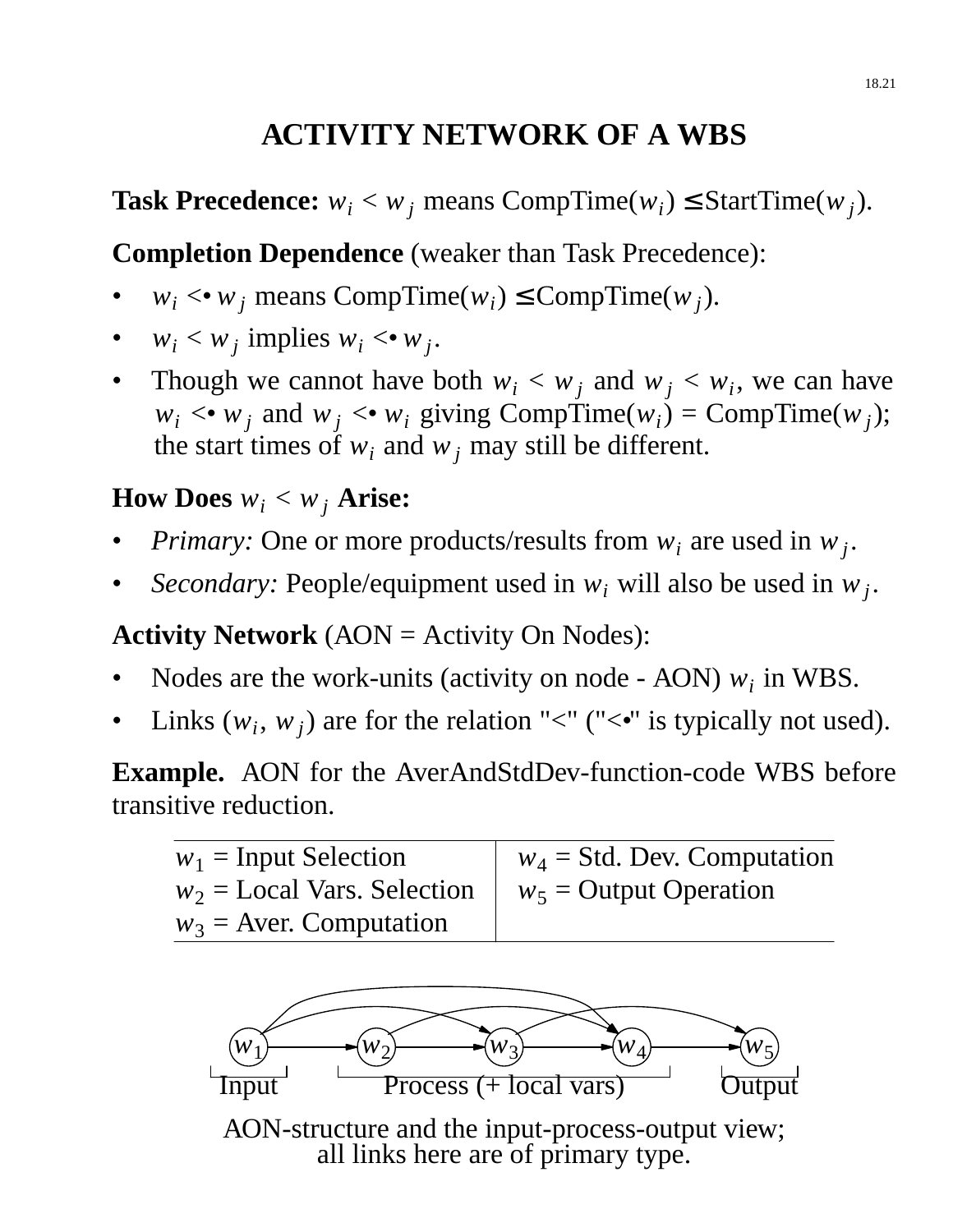# **ACTIVITY NETWORK OF A WBS**

**Task Precedence:**  $w_i < w_j$  means  $CompTime(w_i) \leq StartTime(w_j)$ .

**Completion Dependence** (weaker than Task Precedence):

- $w_i < w_j$  means CompTime( $w_i$ )  $\leq$  CompTime( $w_j$ ).
- $w_i < w_j$  implies  $w_i < w_j$ .
- Though we cannot have both  $w_i < w_j$  and  $w_j < w_i$ , we can have  $w_i \le w_j$  and  $w_j \le w_i$  giving CompTime( $w_i$ ) = CompTime( $w_j$ ); the start times of  $w_i$  and  $w_j$  may still be different.

#### **How Does**  $w_i < w_j$  **Arise:**

- *Primary:* One or more products/results from  $w_i$  are used in  $w_j$ .
- *Secondary:* People/equipment used in  $w_i$  will also be used in  $w_j$ .

#### **Activity Network** (AON = Activity On Nodes):

- Nodes are the work-units (activity on node AON)  $w_i$  in WBS.
- Links  $(w_i, w_j)$  are for the relation "<" ("< $\bullet$ " is typically not used).

**Example.** AON for the AverAndStdDev-function-code WBS before transitive reduction.

 $w_1$  = Input Selection  $w_4$  = Std. Dev. Computation  $w_2$  = Local Vars. Selection  $w_5$  = Output Operation  $w_3$  = Aver. Computation



AON-structure and the input-process-output view; all links here are of primary type.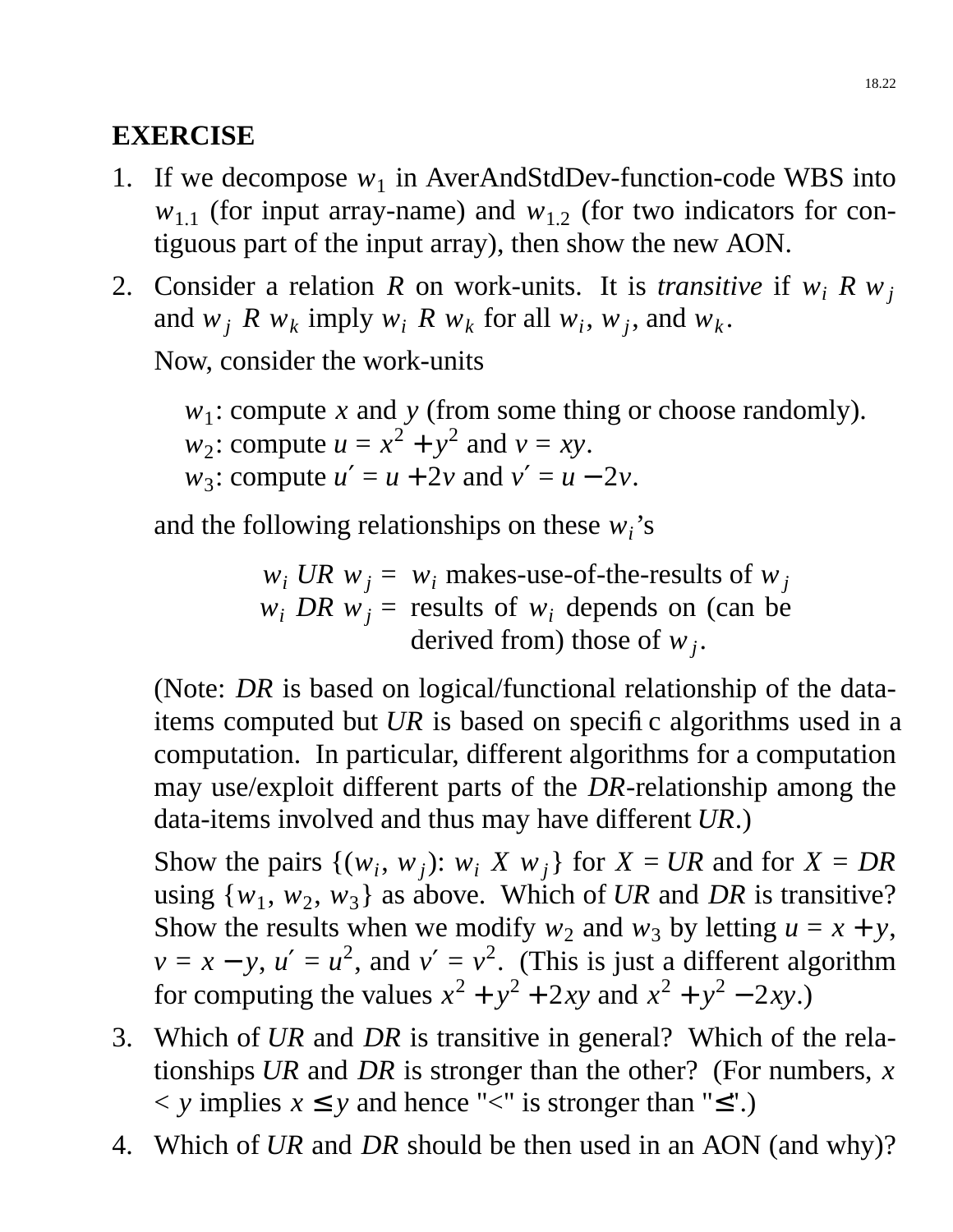### **EXERCISE**

- 1. If we decompose  $w_1$  in AverAndStdDev-function-code WBS into  $w_{1,1}$  (for input array-name) and  $w_{1,2}$  (for two indicators for contiguous part of the input array), then show the new AON.
- 2. Consider a relation *R* on work-units. It is *transitive* if *w<sup>i</sup> R w<sup>j</sup>* and  $w_j$  *R*  $w_k$  imply  $w_i$  *R*  $w_k$  for all  $w_i$ ,  $w_j$ , and  $w_k$ .

Now, consider the work-units

 $w_1$ : compute *x* and *y* (from some thing or choose randomly).  $w_2$ : compute  $u = x^2 + y^2$  and  $v = xy$ . *w*<sub>3</sub>: compute  $u' = u + 2v$  and  $v' = u - 2v$ .

and the following relationships on these  $w_i$ 's

 $w_i$  *UR*  $w_j = w_i$  makes-use-of-the-results of  $w_j$  $w_i$  *DR*  $w_j$  = results of  $w_i$  depends on (can be derived from) those of *w<sup>j</sup>* .

(Note: *DR* is based on logical/functional relationship of the dataitems computed but *UR* is based on specific algorithms used in a computation. In particular, different algorithms for a computation may use/exploit different parts of the *DR*-relationship among the data-items involved and thus may have different *UR*.)

Show the pairs  $\{(w_i, w_j): w_i X w_j\}$  for  $X = UR$  and for  $X = DR$ using  $\{w_1, w_2, w_3\}$  as above. Which of *UR* and *DR* is transitive? Show the results when we modify  $w_2$  and  $w_3$  by letting  $u = x + y$ ,  $v = x - y$ ,  $u' = u^2$ , and  $v' = v^2$ . (This is just a different algorithm for computing the values  $x^2 + y^2 + 2xy$  and  $x^2 + y^2 - 2xy$ .)

- 3. Which of *UR* and *DR* is transitive in general? Which of the relationships *UR* and *DR* is stronger than the other? (For numbers, *x*  $y$  implies  $x \leq y$  and hence " $\lt$ " is stronger than " $\leq$ ".)
- 4. Which of *UR* and *DR* should be then used in an AON (and why)?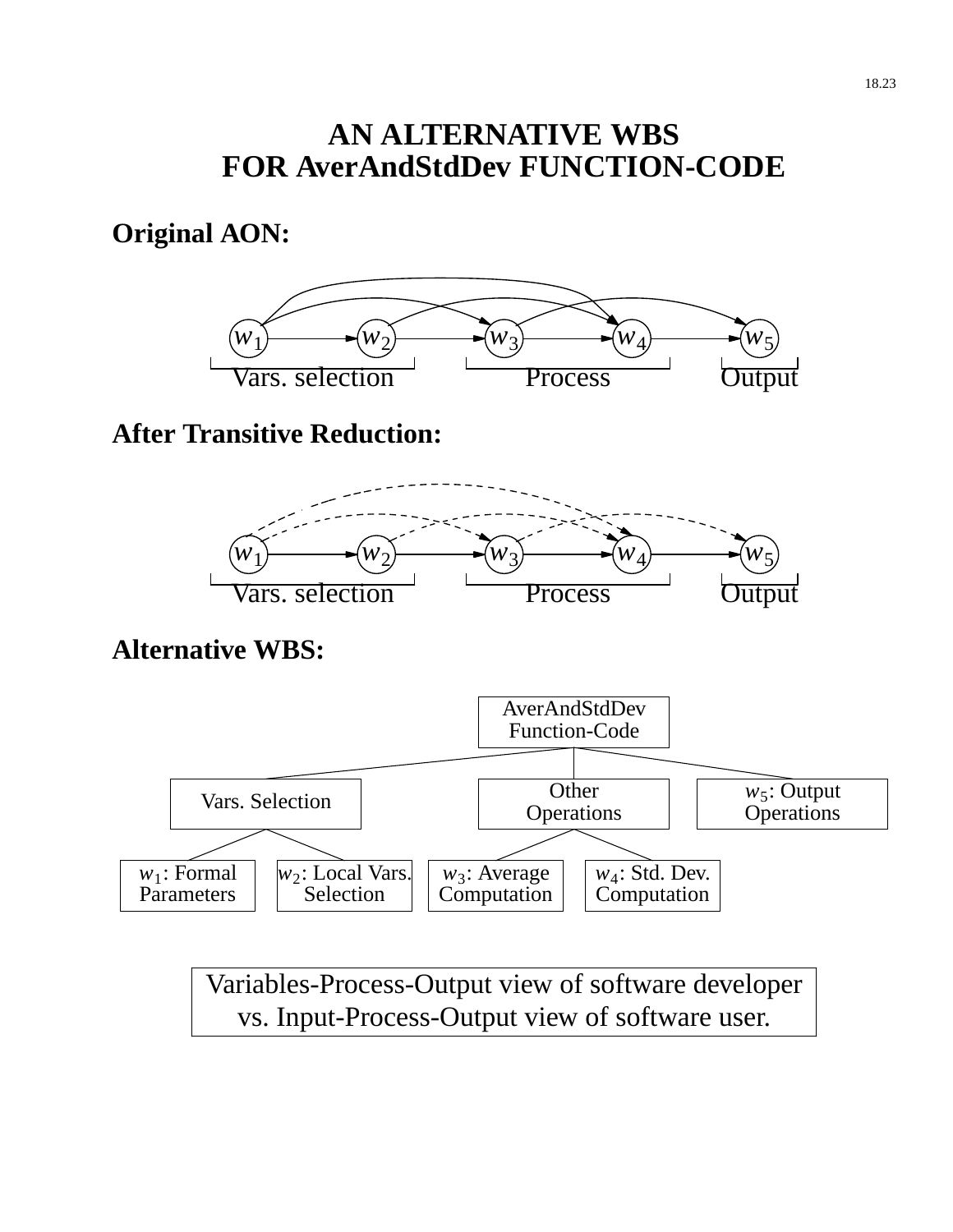### **AN ALTERNATIVE WBS FOR AverAndStdDev FUNCTION-CODE**

#### **Original AON:**



#### **After Transitive Reduction:**



### **Alternative WBS:**



Variables-Process-Output view of software developer vs. Input-Process-Output view of software user.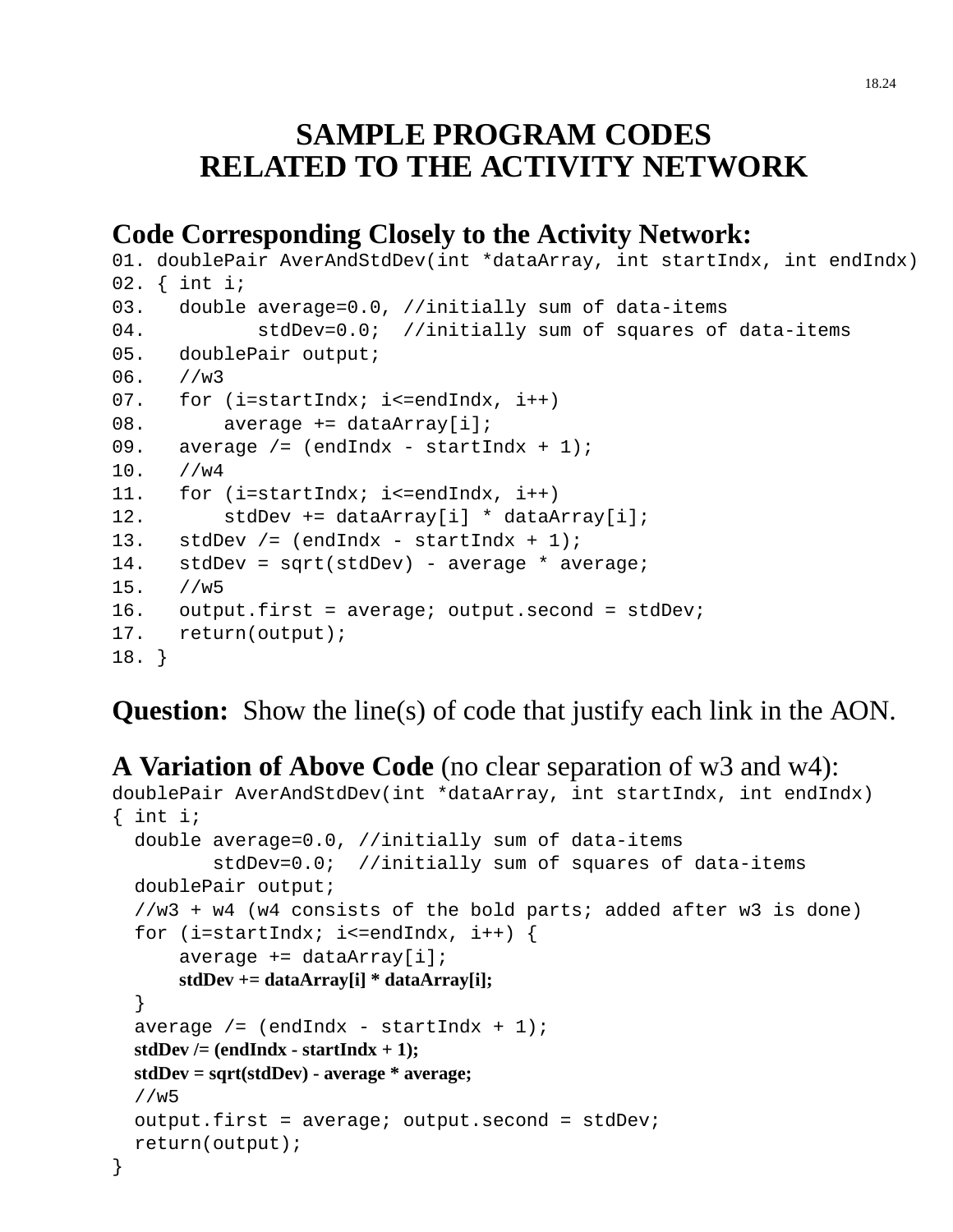### **SAMPLE PROGRAM CODES RELATED TO THE ACTIVITY NETWORK**

#### **Code Corresponding Closely to the Activity Network:**

```
01. doublePair AverAndStdDev(int *dataArray, int startIndx, int endIndx)
02. { int i;
03. double average=0.0, //initially sum of data-items
04. stdDev=0.0; //initially sum of squares of data-items
05. doublePair output;
06. //w307. for (i=startIndx; i<=endIndx, i++)
08. average += dataArray[i];
09. average / = (endIndx - startIndx + 1);
10. //w4
11. for (i=startIndx; i<=endIndx, i++)
12. stdDev += dataArray[i] * dataArray[i];
13. stdDev / = (endIndx - startIndx + 1);
14. stdDev = sqrt(stdDev) - average * average;
15. //w5
16. output.first = average; output.second = stdDev;
17. return(output);
18. }
```
### **Question:** Show the line(s) of code that justify each link in the AON.

#### **A Variation of Above Code** (no clear separation of w3 and w4):

```
doublePair AverAndStdDev(int *dataArray, int startIndx, int endIndx)
\{ int i;
  double average=0.0, //initially sum of data-items
         stdDev=0.0; //initially sum of squares of data-items
  doublePair output;
  //w3 + w4 (w4 consists of the bold parts; added after w3 is done)
  for (i=startIndex; i<=endIndex, i++) {
      average += dataArray[i];
      stdDev += dataArray[i] * dataArray[i];
  }
  average / = (endIndx - startIndx + 1);
  stdDev /= (endIndx - startIndx + 1);stdDev=sqrt(stdDev) - average * average;
  //w5
  output.first = average; output.second = stdDev;
  return(output);
}
```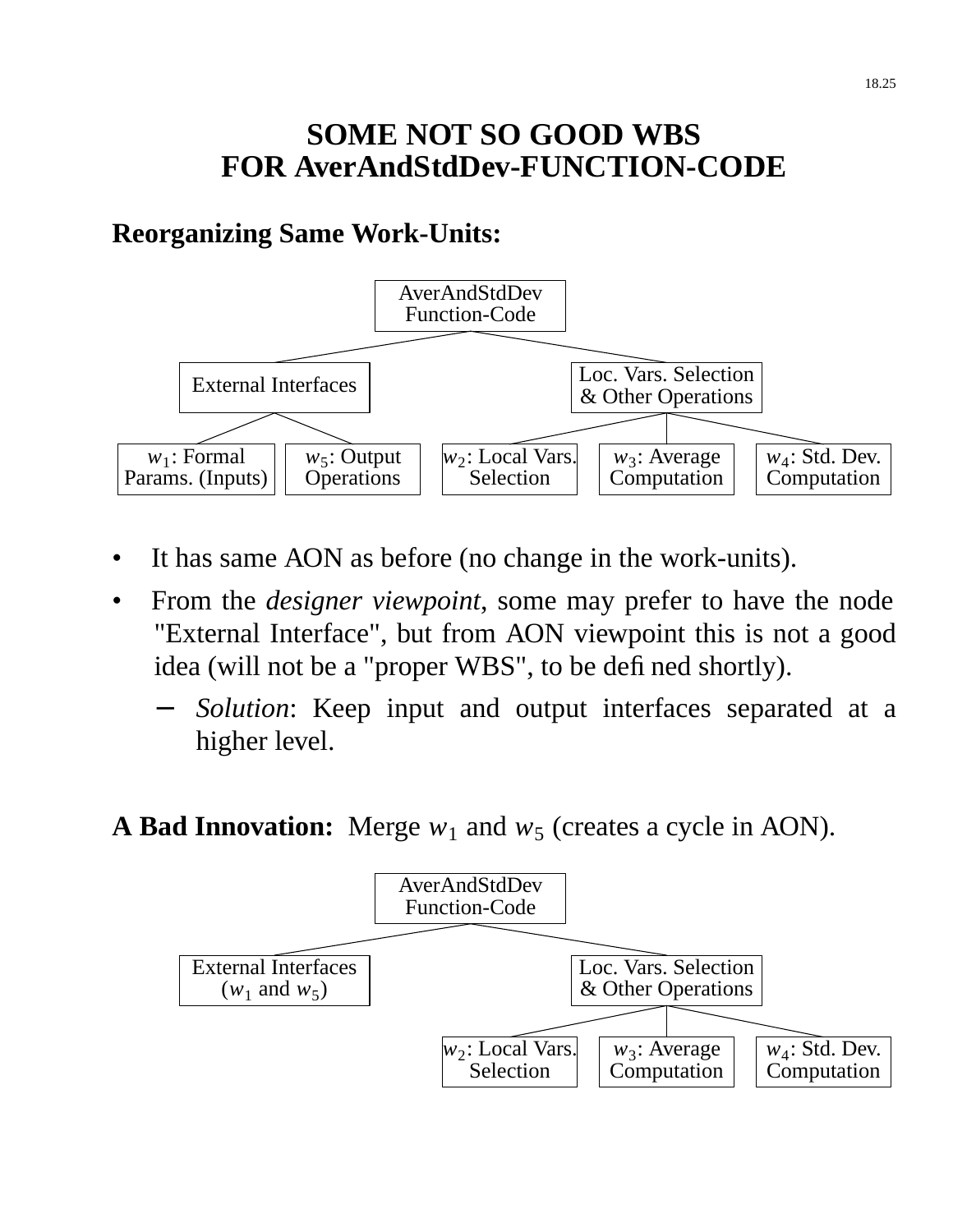### **SOME NOT SO GOOD WBS FOR AverAndStdDev-FUNCTION-CODE**

#### **Reorganizing Same Work-Units:**



- It has same AON as before (no change in the work-units).
- From the *designer viewpoint*, some may prefer to have the node "External Interface", but from AON viewpoint this is not a good idea (will not be a "proper WBS", to be defined shortly).
	- *Solution*: Keep input and output interfaces separated at a higher level.
- **A Bad Innovation:** Merge  $w_1$  and  $w_5$  (creates a cycle in AON).

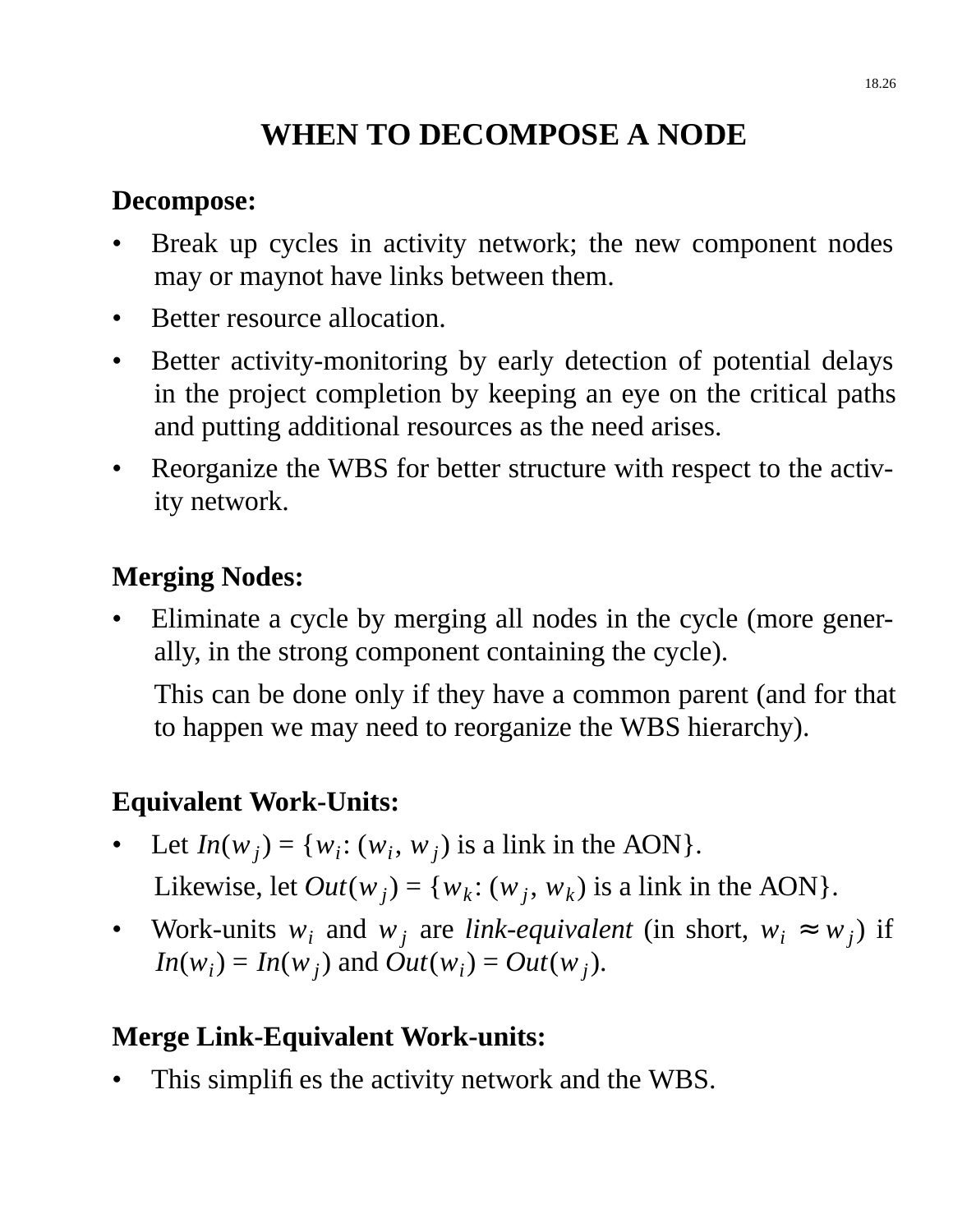# **WHEN TO DECOMPOSE A NODE**

#### **Decompose:**

- Break up cycles in activity network; the new component nodes may or maynot have links between them.
- Better resource allocation.
- Better activity-monitoring by early detection of potential delays in the project completion by keeping an eye on the critical paths and putting additional resources as the need arises.
- Reorganize the WBS for better structure with respect to the activity network.

### **Merging Nodes:**

• Eliminate a cycle by merging all nodes in the cycle (more generally, in the strong component containing the cycle).

This can be done only if they have a common parent (and for that to happen we may need to reorganize the WBS hierarchy).

### **Equivalent Work-Units:**

- Let  $In(w_j) = \{w_i: (w_i, w_j) \text{ is a link in the AON}\}.$ Likewise, let  $Out(w_j) = \{w_k : (w_j, w_k) \text{ is a link in the AON} \}.$
- Work-units  $w_i$  and  $w_j$  are *link-equivalent* (in short,  $w_i \approx w_j$ ) if  $In(w_i) = In(w_j)$  and  $Out(w_i) = Out(w_j)$ .

### **Merge Link-Equivalent Work-units:**

This simplifies the activity network and the WBS.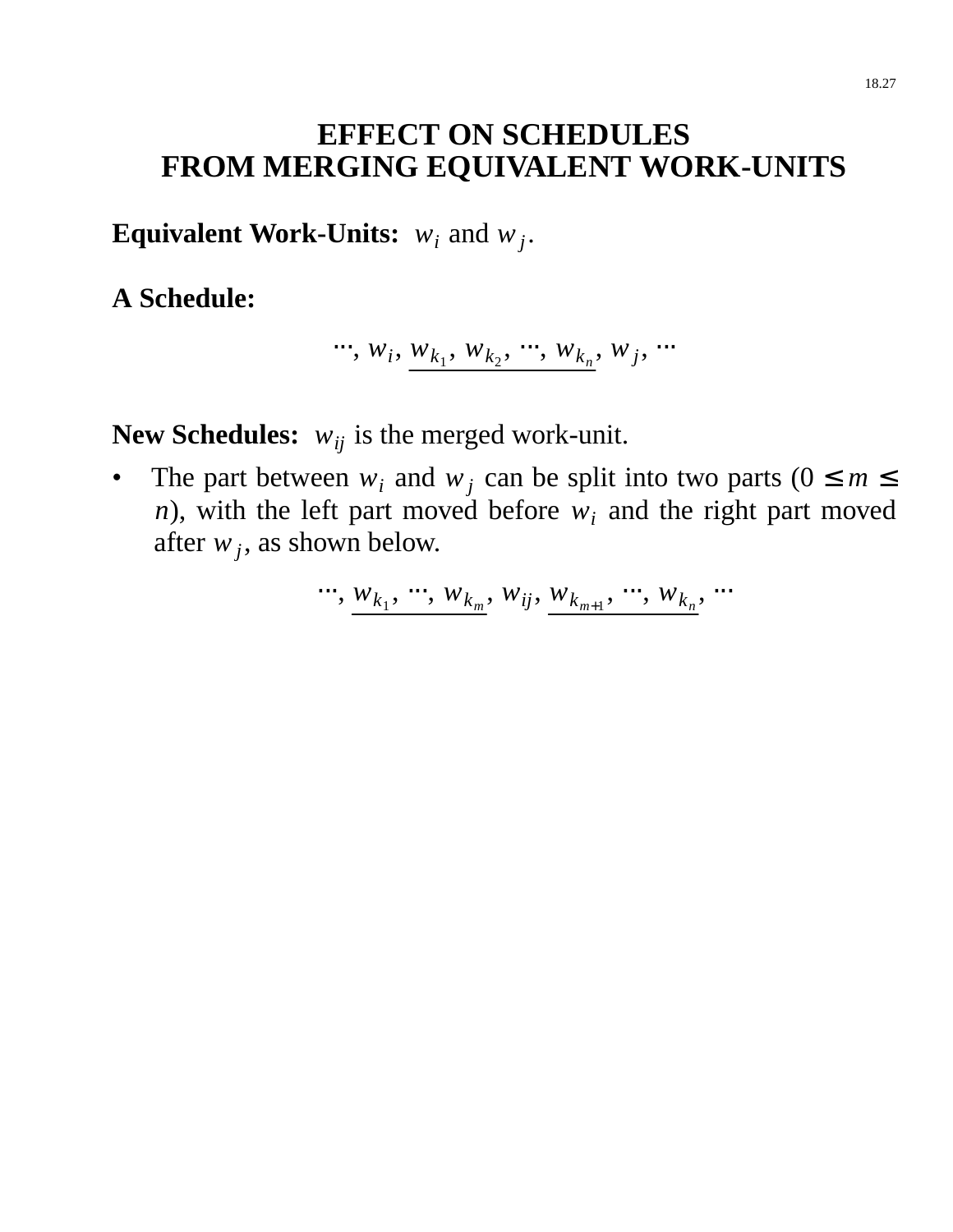#### **EFFECT ON SCHEDULES FROM MERGING EQUIVALENT WORK-UNITS**

**Equivalent Work-Units:**  $w_i$  and  $w_j$ .

**A Schedule:**

 $\cdots$ ,  $w_i$ ,  $w_{k_1}$ ,  $w_{k_2}$ ,  $\cdots$ ,  $w_{k_n}$ ,  $w_j$ ,  $\cdots$ 

**New Schedules:**  $w_{ij}$  is the merged work-unit.

The part between  $w_i$  and  $w_j$  can be split into two parts ( $0 \le m \le$ *n*), with the left part moved before  $w_i$  and the right part moved after  $w_j$ , as shown below.

 $\cdots$ ,  $w_{k_1}$ ,  $\cdots$ ,  $w_{k_m}$ ,  $w_{ij}$ ,  $w_{k_{m+1}}$ ,  $\cdots$ ,  $w_{k_n}$ ,  $\cdots$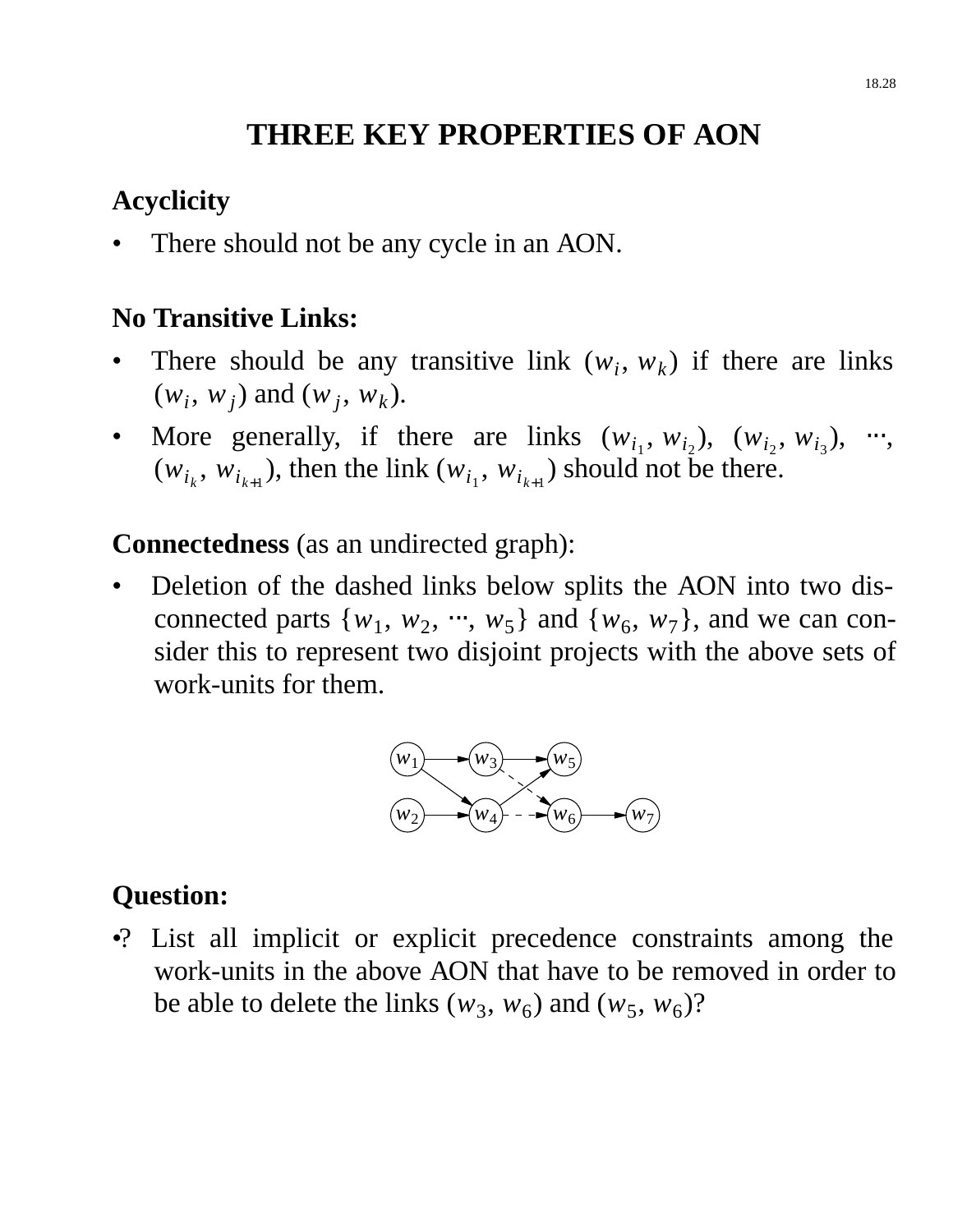### **THREE KEY PROPERTIES OF AON**

### **Acyclicity**

There should not be any cycle in an AON.

### **No Transitive Links:**

- There should be any transitive link  $(w_i, w_k)$  if there are links  $(w_i, w_j)$  and  $(w_j, w_k)$ .
- More generally, if there are links  $(w_{i_1}, w_{i_2}), (w_{i_2}, w_{i_3}), \dots$  $(w_{i_k}, w_{i_{k+1}})$ , then the link  $(w_{i_1}, w_{i_{k+1}})$  should not be there.

**Connectedness** (as an undirected graph):

• Deletion of the dashed links below splits the AON into two disconnected parts  $\{w_1, w_2, \dots, w_5\}$  and  $\{w_6, w_7\}$ , and we can consider this to represent two disjoint projects with the above sets of work-units for them.



### **Question:**

•? List all implicit or explicit precedence constraints among the work-units in the above AON that have to be removed in order to be able to delete the links  $(w_3, w_6)$  and  $(w_5, w_6)$ ?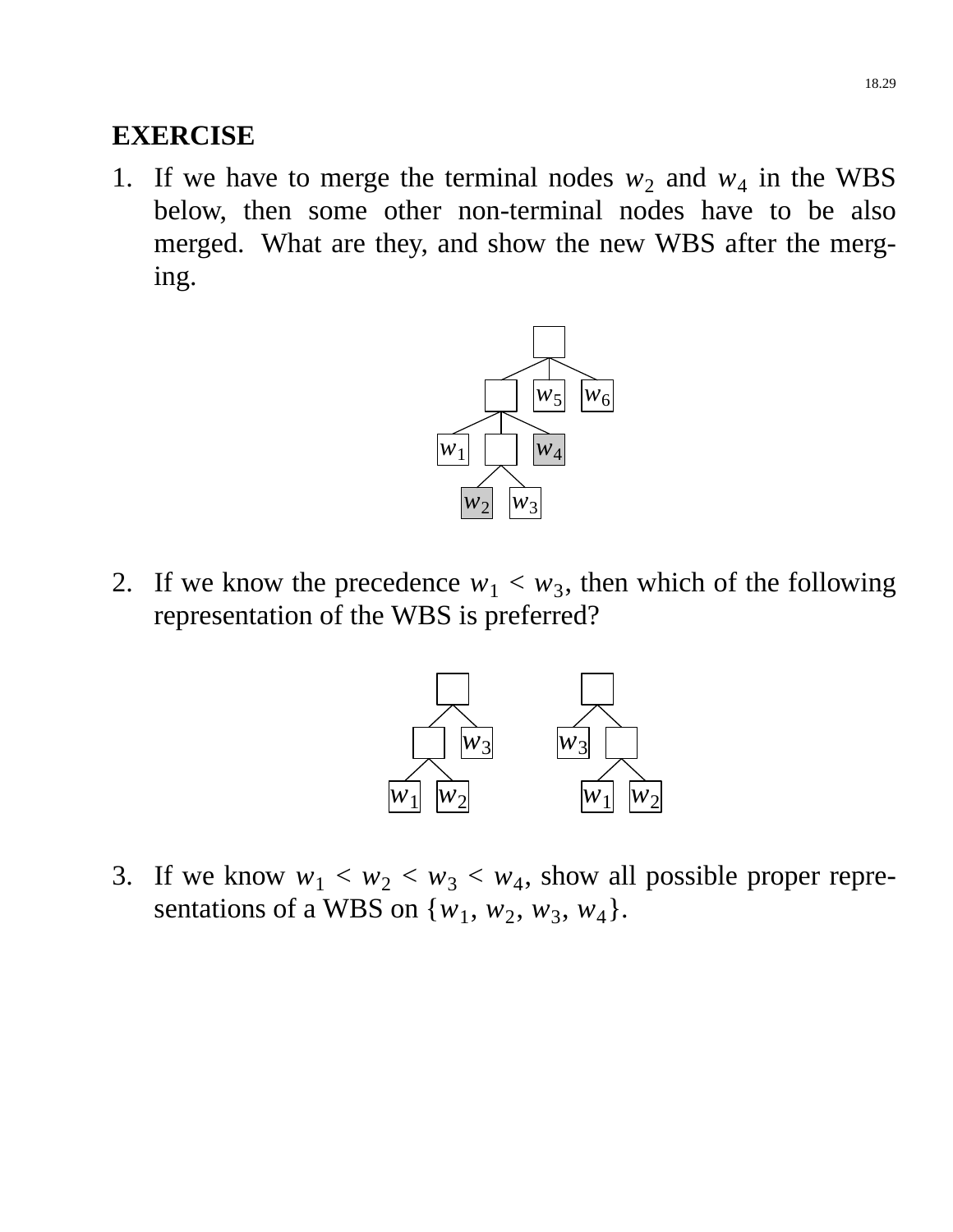#### **EXERCISE**

1. If we have to merge the terminal nodes  $w_2$  and  $w_4$  in the WBS below, then some other non-terminal nodes have to be also merged. What are they, and show the new WBS after the merging.



2. If we know the precedence  $w_1 < w_3$ , then which of the following representation of the WBS is preferred?



3. If we know  $w_1 < w_2 < w_3 < w_4$ , show all possible proper representations of a WBS on  $\{w_1, w_2, w_3, w_4\}$ .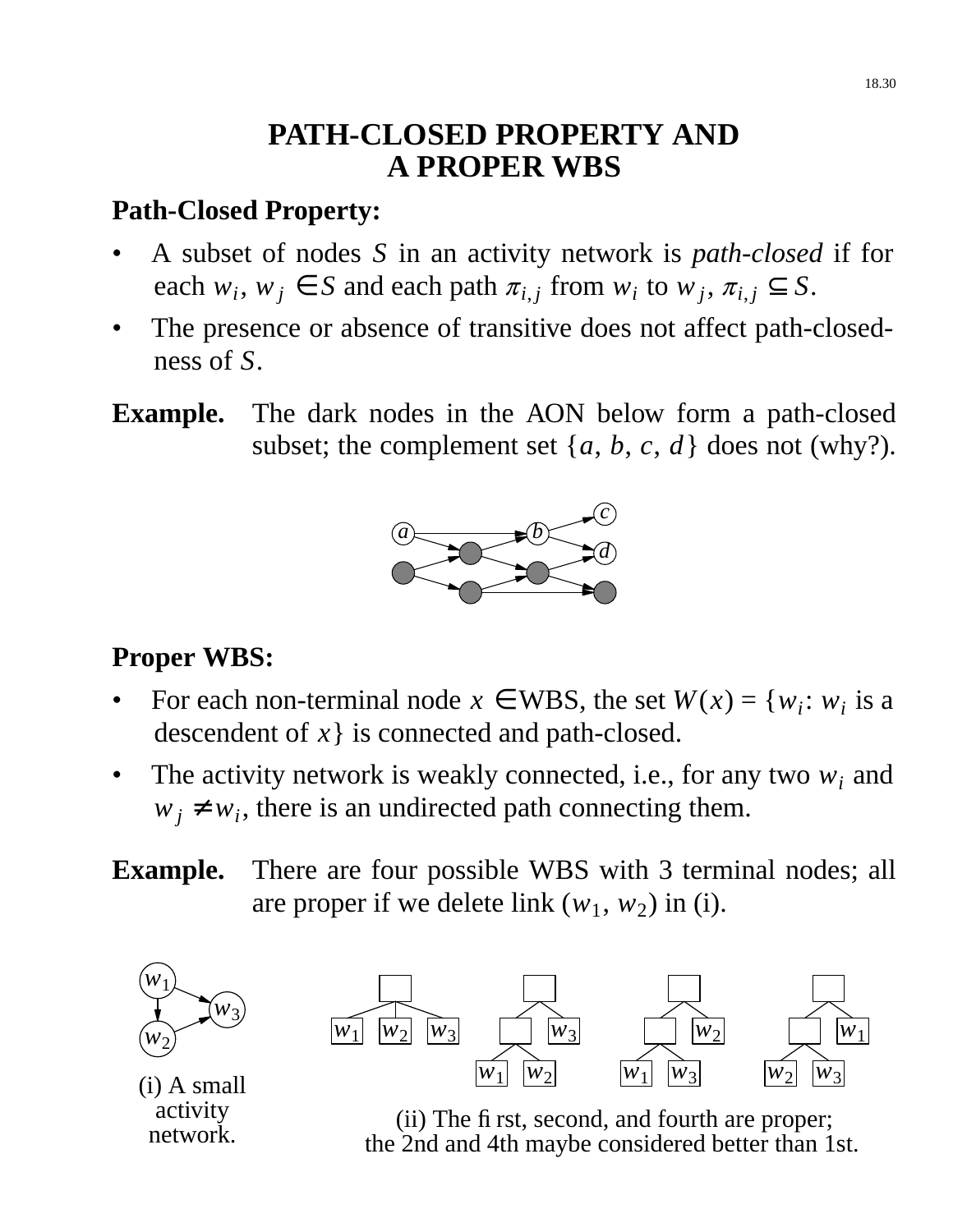### **PATH-CLOSED PROPERTY AND A PROPER WBS**

### **Path-Closed Property:**

- A subset of nodes *S* in an activity network is *path-closed* if for each  $w_i$ ,  $w_j \in S$  and each path  $\pi_{i,j}$  from  $w_i$  to  $w_j$ ,  $\pi_{i,j} \subseteq S$ .
- The presence or absence of transitive does not affect path-closedness of *S*.
- **Example.** The dark nodes in the AON below form a path-closed subset; the complement set  $\{a, b, c, d\}$  does not (why?).



### **Proper WBS:**

- For each non-terminal node  $x \in WBS$ , the set  $W(x) = \{w_i : w_i$  is a descendent of *x*} is connected and path-closed.
- The activity network is weakly connected, i.e., for any two  $w_i$  and  $w_j \neq w_i$ , there is an undirected path connecting them.
- **Example.** There are four possible WBS with 3 terminal nodes; all are proper if we delete link  $(w_1, w_2)$  in (i).



(i) A small activity network.



(ii) The first, second, and fourth are proper; the 2nd and 4th maybe considered better than 1st.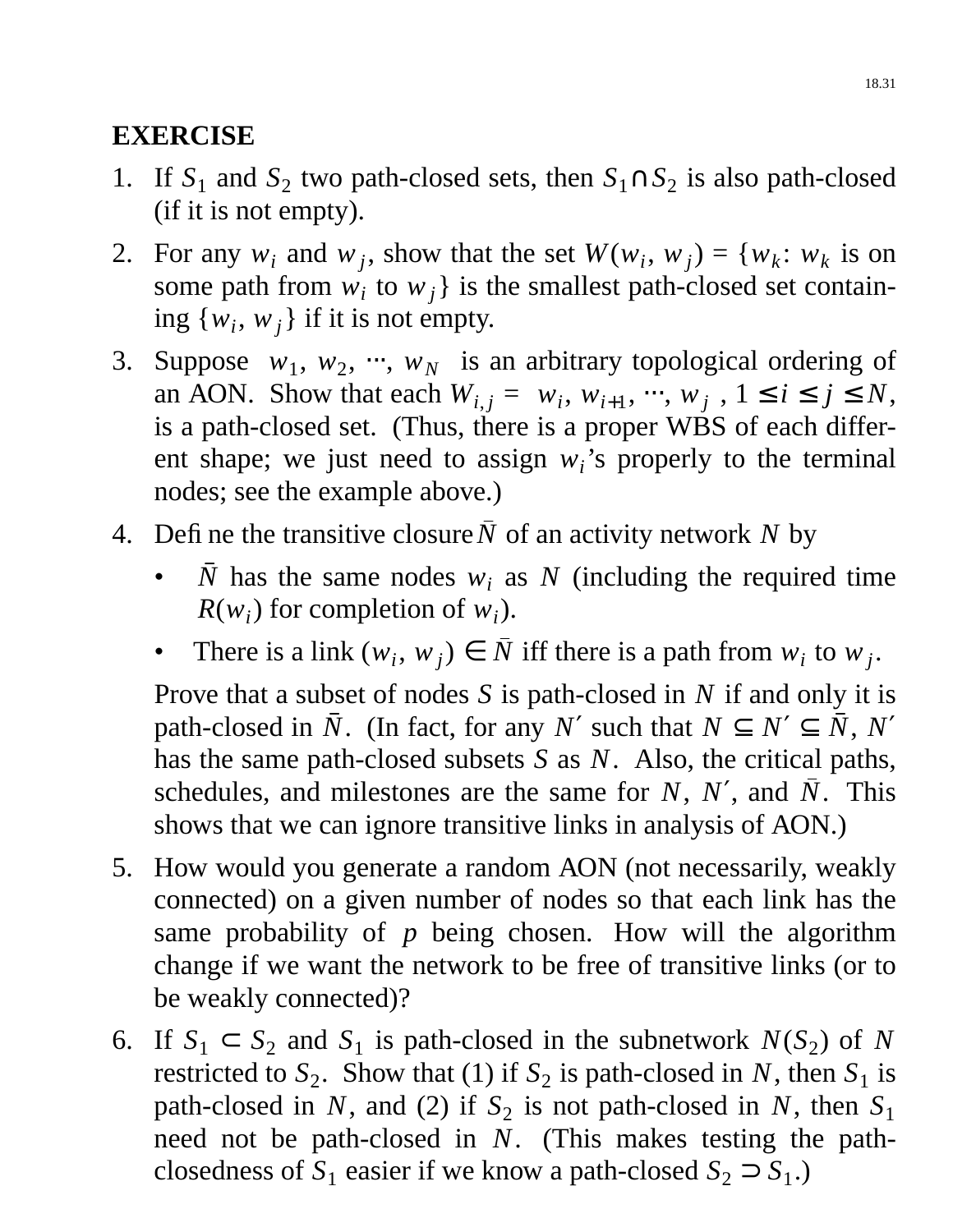### **EXERCISE**

- 1. If  $S_1$  and  $S_2$  two path-closed sets, then  $S_1 \cap S_2$  is also path-closed (if it is not empty).
- 2. For any  $w_i$  and  $w_j$ , show that the set  $W(w_i, w_j) = \{w_k : w_k \text{ is on } j \}$ some path from  $w_i$  to  $w_j$  is the smallest path-closed set containing  $\{w_i, w_j\}$  if it is not empty.
- 3. Suppose  $\langle w_1, w_2, ..., w_N \rangle$  is an arbitrary topological ordering of an AON. Show that each  $W_{i,j} = \langle w_i, w_{i+1}, \dots, w_j \rangle$ ,  $1 \le i \le j \le N$ , is a path-closed set. (Thus, there is a proper WBS of each different shape; we just need to assign *w<sup>i</sup>* 's properly to the terminal nodes; see the example above.)
- 4. Define the transitive closure  $\bar{N}$  of an activity network N by
	- *N* has the same nodes  $w_i$  as *N* (including the required time  $R(w_i)$  for completion of  $w_i$ ).
	- There is a link  $(w_i, w_j) \in \overline{N}$  iff there is a path from  $w_i$  to  $w_j$ .

Prove that a subset of nodes *S* is path-closed in *N* if and only it is path-closed in  $\overline{N}$ . (In fact, for any *N'* such that  $N \subseteq N' \subseteq \overline{N}$ ,  $N'$ has the same path-closed subsets *S* as *N*. Also, the critical paths, schedules, and milestones are the same for *N*, *N*′, and *N*. This shows that we can ignore transitive links in analysis of AON.)

- 5. How would you generate a random AON (not necessarily, weakly connected) on a given number of nodes so that each link has the same probability of *p* being chosen. How will the algorithm change if we want the network to be free of transitive links (or to be weakly connected)?
- 6. If  $S_1 \subset S_2$  and  $S_1$  is path-closed in the subnetwork  $N(S_2)$  of N restricted to  $S_2$ . Show that (1) if  $S_2$  is path-closed in *N*, then  $S_1$  is path-closed in *N*, and (2) if  $S_2$  is not path-closed in *N*, then  $S_1$ need not be path-closed in *N*. (This makes testing the pathclosedness of  $S_1$  easier if we know a path-closed  $S_2 \supset S_1$ .)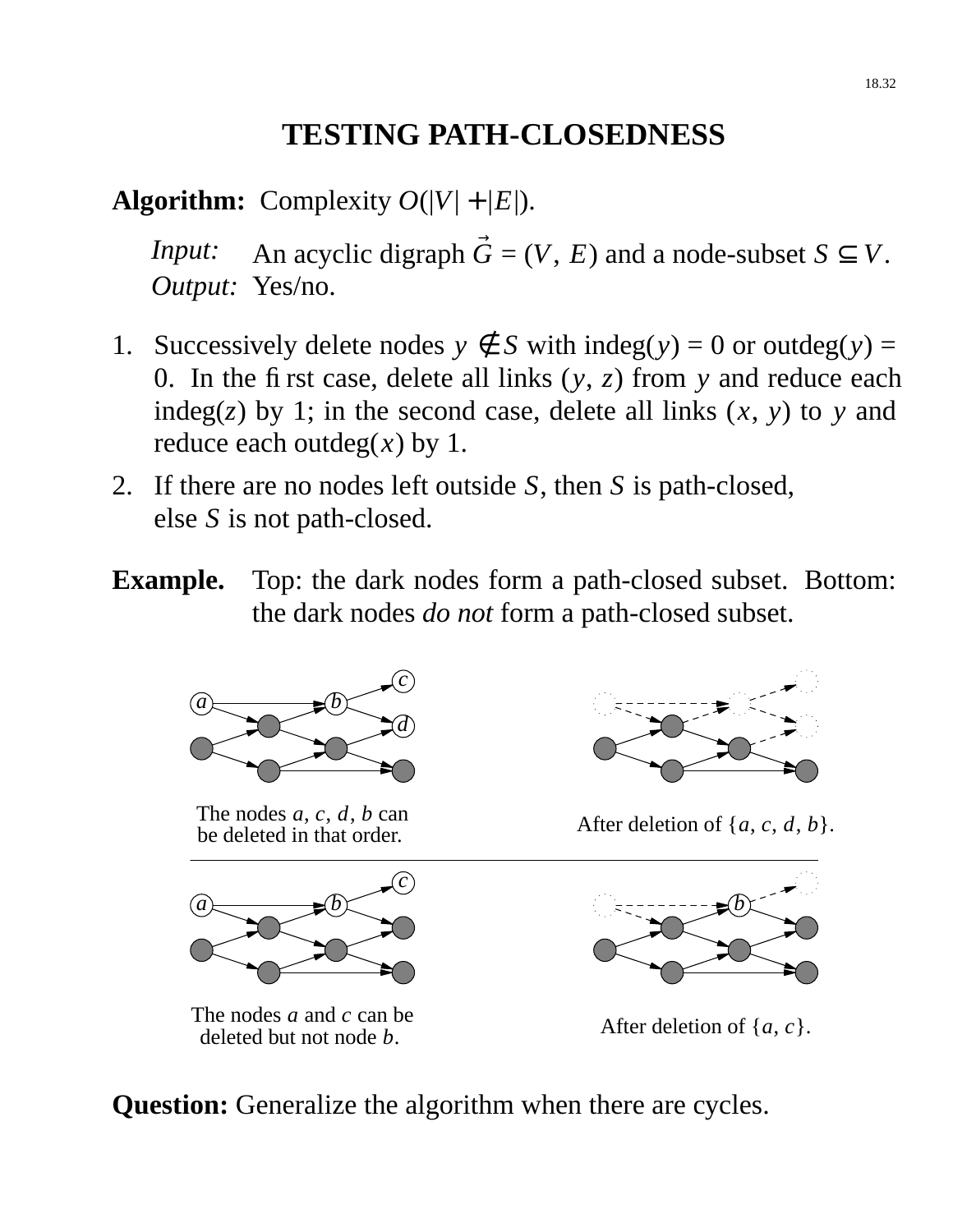## **TESTING PATH-CLOSEDNESS**

### **Algorithm:** Complexity  $O(|V| + |E|)$ .

*Input:* An acyclic digraph  $\vec{G} = (V, E)$  and a node-subset  $S \subseteq V$ . *Output:* Yes/no.

- 1. Successively delete nodes  $y \notin S$  with indeg( $y$ ) = 0 or outdeg( $y$ ) = 0. In the first case, delete all links (*y*, *z*) from *y* and reduce each indeg(*z*) by 1; in the second case, delete all links  $(x, y)$  to  $y$  and reduce each outdeg $(x)$  by 1.
- 2. If there are no nodes left outside *S*, then *S* is path-closed, else *S* is not path-closed.
- **Example.** Top: the dark nodes form a path-closed subset. Bottom: the dark nodes *do not* form a path-closed subset.



The nodes *a*, *c*, *d*, *b* can be deleted in that order.



The nodes *a* and *c* can be deleted but not node *b*.

After deletion of  $\{a, c, d, b\}$ .



After deletion of {*a*, *c*}.

**Question:** Generalize the algorithm when there are cycles.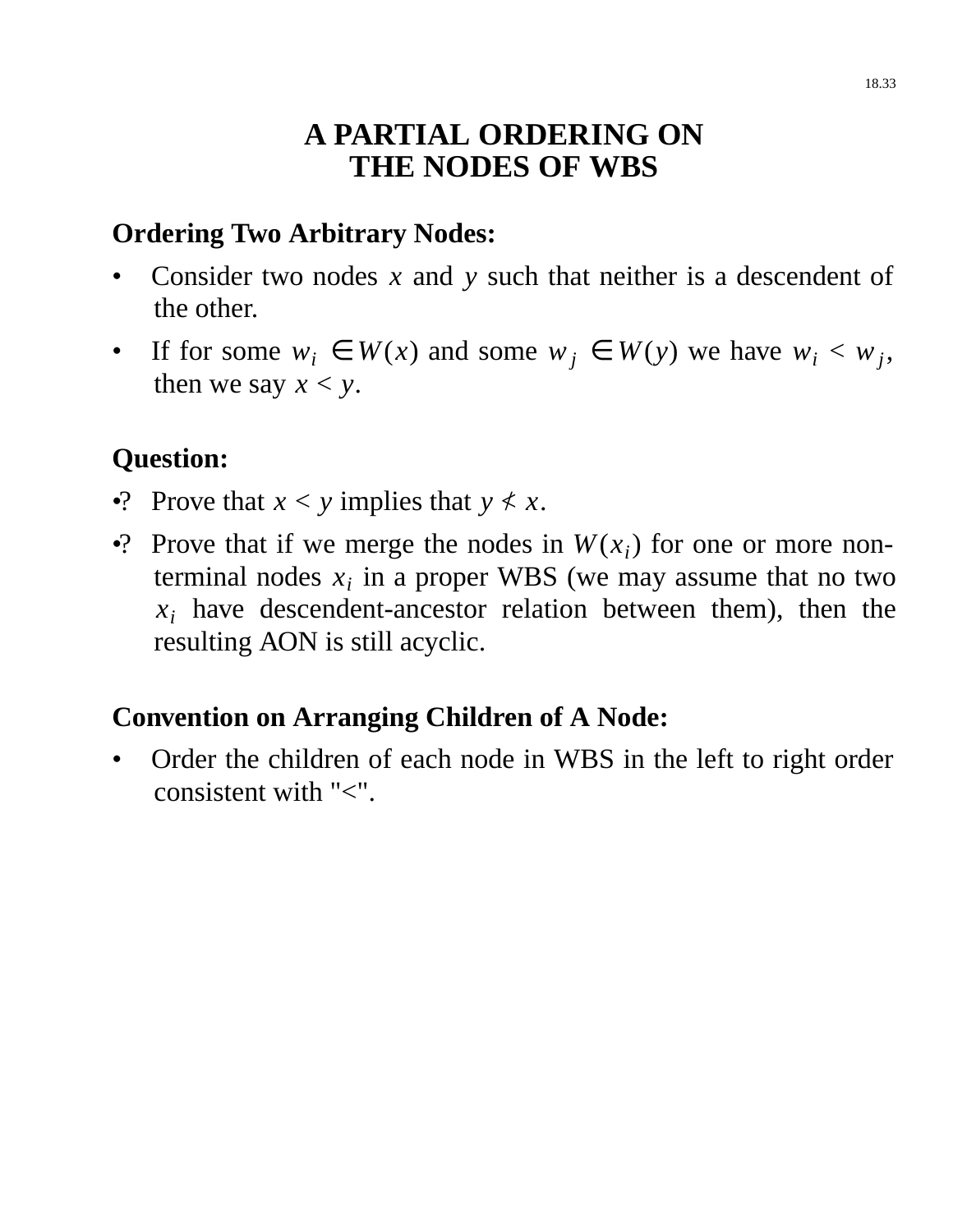### **A PARTIAL ORDERING ON THE NODES OF WBS**

#### **Ordering Two Arbitrary Nodes:**

- Consider two nodes x and y such that neither is a descendent of the other.
- If for some  $w_i \in W(x)$  and some  $w_j \in W(y)$  we have  $w_i < w_j$ , then we say  $x < y$ .

### **Question:**

- •? Prove that  $x < y$  implies that  $y \nless x$ .
- •? Prove that if we merge the nodes in  $W(x_i)$  for one or more nonterminal nodes  $x_i$  in a proper WBS (we may assume that no two  $x_i$  have descendent-ancestor relation between them), then the resulting AON is still acyclic.

#### **Convention on Arranging Children of A Node:**

• Order the children of each node in WBS in the left to right order consistent with "<".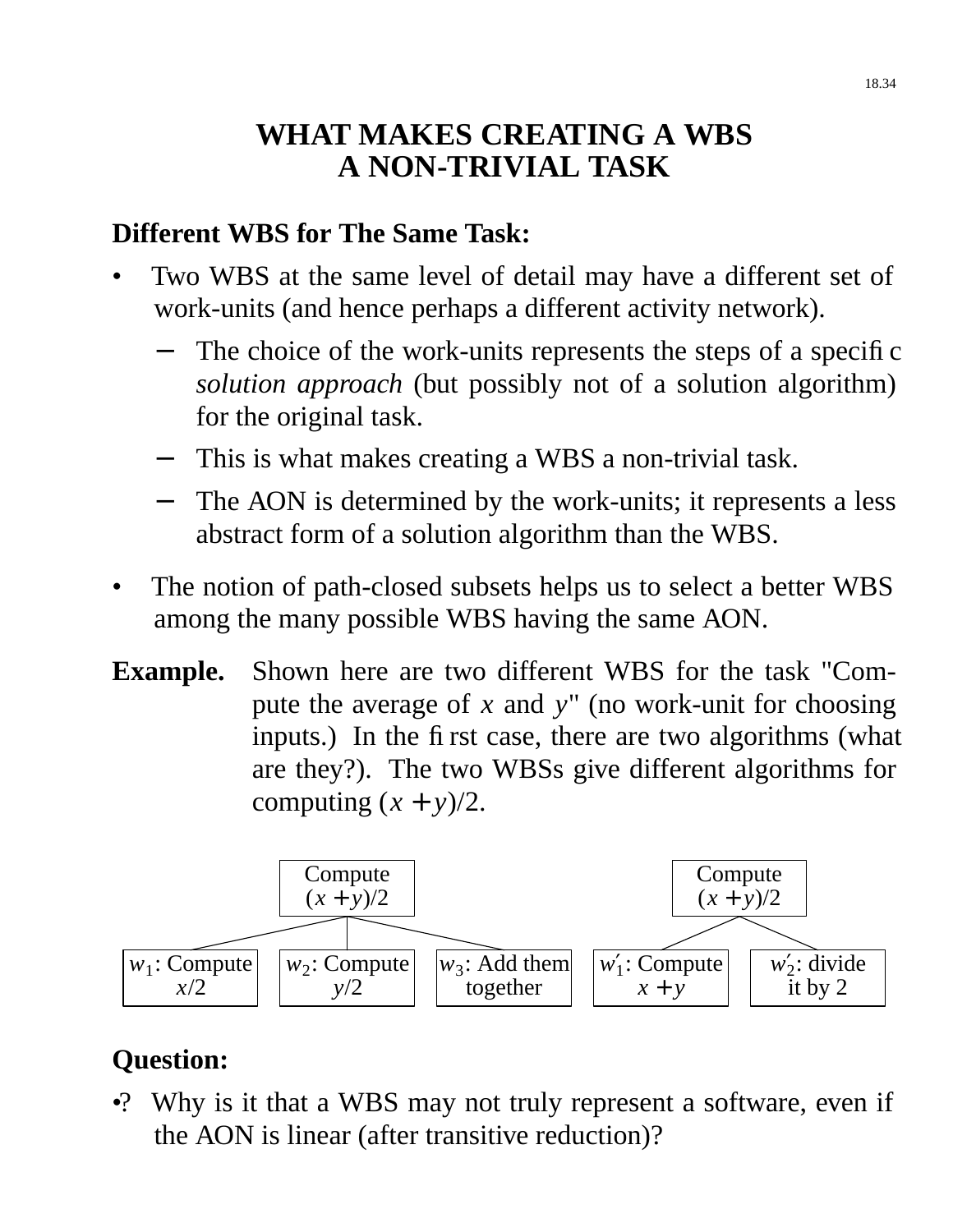### **WHAT MAKES CREATING A WBS A NON-TRIVIAL TASK**

#### **Different WBS for The Same Task:**

- Two WBS at the same level of detail may have a different set of work-units (and hence perhaps a different activity network).
	- The choice of the work-units represents the steps of a specific *solution approach* (but possibly not of a solution algorithm) for the original task.
	- − This is what makes creating a WBS a non-trivial task.
	- − The AON is determined by the work-units; it represents a less abstract form of a solution algorithm than the WBS.
- The notion of path-closed subsets helps us to select a better WBS among the many possible WBS having the same AON.
- **Example.** Shown here are two different WBS for the task "Compute the average of *x* and *y*" (no work-unit for choosing inputs.) In the first case, there are two algorithms (what are they?). The two WBSs give different algorithms for computing  $(x + y)/2$ .



### **Question:**

•? Why is it that a WBS may not truly represent a software, even if the AON is linear (after transitive reduction)?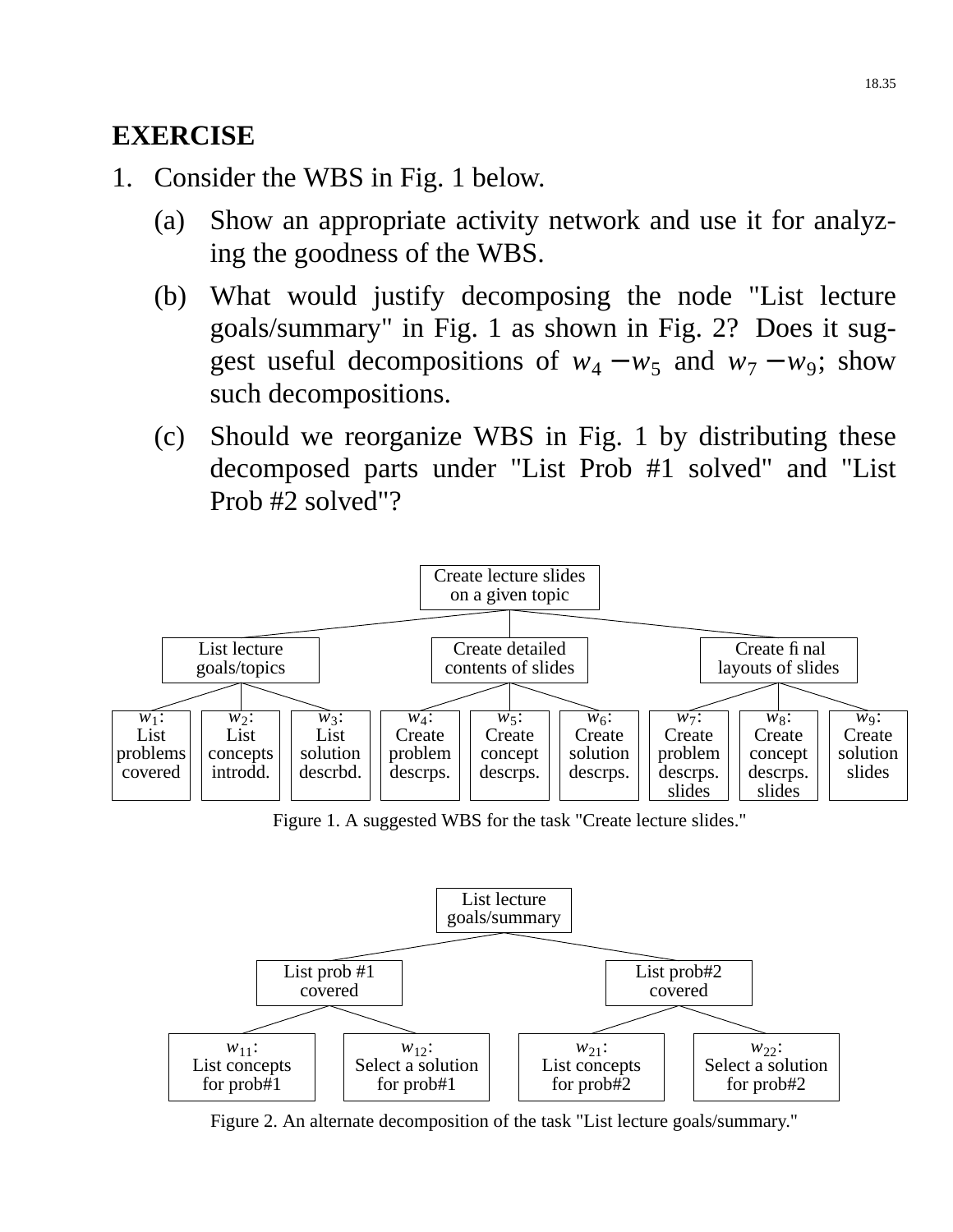#### **EXERCISE**

- 1. Consider the WBS in Fig. 1 below.
	- (a) Show an appropriate activity network and use it for analyzing the goodness of the WBS.
	- (b) What would justify decomposing the node "List lecture goals/summary" in Fig. 1 as shown in Fig. 2? Does it suggest useful decompositions of  $w_4 - w_5$  and  $w_7 - w_9$ ; show such decompositions.
	- (c) Should we reorganize WBS in Fig. 1 by distributing these decomposed parts under "List Prob #1 solved" and "List Prob #2 solved"?



Figure 1. A suggested WBS for the task "Create lecture slides."



Figure 2. An alternate decomposition of the task "List lecture goals/summary."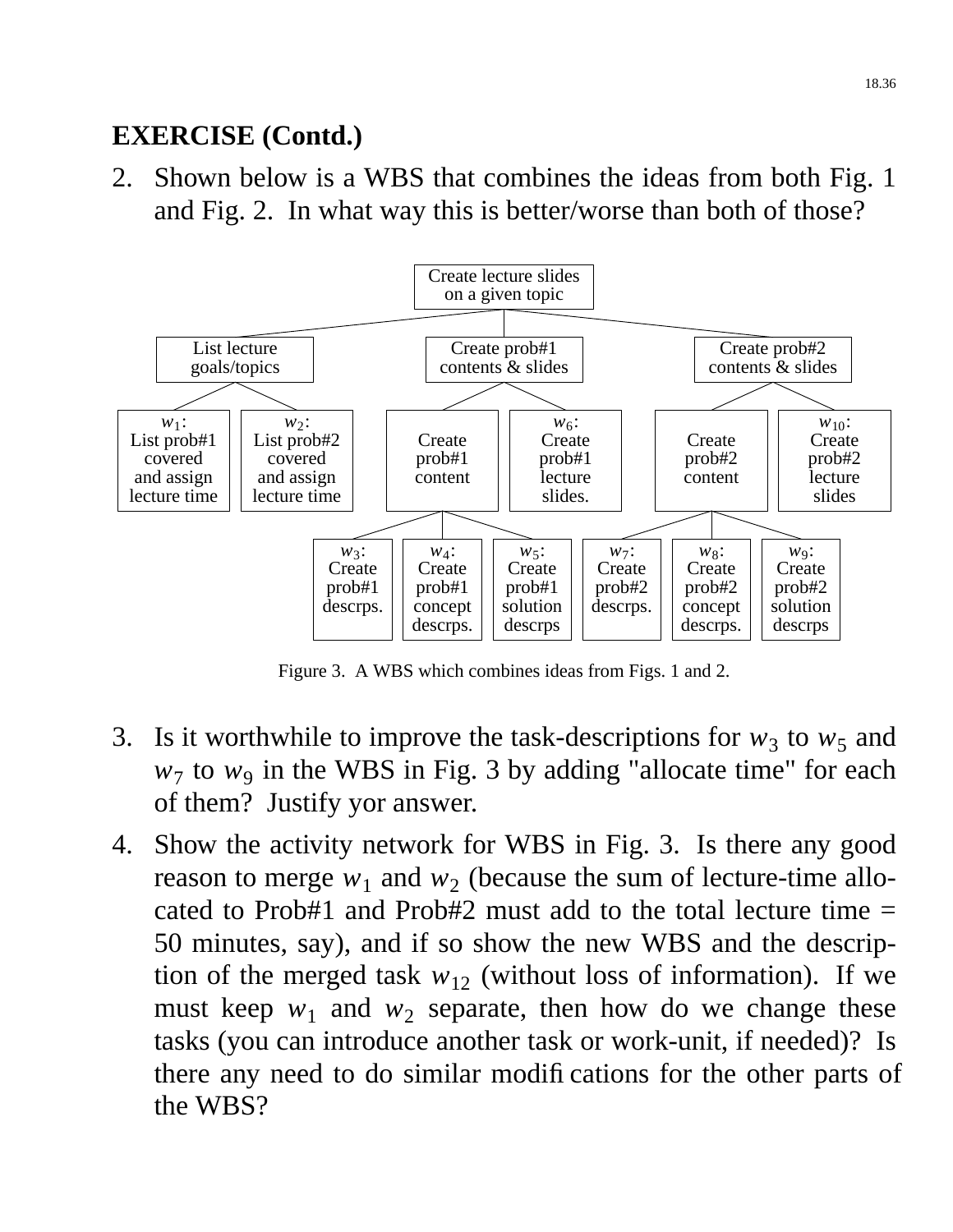### **EXERCISE (Contd.)**

2. Shown below is a WBS that combines the ideas from both Fig. 1 and Fig. 2. In what way this is better/worse than both of those?



Figure 3. A WBS which combines ideas from Figs. 1 and 2.

- 3. Is it worthwhile to improve the task-descriptions for  $w_3$  to  $w_5$  and  $w_7$  to  $w_9$  in the WBS in Fig. 3 by adding "allocate time" for each of them? Justify yor answer.
- 4. Show the activity network for WBS in Fig. 3. Is there any good reason to merge  $w_1$  and  $w_2$  (because the sum of lecture-time allocated to Prob#1 and Prob#2 must add to the total lecture time  $=$ 50 minutes, say), and if so show the new WBS and the description of the merged task  $w_{12}$  (without loss of information). If we must keep  $w_1$  and  $w_2$  separate, then how do we change these tasks (you can introduce another task or work-unit, if needed)? Is there any need to do similar modifications for the other parts of the WBS?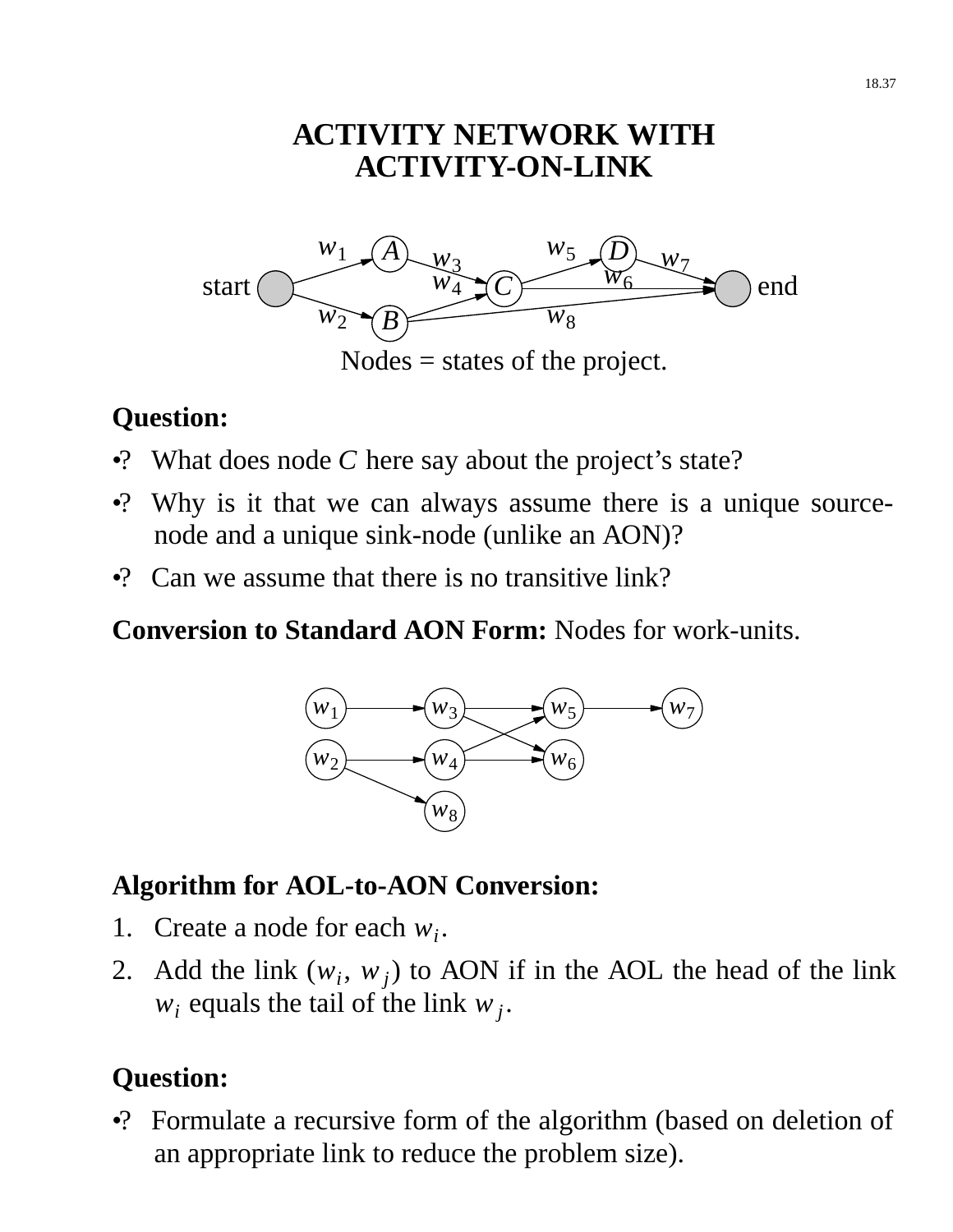#### **ACTIVITY NETWORK WITH ACTIVITY-ON-LINK**



#### **Question:**

- •? What does node *C* here say about the project's state?
- •? Why is it that we can always assume there is a unique sourcenode and a unique sink-node (unlike an AON)?
- •? Can we assume that there is no transitive link?

### **Conversion to Standard AON Form:** Nodes for work-units.



### **Algorithm for AOL-to-AON Conversion:**

- 1. Create a node for each  $w_i$ .
- 2. Add the link  $(w_i, w_j)$  to AON if in the AOL the head of the link *w<sup>i</sup>* equals the tail of the link *w<sup>j</sup>* .

### **Question:**

•? Formulate a recursive form of the algorithm (based on deletion of an appropriate link to reduce the problem size).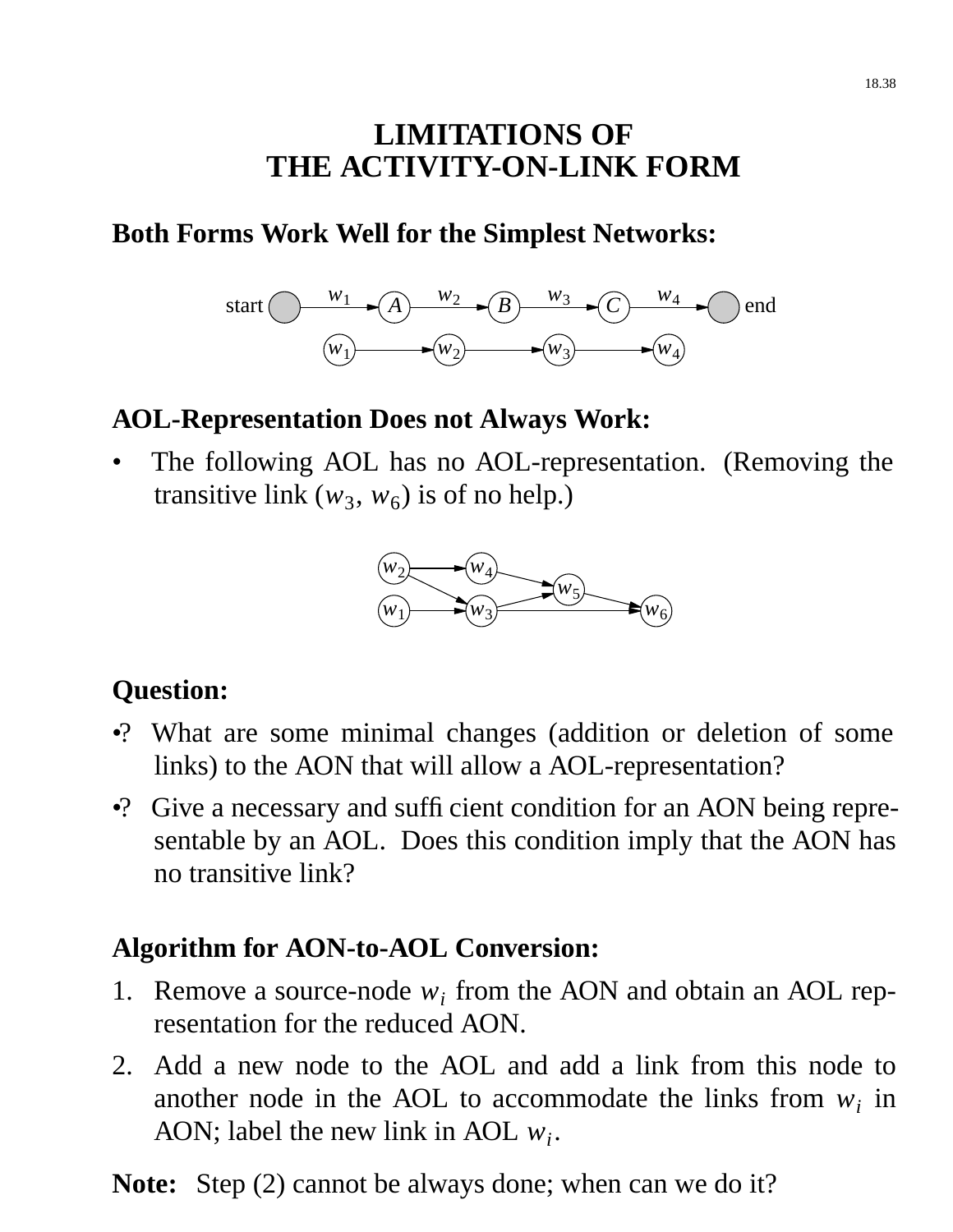### **LIMITATIONS OF THE ACTIVITY-ON-LINK FORM**

### **Both Forms Work Well for the Simplest Networks:**



#### **AOL-Representation Does not Always Work:**

The following AOL has no AOL-representation. (Removing the transitive link  $(w_3, w_6)$  is of no help.)



#### **Question:**

- •? What are some minimal changes (addition or deletion of some links) to the AON that will allow a AOL-representation?
- •? Give a necessary and sufficient condition for an AON being representable by an AOL. Does this condition imply that the AON has no transitive link?

### **Algorithm for AON-to-AOL Conversion:**

- 1. Remove a source-node  $w_i$  from the AON and obtain an AOL representation for the reduced AON.
- 2. Add a new node to the AOL and add a link from this node to another node in the AOL to accommodate the links from  $w_i$  in AON; label the new link in AOL *w<sup>i</sup>* .
- **Note:** Step (2) cannot be always done; when can we do it?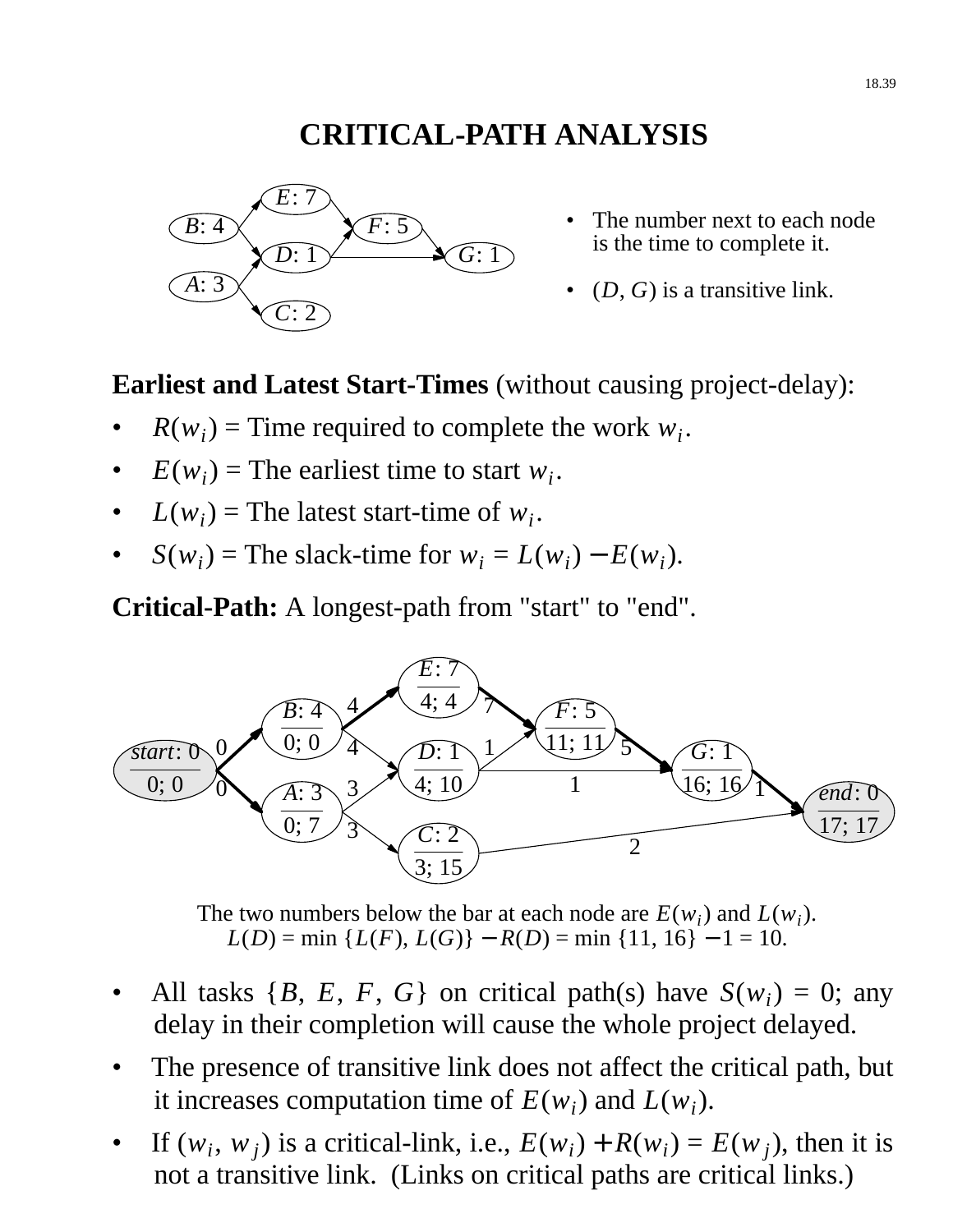## **CRITICAL-PATH ANALYSIS**



- The number next to each node is the time to complete it. •
- $(D, G)$  is a transitive link. •

**Earliest and Latest Start-Times** (without causing project-delay):

- $R(w_i)$  = Time required to complete the work  $w_i$ .
- $E(w_i)$  = The earliest time to start  $w_i$ .
- $L(w_i)$  = The latest start-time of  $w_i$ .
- $S(w_i)$  = The slack-time for  $w_i = L(w_i) E(w_i)$ .

**Critical-Path:** A longest-path from "start" to "end".



The two numbers below the bar at each node are  $E(w_i)$  and  $L(w_i)$ .  $L(D) = \min \{L(F), L(G)\} - R(D) = \min \{11, 16\} - 1 = 10.$ 

- All tasks  $\{B, E, F, G\}$  on critical path(s) have  $S(w_i) = 0$ ; any delay in their completion will cause the whole project delayed.
- The presence of transitive link does not affect the critical path, but it increases computation time of  $E(w_i)$  and  $L(w_i)$ .
- If  $(w_i, w_j)$  is a critical-link, i.e.,  $E(w_i) + R(w_i) = E(w_j)$ , then it is not a transitive link. (Links on critical paths are critical links.)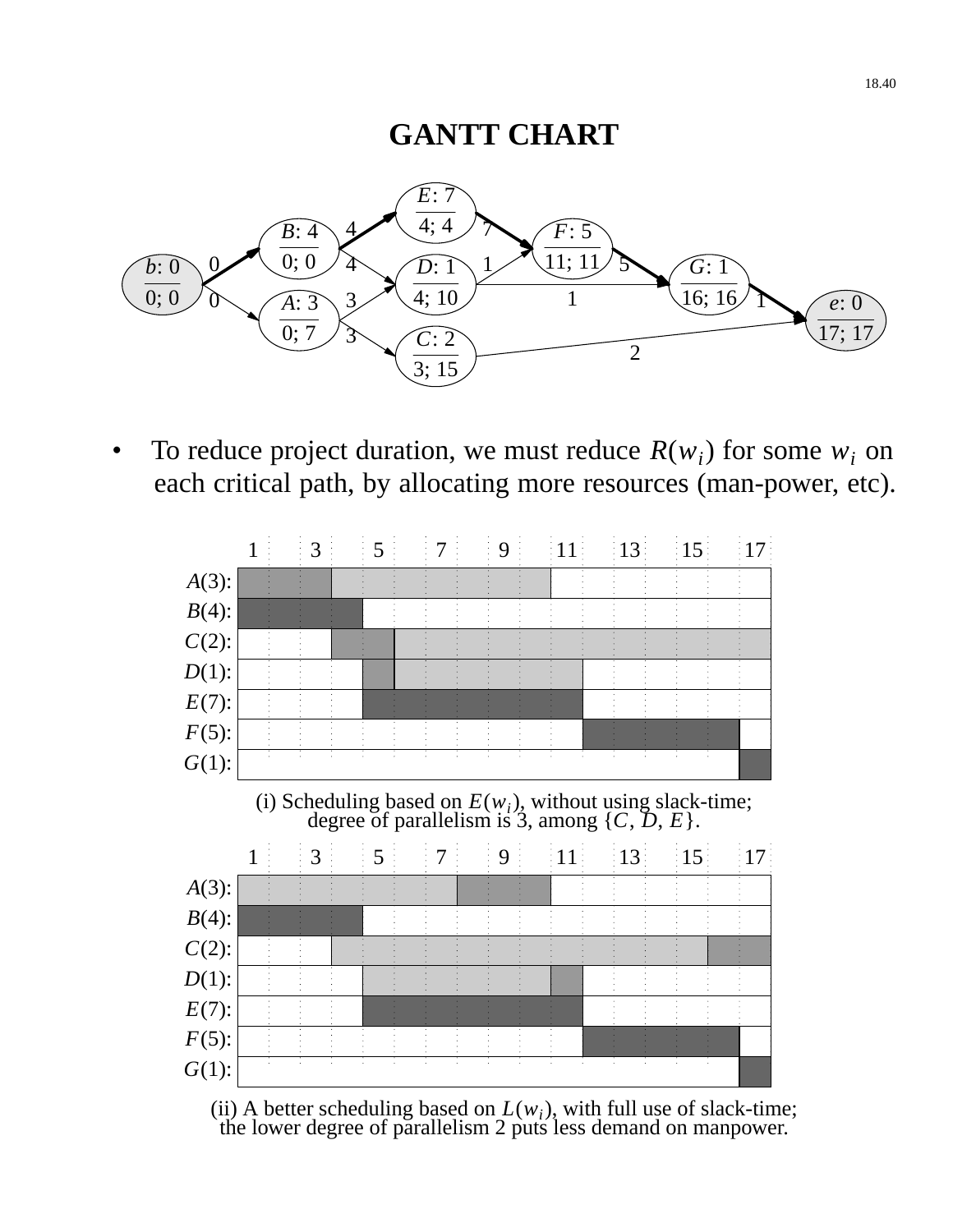### **GANTT CHART**



• To reduce project duration, we must reduce  $R(w_i)$  for some  $w_i$  on each critical path, by allocating more resources (man-power, etc).



(ii) A better scheduling based on  $L(w_i)$ , with full use of slack-time; the lower degree of parallelism 2 puts less demand on manpower.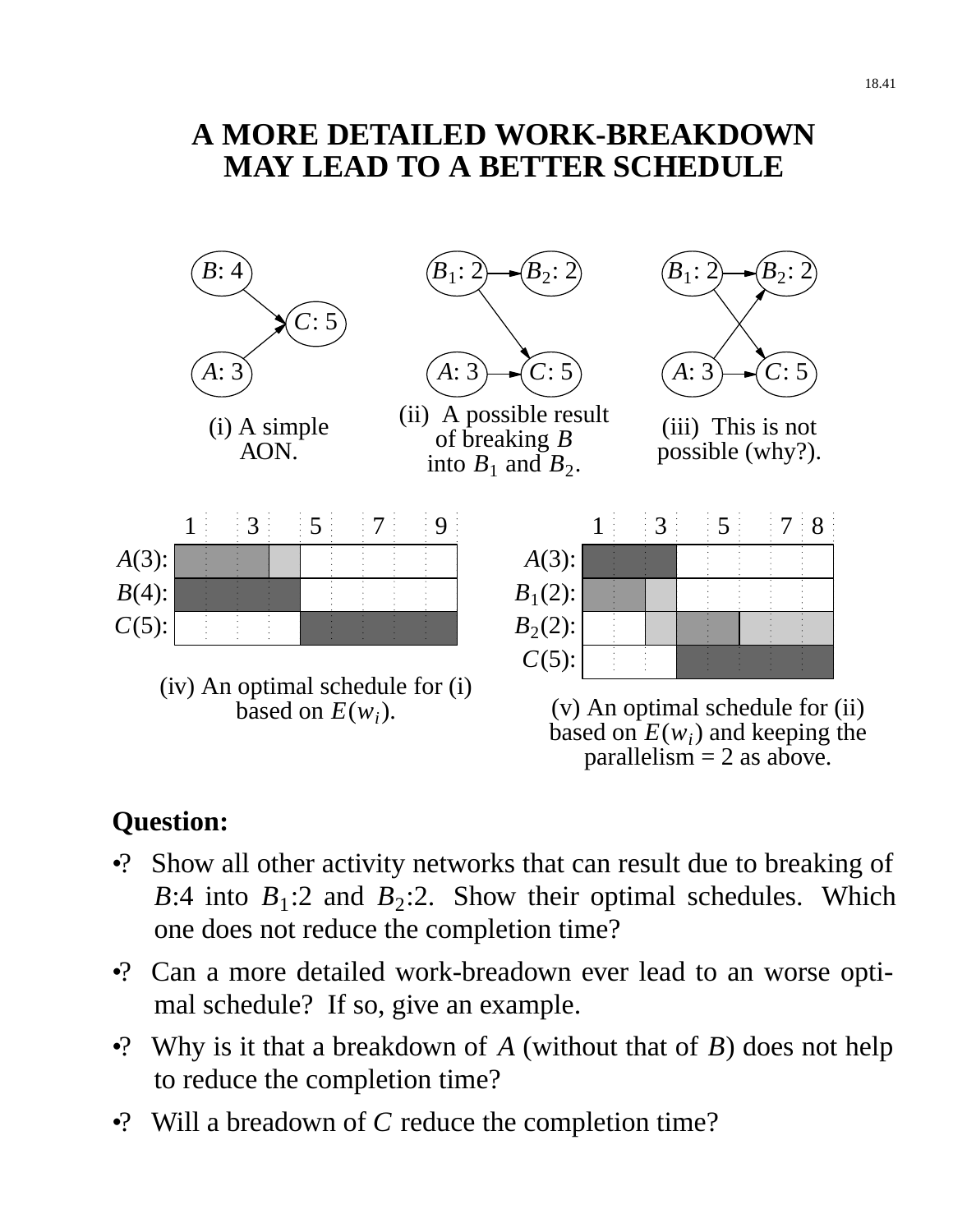### **A MORE DETAILED WORK-BREAKDOWN MAY LEAD TO A BETTER SCHEDULE**



- •? Show all other activity networks that can result due to breaking of *B*:4 into  $B_1$ :2 and  $B_2$ :2. Show their optimal schedules. Which one does not reduce the completion time?
- •? Can a more detailed work-breadown ever lead to an worse optimal schedule? If so, give an example.
- •? Why is it that a breakdown of *A* (without that of *B*) does not help to reduce the completion time?
- •? Will a breadown of *C* reduce the completion time?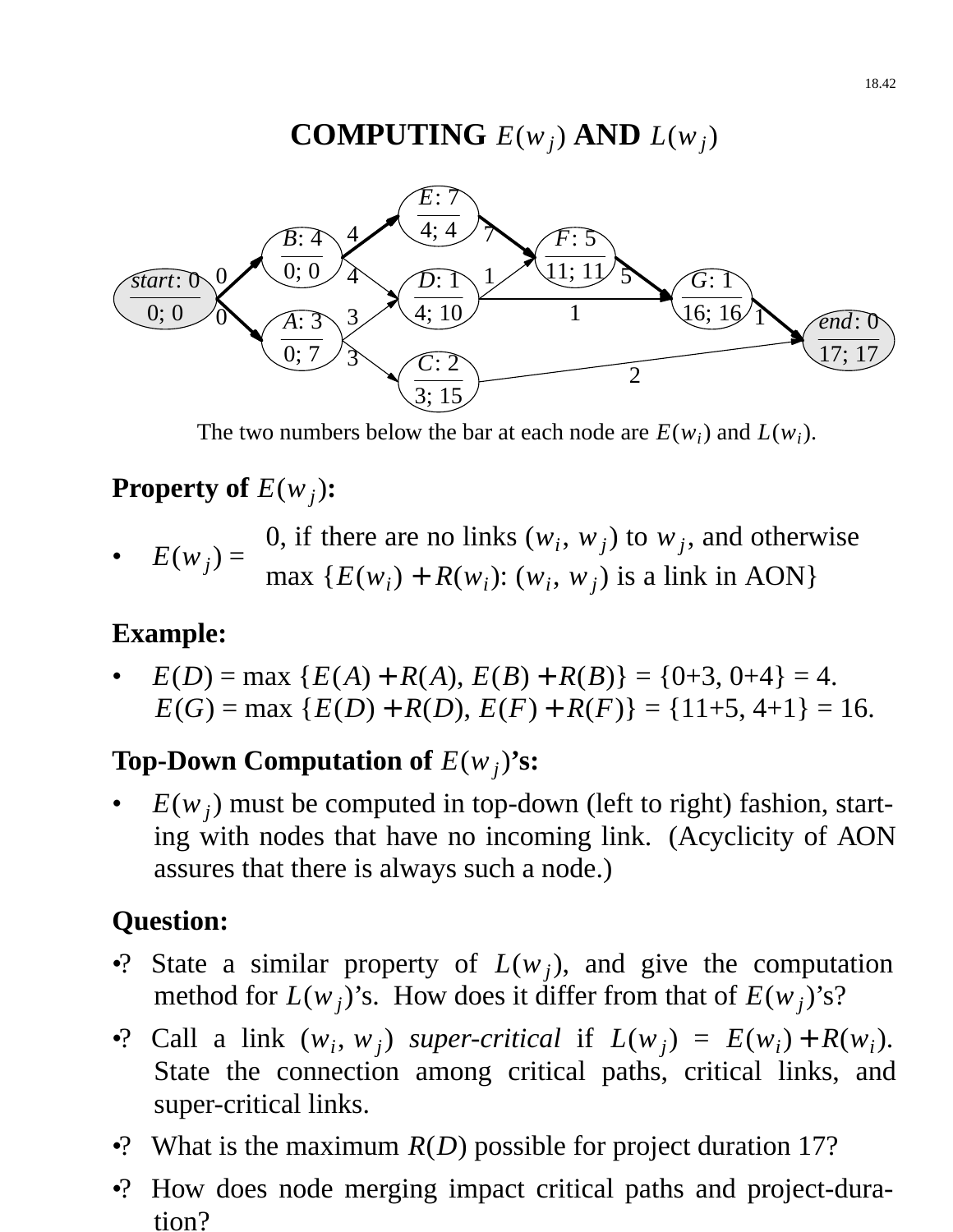# **COMPUTING**  $E(w_j)$  **AND**  $L(w_j)$



The two numbers below the bar at each node are  $E(w_i)$  and  $L(w_i)$ .

### **Property of**  $E(w_j)$ :

•  $E(w_j) =$  $\vert$  $\big\{$  $\lfloor$ 0, if there are no links  $(w_i, w_j)$  to  $w_j$ , and otherwise max  $\{E(w_i) + R(w_i): (w_i, w_j)$  is a link in AON $\}$ 

#### **Example:**

 $E(D) = \max \{E(A) + R(A), E(B) + R(B)\} = \{0+3, 0+4\} = 4.$  $E(G) = \max \{ E(D) + R(D), E(F) + R(F) \} = \{ 11+5, 4+1 \} = 16.$ 

### **Top-Down Computation of**  $E(w_j)$ 's:

•  $E(w_j)$  must be computed in top-down (left to right) fashion, starting with nodes that have no incoming link. (Acyclicity of AON assures that there is always such a node.)

- •? State a similar property of  $L(w_j)$ , and give the computation method for  $L(w_j)$ 's. How does it differ from that of  $E(w_j)$ 's?
- •? Call a link  $(w_i, w_j)$  super-critical if  $L(w_j) = E(w_i) + R(w_i)$ . State the connection among critical paths, critical links, and super-critical links.
- •? What is the maximum *R(D)* possible for project duration 17?
- •? How does node merging impact critical paths and project-duration?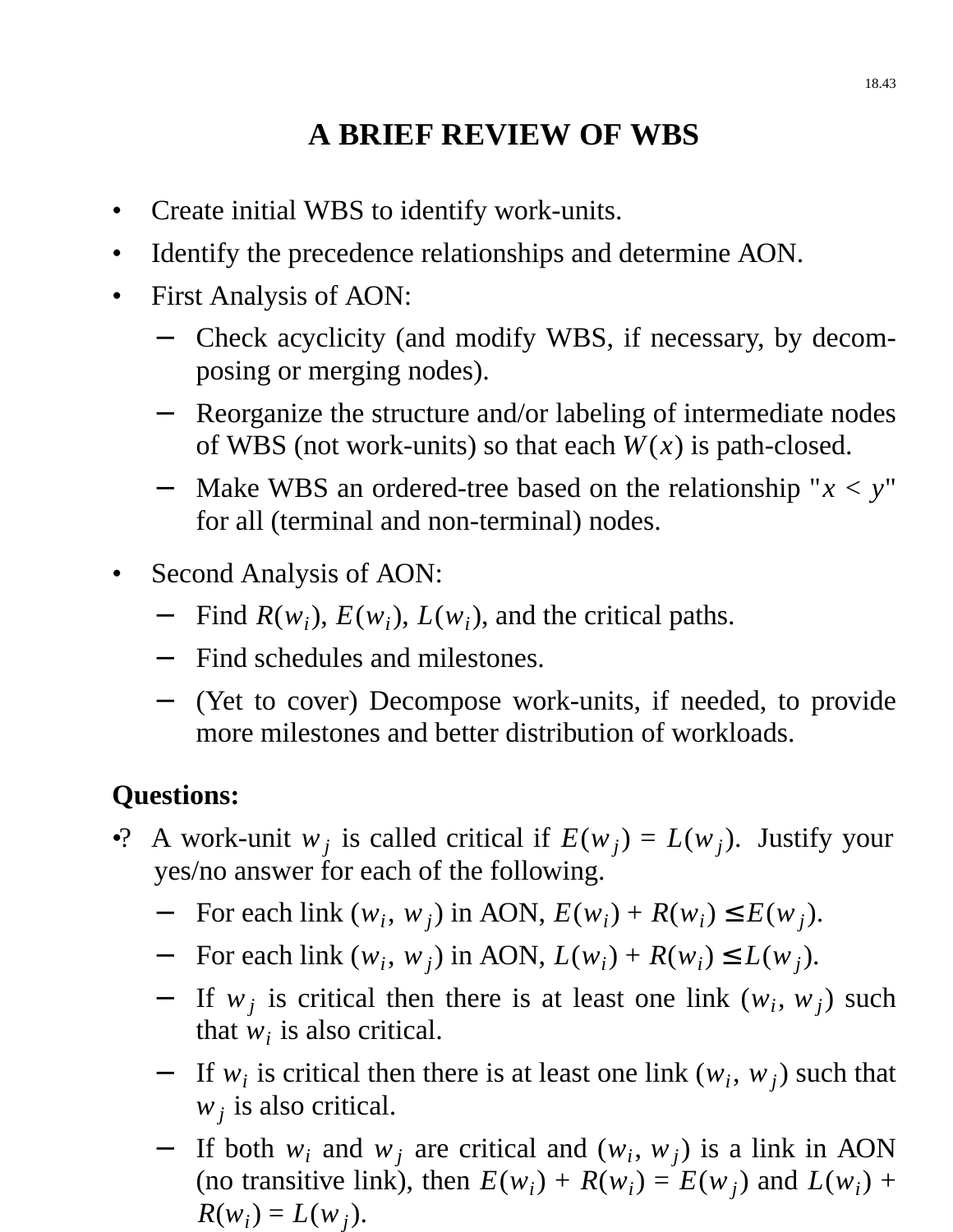# **A BRIEF REVIEW OF WBS**

- Create initial WBS to identify work-units.
- Identify the precedence relationships and determine AON.
- First Analysis of AON:
	- − Check acyclicity (and modify WBS, if necessary, by decomposing or merging nodes).
	- Reorganize the structure and/or labeling of intermediate nodes of WBS (not work-units) so that each *W*(*x*) is path-closed.
	- Make WBS an ordered-tree based on the relationship " $x < y$ " for all (terminal and non-terminal) nodes.
- Second Analysis of AON:
	- − Find *R*(*w<sup>i</sup>* ), *E*(*w<sup>i</sup>* ), *L*(*w<sup>i</sup>* ), and the critical paths.
	- Find schedules and milestones.
	- − (Yet to cover) Decompose work-units, if needed, to provide more milestones and better distribution of workloads.

- •? A work-unit  $w_j$  is called critical if  $E(w_j) = L(w_j)$ . Justify your yes/no answer for each of the following.
	- − For each link  $(w_i, w_j)$  in AON,  $E(w_i) + R(w_i) \le E(w_j)$ .
	- − For each link  $(w_i, w_j)$  in AON,  $L(w_i) + R(w_i) \le L(w_j)$ .
	- − If *w<sup>j</sup>* is critical then there is at least one link (*w<sup>i</sup>* , *w<sup>j</sup>* ) such that  $w_i$  is also critical.
	- − If *w<sup>i</sup>* is critical then there is at least one link (*w<sup>i</sup>* , *w<sup>j</sup>* ) such that *wj* is also critical.
	- − If both *w<sup>i</sup>* and *w<sup>j</sup>* are critical and (*w<sup>i</sup>* , *w<sup>j</sup>* ) isalink in AON (no transitive link), then  $E(w_i) + R(w_i) = E(w_j)$  and  $L(w_i) +$  $R(w_i) = L(w_j).$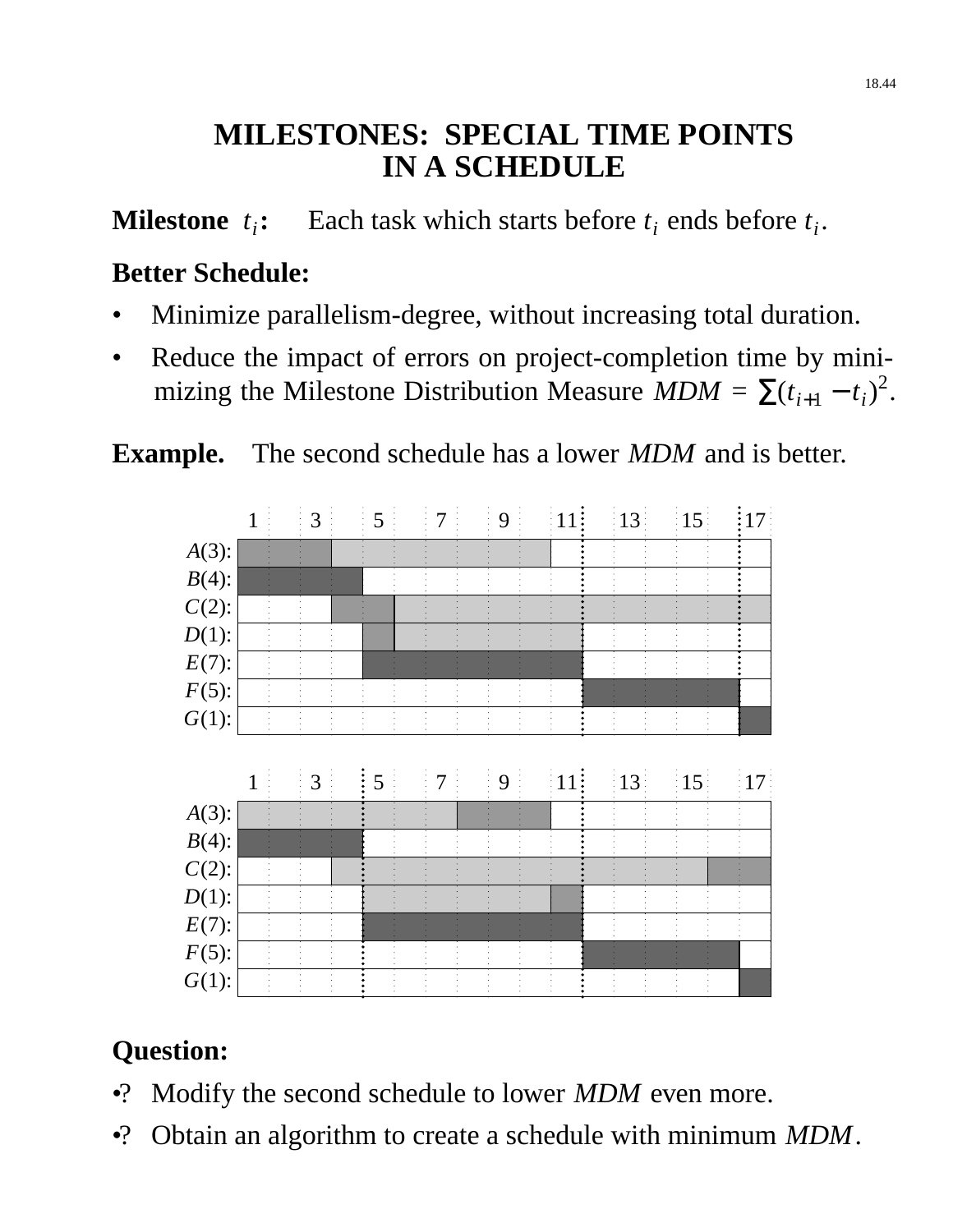### **MILESTONES: SPECIAL TIME POINTS IN A SCHEDULE**

**Milestone** *t<sup>i</sup>* **:** Each task which starts before  $t_i$  ends before  $t_i$ .

#### **Better Schedule:**

- Minimize parallelism-degree, without increasing total duration.
- Reduce the impact of errors on project-completion time by minimizing the Milestone Distribution Measure  $MDM = \sum (t_{i+1} - t_i)^2$ .

*A*(3): *B*(4): *C*(2): *D*(1): *E*(7): *F*(5): *G*(1): 1 3 5 7 9 11 13 15 17 *A*(3): *B*(4): *C*(2): *D*(1): *E*(7): *F*(5): *G*(1):  $\mathbf{1} \vdash \exists \; \mathbf{3} \vdash \; \exists \; \mathbf{5} \vdash \exists \; \mathbf{7} \vdash \exists \; \mathbf{9} \vdash \exists \; \mathbf{11} \vdash \exists \; \mathbf{13} \vdash \exists \; \mathbf{15} \vdash \exists \; \mathbf{17}$ 

**Example.** The second schedule has a lower *MDM* and is better.

- •? Modify the second schedule to lower *MDM* even more.
- •? Obtain an algorithm to create a schedule with minimum *MDM*.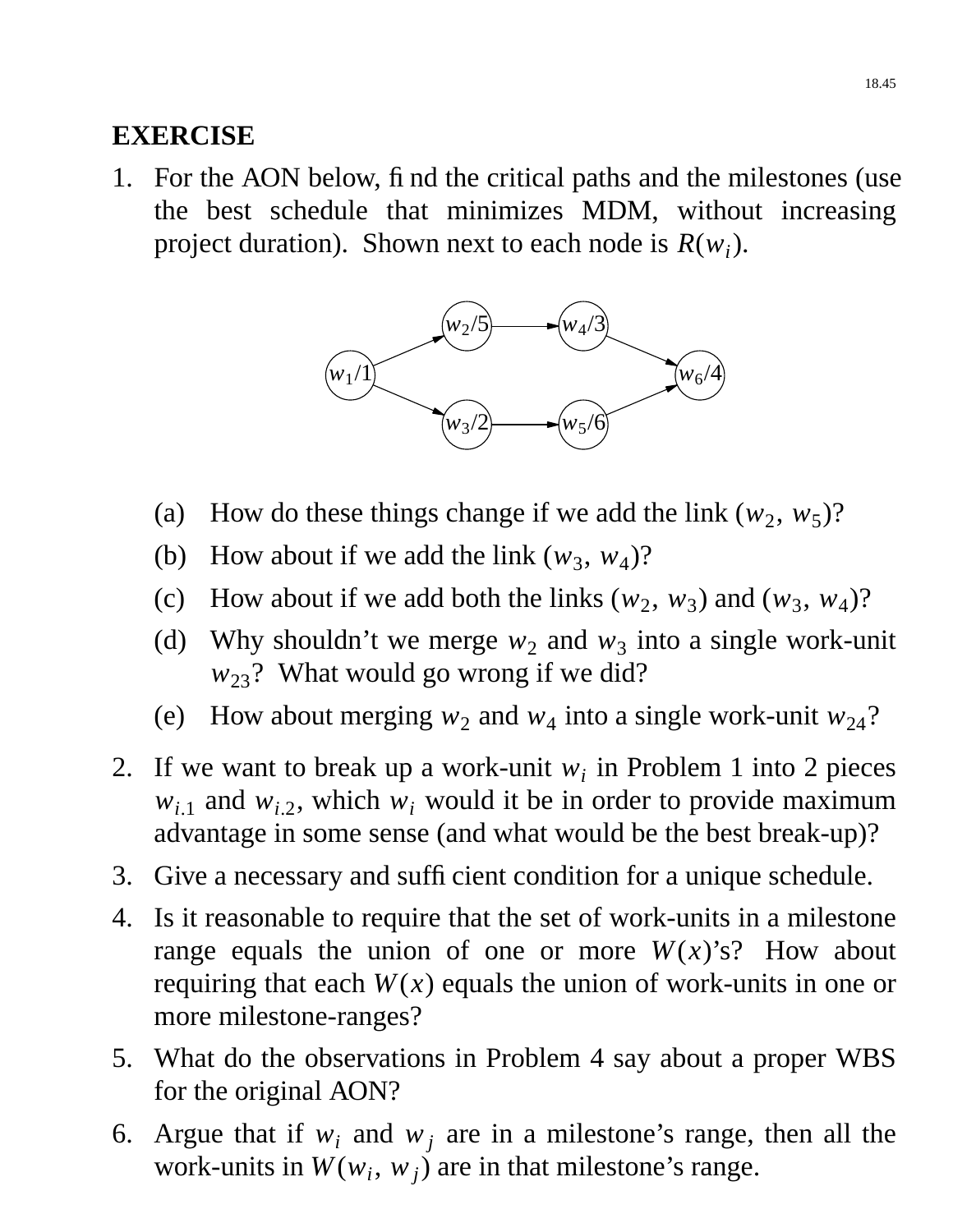#### **EXERCISE**

1. For the AON below, find the critical paths and the milestones (use the best schedule that minimizes MDM, without increasing project duration). Shown next to each node is  $R(w_i)$ .



- (a) How do these things change if we add the link  $(w_2, w_5)$ ?
- (b) How about if we add the link  $(w_3, w_4)$ ?
- (c) How about if we add both the links  $(w_2, w_3)$  and  $(w_3, w_4)$ ?
- (d) Why shouldn't we merge  $w_2$  and  $w_3$  into a single work-unit  $w_{23}$ ? What would go wrong if we did?
- (e) How about merging  $w_2$  and  $w_4$  into a single work-unit  $w_{24}$ ?
- 2. If we want to break up a work-unit  $w_i$  in Problem 1 into 2 pieces  $w_{i,1}$  and  $w_{i,2}$ , which  $w_i$  would it be in order to provide maximum advantage in some sense (and what would be the best break-up)?
- 3. Give a necessary and sufficient condition for a unique schedule.
- 4. Is it reasonable to require that the set of work-units in a milestone range equals the union of one or more  $W(x)$ 's? How about requiring that each  $W(x)$  equals the union of work-units in one or more milestone-ranges?
- 5. What do the observations in Problem 4 say about a proper WBS for the original AON?
- 6. Argue that if  $w_i$  and  $w_j$  are in a milestone's range, then all the work-units in  $W(w_i, w_j)$  are in that milestone's range.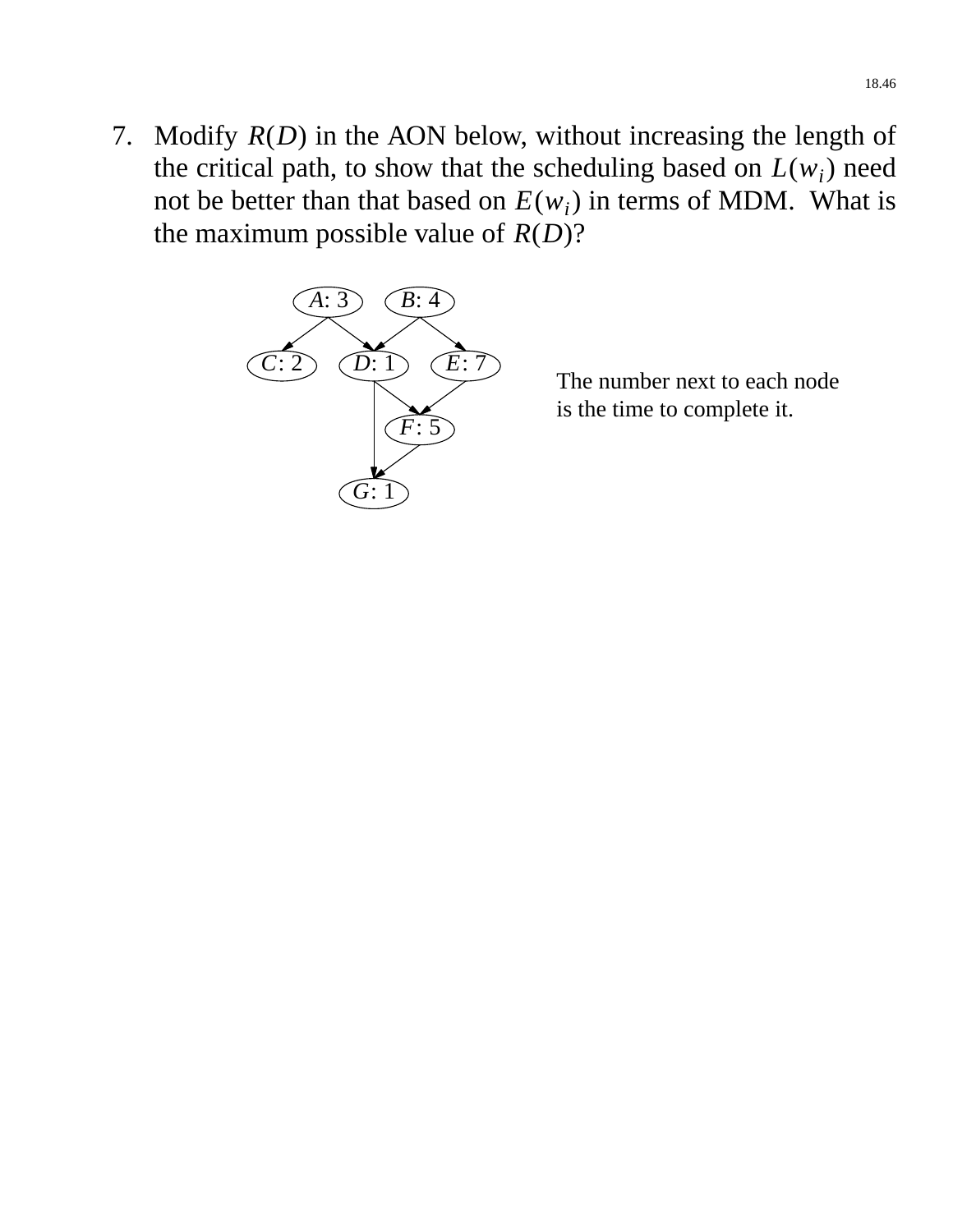7. Modify *R*(*D*) in the AON below, without increasing the length of the critical path, to show that the scheduling based on  $L(w_i)$  need not be better than that based on  $E(w_i)$  in terms of MDM. What is the maximum possible value of *R*(*D*)?



The number next to each node is the time to complete it.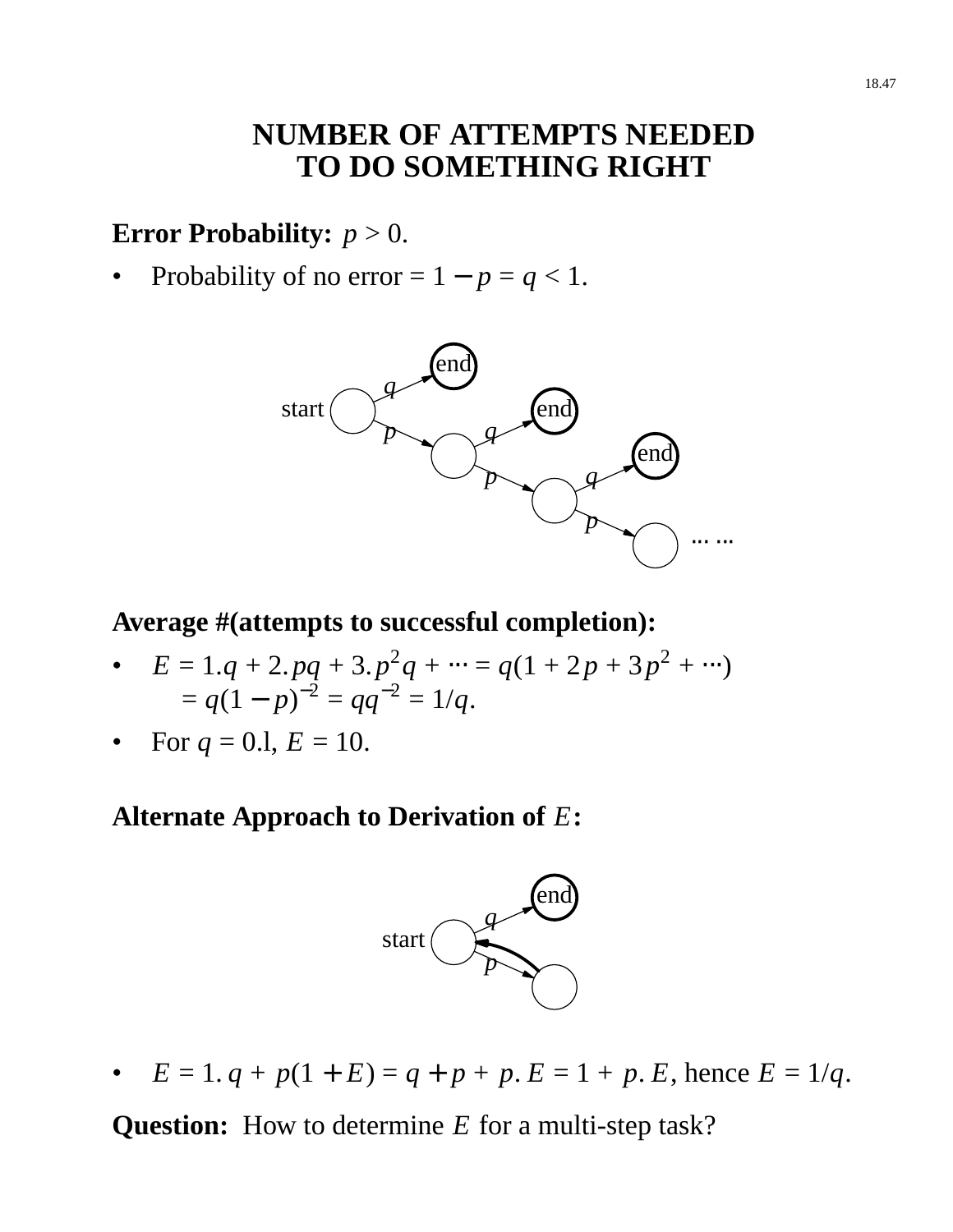### **NUMBER OF ATTEMPTS NEEDED TO DO SOMETHING RIGHT**

**Error Probability:**  $p > 0$ .

Probability of no error =  $1 - p = q < 1$ .



#### **Av erage #(attempts to successful completion):**

- $E = 1.q + 2.pq + 3.p^2q + \cdots = q(1 + 2p + 3p^2 + \cdots)$  $=q(1-p)^{-2}=qq^{-2}=1/q.$
- For  $q = 0.1, E = 10$ .

#### **Alternate Approach to Derivation of** *E***:**



 $E = 1. q + p(1 + E) = q + p + p$ .  $E = 1 + p$ .  $E$ , hence  $E = 1/q$ .

**Question:** How to determine *E* for a multi-step task?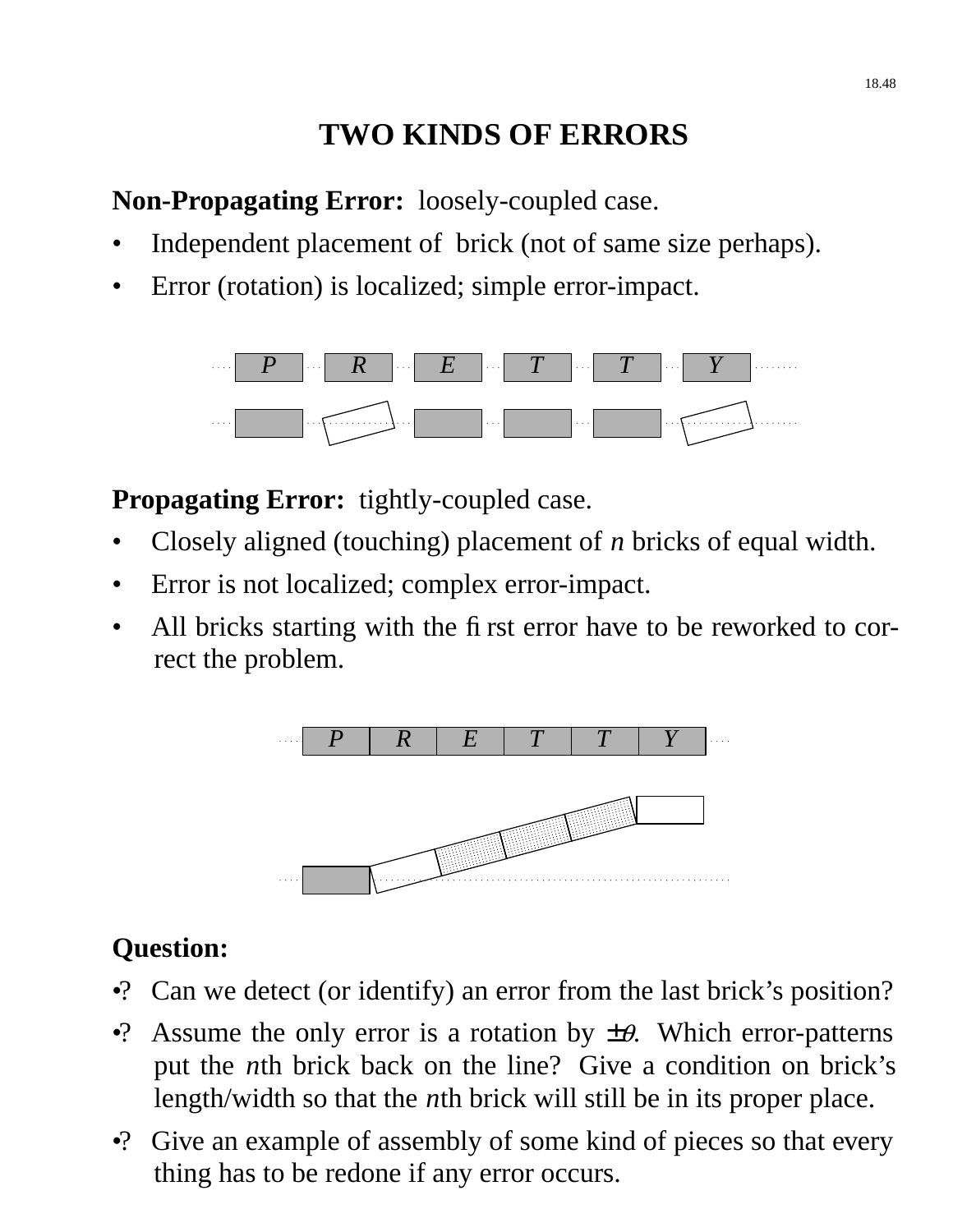# **TWO KINDS OF ERRORS**

**Non-Propagating Error:** loosely-coupled case.

- Independent placement of brick (not of same size perhaps).
- Error (rotation) is localized; simple error-impact.



**Propagating Error:** tightly-coupled case.

- Closely aligned (touching) placement of *n* bricks of equal width.
- Error is not localized; complex error-impact.
- All bricks starting with the first error have to be reworked to correct the problem.



- •? Can we detect (or identify) an error from the last brick's position?
- •? Assume the only error is a rotation by  $\pm \theta$ . Which error-patterns put the *n*th brick back on the line? Give a condition on brick's length/width so that the *n*th brick will still be in its proper place.
- •? Give an example of assembly of some kind of pieces so that every thing has to be redone if any error occurs.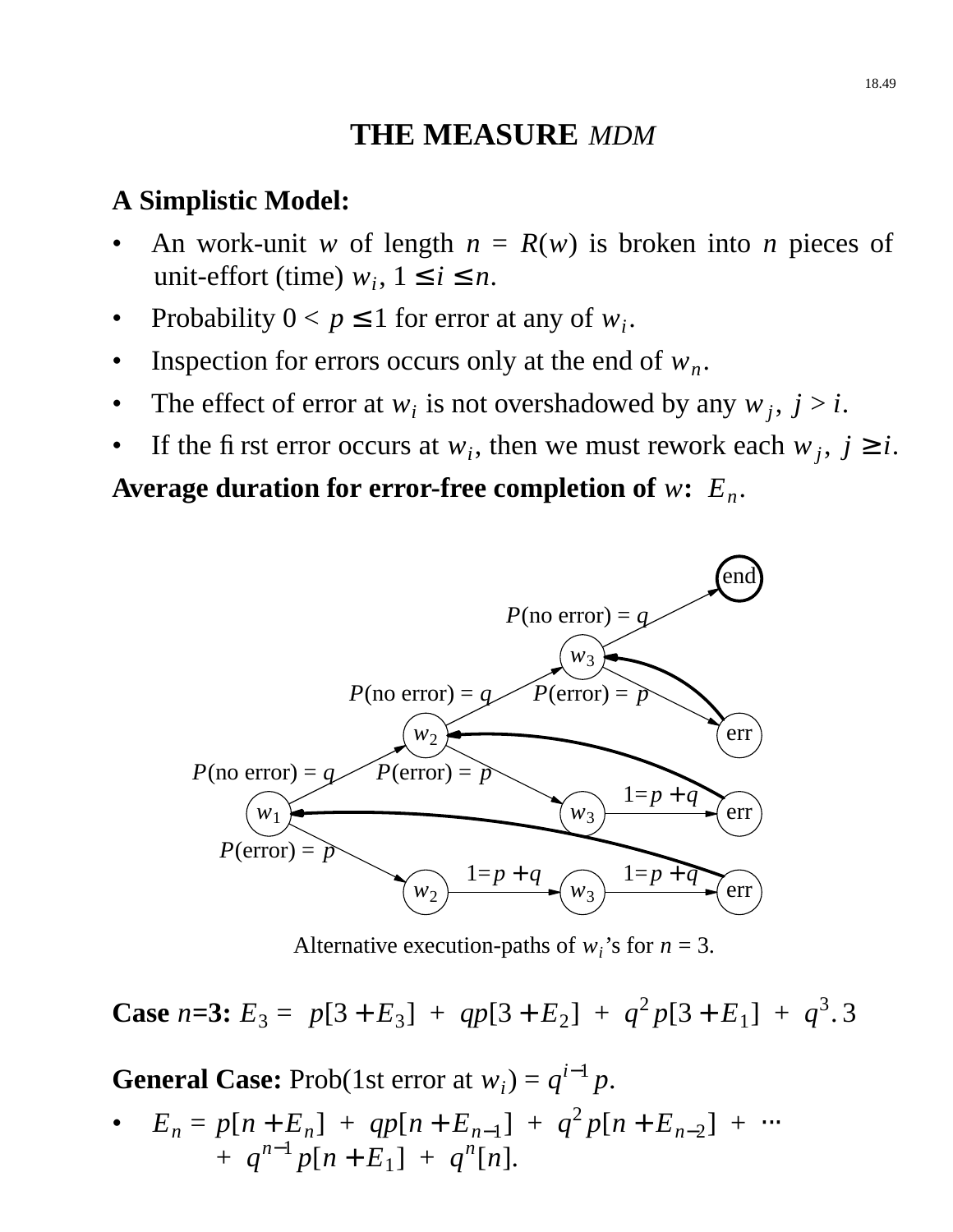### **THE MEASURE** *MDM*

#### **A Simplistic Model:**

- An work-unit *w* of length  $n = R(w)$  is broken into *n* pieces of unit-effort (time)  $w_i$ ,  $1 \le i \le n$ .
- Probability  $0 < p \le 1$  for error at any of  $w_i$ .
- Inspection for errors occurs only at the end of  $w_n$ .
- The effect of error at  $w_i$  is not overshadowed by any  $w_j$ ,  $j > i$ .
- If the first error occurs at  $w_i$ , then we must rework each  $w_j$ ,  $j \ge i$ .

### Average duration for error-free completion of  $w$ :  $E_n$ .



Alternative execution-paths of  $w_i$ 's for  $n = 3$ .

**Case**  $n=3$ :  $E_3 = p[3 + E_3] + qp[3 + E_2] + q^2p[3 + E_1] + q^3.3$ 

**General Case:** Prob(1st error at  $w_i$ ) =  $q^{i-1}p$ .

• 
$$
E_n = p[n+E_n] + qp[n+E_{n-1}] + q^2p[n+E_{n-2}] + \cdots
$$
  
+  $q^{n-1}p[n+E_1] + q^n[n]$ .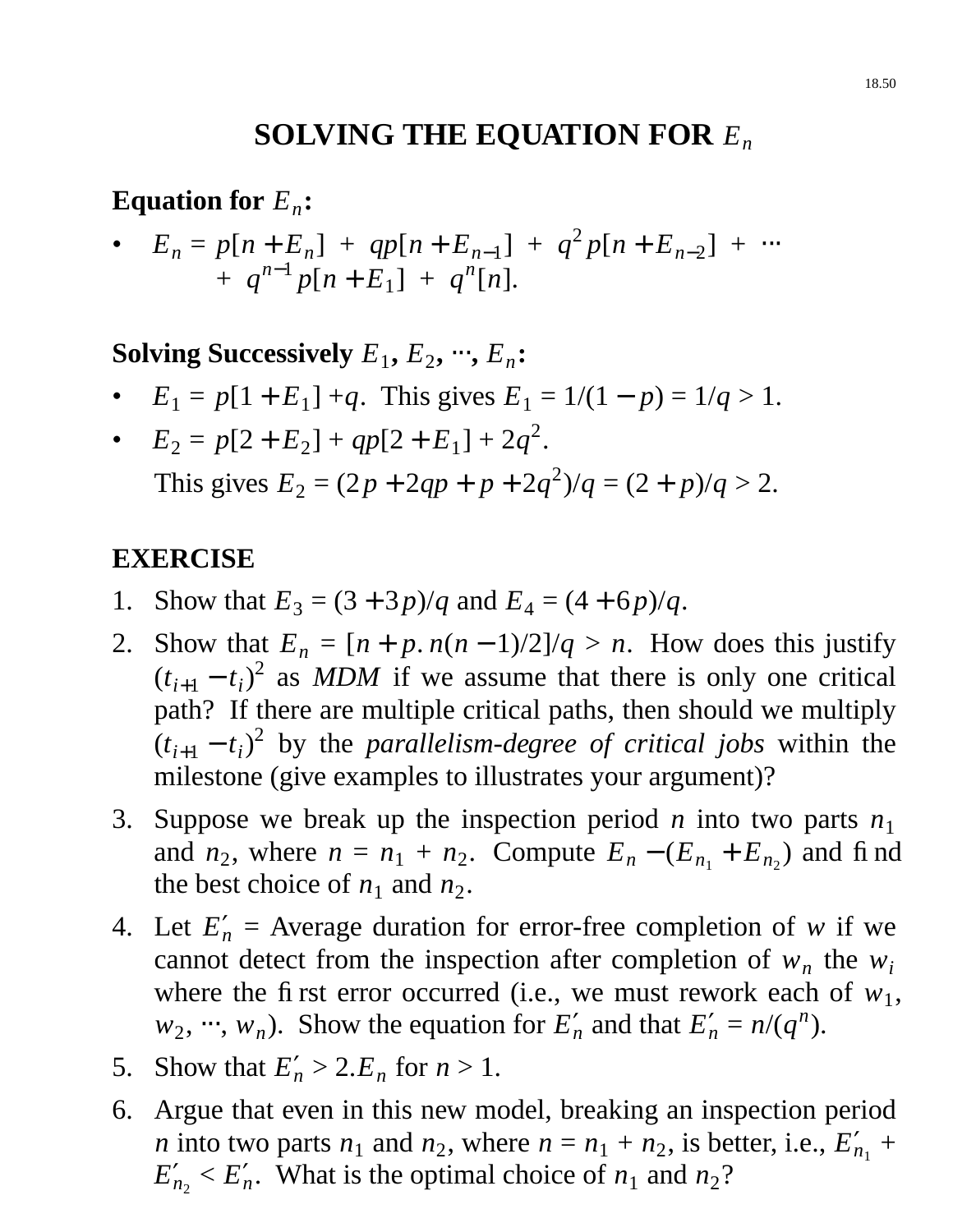### **SOLVING THE EQUATION FOR** *E<sup>n</sup>*

### **Equation for** *E<sup>n</sup>* **:**

• 
$$
E_n = p[n+E_n] + qp[n+E_{n-1}] + q^2p[n+E_{n-2}] + \cdots
$$
  
+  $q^{n-1}p[n+E_1] + q^n[n]$ .

Solving Successively  $E_1, E_2, ..., E_n$ :

• 
$$
E_1 = p[1 + E_1] + q
$$
. This gives  $E_1 = 1/(1 - p) = 1/q > 1$ .

• 
$$
E_2 = p[2 + E_2] + qp[2 + E_1] + 2q^2
$$
.  
This gives  $E_2 = (2p + 2qp + p + 2q^2)/q = (2 + p)/q > 2$ .

#### **EXERCISE**

- 1. Show that  $E_3 = (3 + 3p)/q$  and  $E_4 = (4 + 6p)/q$ .
- 2. Show that  $E_n = \frac{n + p}{n(n-1)/2}$  /*q* > *n*. How does this justify  $(t_{i+1} - t_i)^2$  as *MDM* if we assume that there is only one critical path? If there are multiple critical paths, then should we multiply  $(t_{i+1} - t_i)^2$  by the *parallelism-degree of critical jobs* within the milestone (give examples to illustrates your argument)?
- 3. Suppose we break up the inspection period *n* into two parts  $n_1$ and  $n_2$ , where  $n = n_1 + n_2$ . Compute  $E_n - (E_{n_1} + E_{n_2})$  and find the best choice of  $n_1$  and  $n_2$ .
- 4. Let  $E'_n$  = Average duration for error-free completion of *w* if we cannot detect from the inspection after completion of  $w_n$  the  $w_i$ where the first error occurred (i.e., we must rework each of  $w_1$ ,  $w_2, \dots, w_n$ ). Show the equation for  $E'_n$  and that  $E'_n = n/(q^n)$ .
- 5. Show that  $E'_n > 2.E_n$  for  $n > 1$ .
- 6. Argue that even in this new model, breaking an inspection period *n* into two parts  $n_1$  and  $n_2$ , where  $n = n_1 + n_2$ , is better, i.e.,  $E'_{n_1}$  +  $E'_{n_2}$  <  $E'_n$ . What is the optimal choice of  $n_1$  and  $n_2$ ?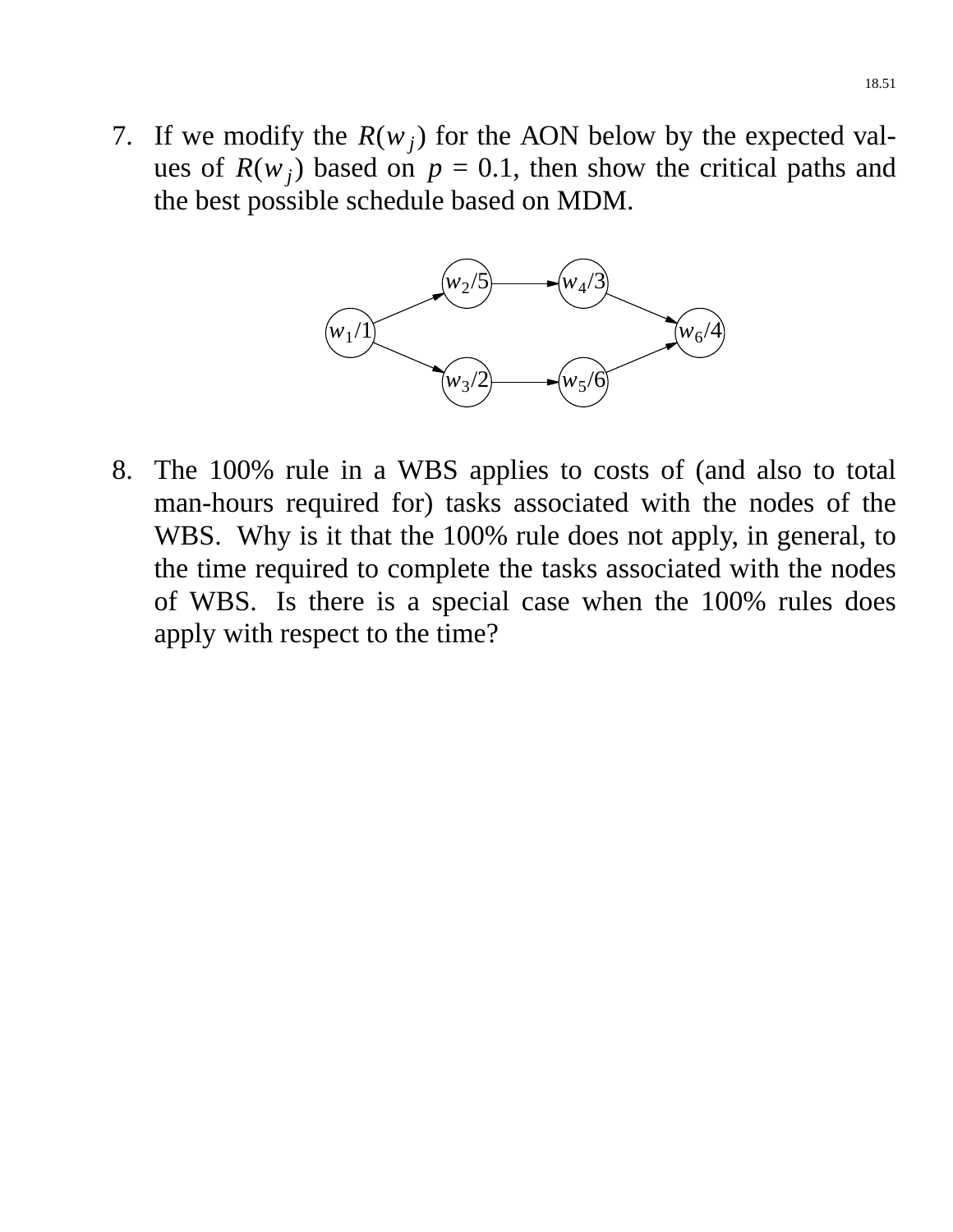7. If we modify the  $R(w_j)$  for the AON below by the expected values of  $R(w_j)$  based on  $p = 0.1$ , then show the critical paths and the best possible schedule based on MDM.



8. The 100% rule in a WBS applies to costs of (and also to total man-hours required for) tasks associated with the nodes of the WBS. Why is it that the 100% rule does not apply, in general, to the time required to complete the tasks associated with the nodes of WBS. Is there is a special case when the 100% rules does apply with respect to the time?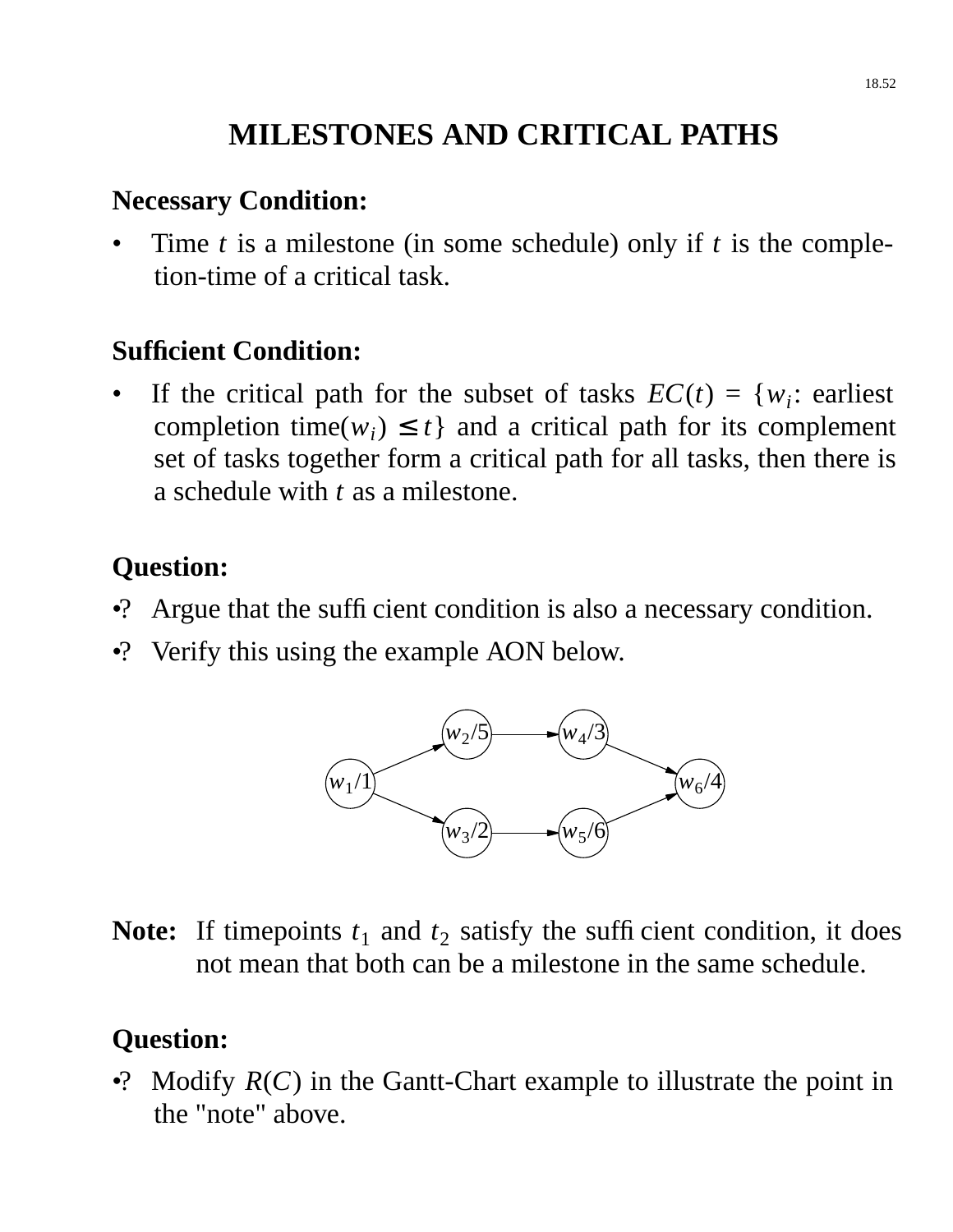# **MILESTONES AND CRITICAL PATHS**

#### **Necessary Condition:**

• Time *t* is a milestone (in some schedule) only if *t* is the completion-time of a critical task.

#### **Sufficient Condition:**

• If the critical path for the subset of tasks  $EC(t) = \{w_i:$  earliest completion time( $w_i$ )  $\leq t$ } and a critical path for its complement set of tasks together form a critical path for all tasks, then there is a schedule with *t* as a milestone.

### **Question:**

- •? Argue that the sufficient condition is also a necessary condition.
- •? Verify this using the example AON below.



**Note:** If timepoints  $t_1$  and  $t_2$  satisfy the sufficient condition, it does not mean that both can be a milestone in the same schedule.

### **Question:**

•? Modify *R*(*C*) in the Gantt-Chart example to illustrate the point in the "note" above.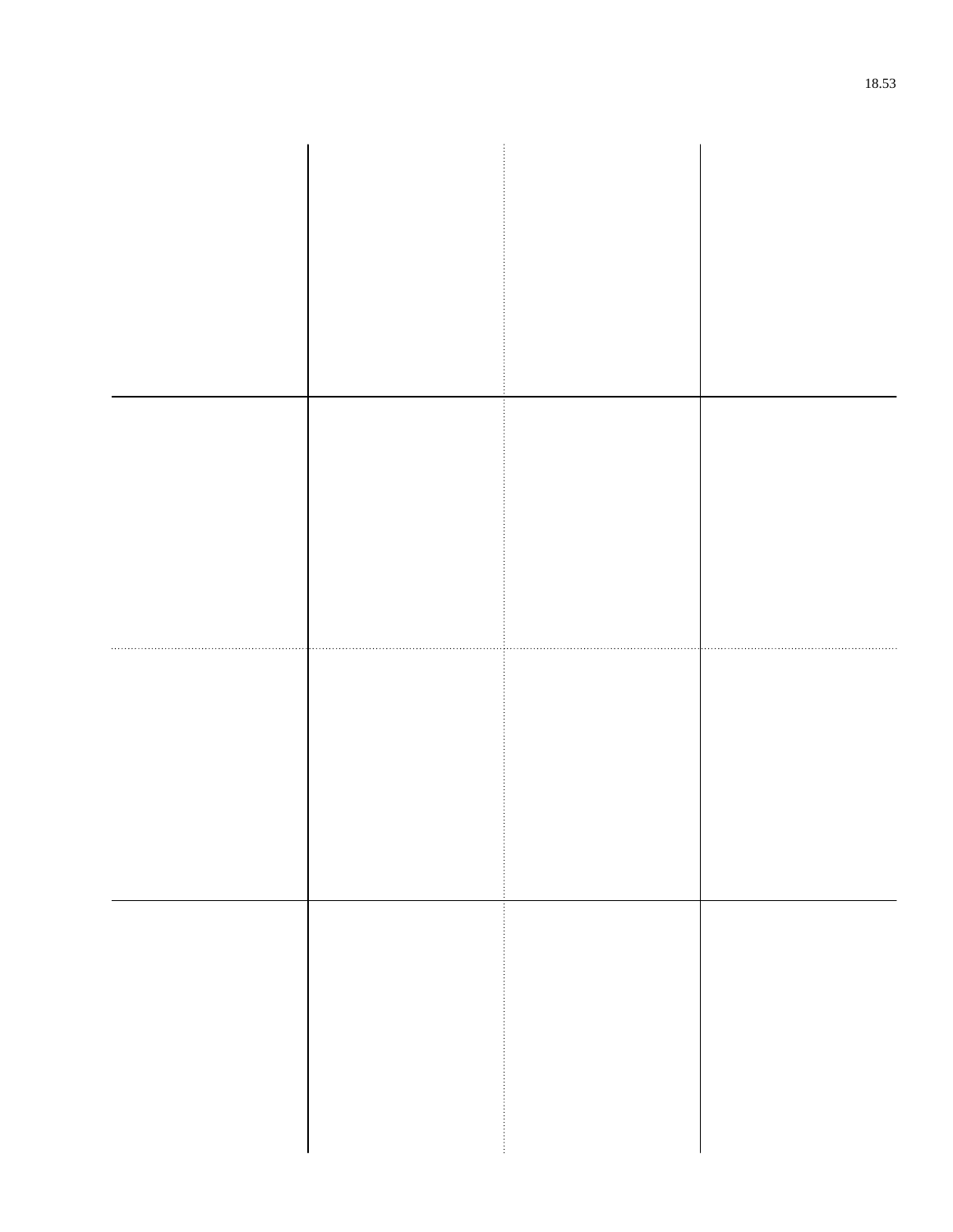|  | ÷  |  |
|--|----|--|
|  |    |  |
|  |    |  |
|  |    |  |
|  |    |  |
|  | ÷  |  |
|  |    |  |
|  |    |  |
|  | ŧ, |  |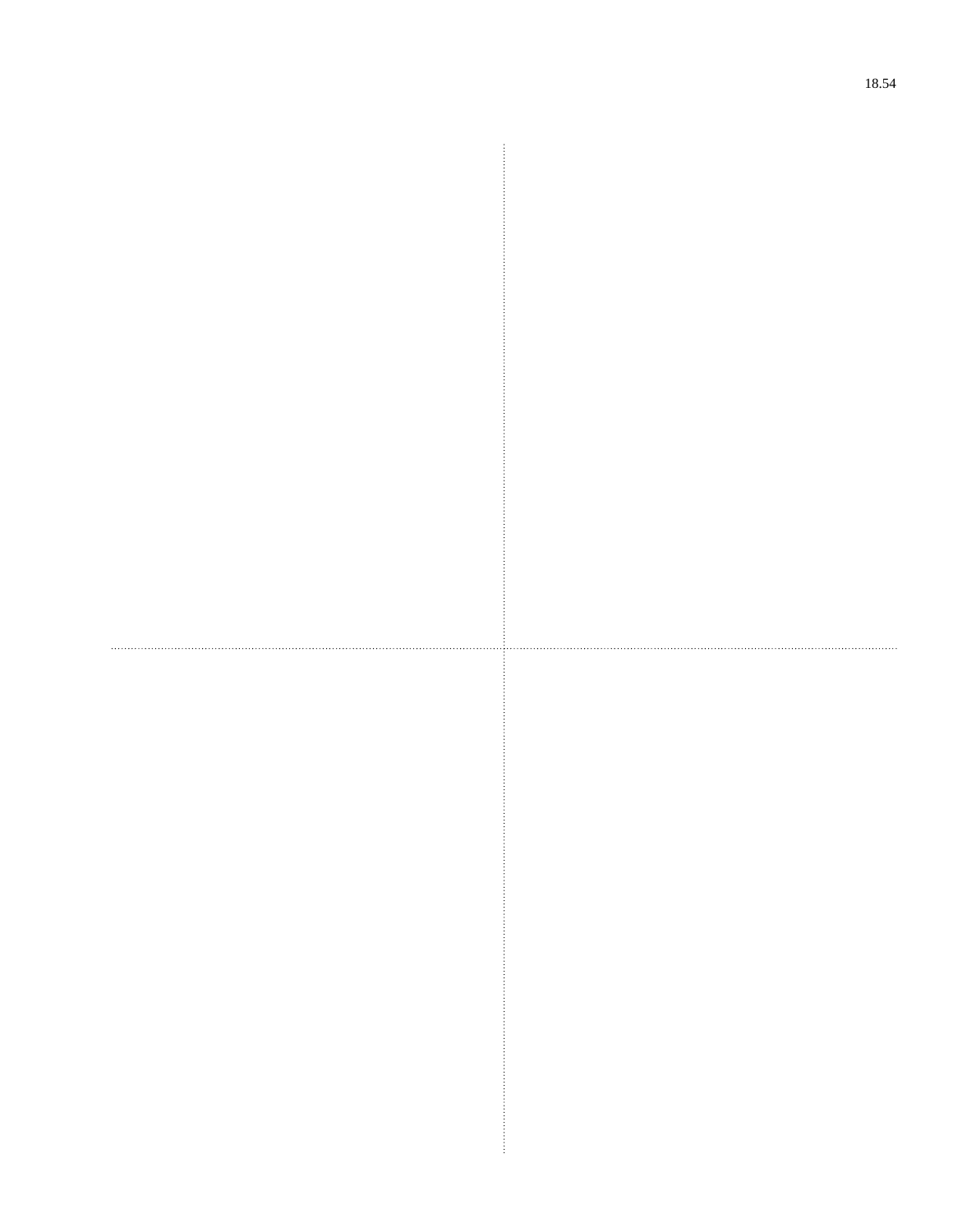18.54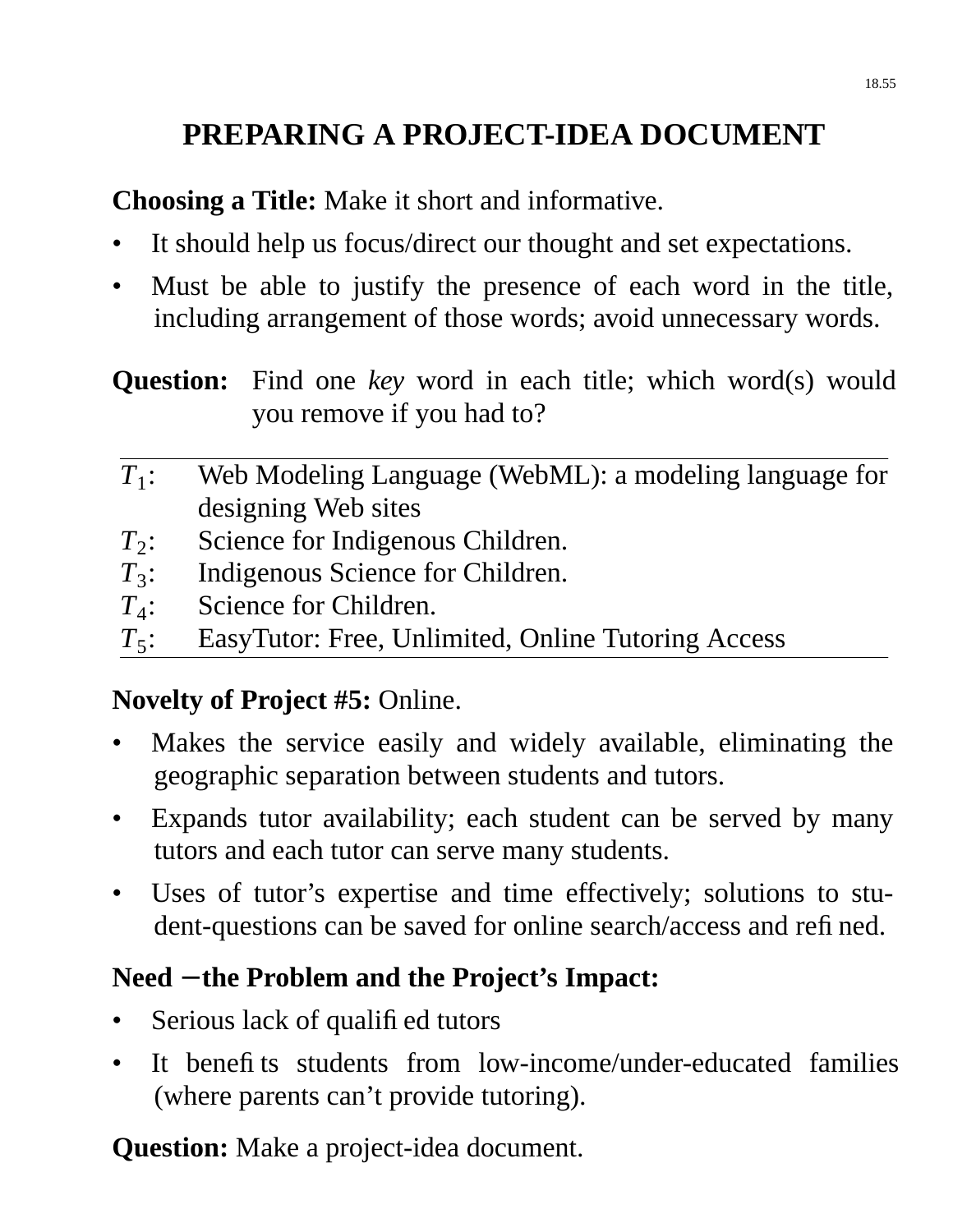# **PREPARING A PROJECT-IDEA DOCUMENT**

**Choosing a Title:** Make it short and informative.

- It should help us focus/direct our thought and set expectations.
- Must be able to justify the presence of each word in the title, including arrangement of those words; avoid unnecessary words.

**Question:** Find one *key* word in each title; which word(s) would you remove if you had to?

- $T_1$ : Web Modeling Language (WebML): a modeling language for designing Web sites
- $T_2$ : Science for Indigenous Children.
- $T_3$ : : Indigenous Science for Children.
- $T_{4}$ : Science for Children.
- $T_5$ : : EasyTutor: Free, Unlimited, Online Tutoring Access

### **Novelty of Project #5:** Online.

- Makes the service easily and widely available, eliminating the geographic separation between students and tutors.
- Expands tutor availability; each student can be served by many tutors and each tutor can serve many students.
- Uses of tutor's expertise and time effectively; solutions to student-questions can be saved for online search/access and refined.

### **Need** − **the Problem and the Project's Impact:**

- Serious lack of qualified tutors
- It benefits students from low-income/under-educated families (where parents can't provide tutoring).

**Question:** Make a project-idea document.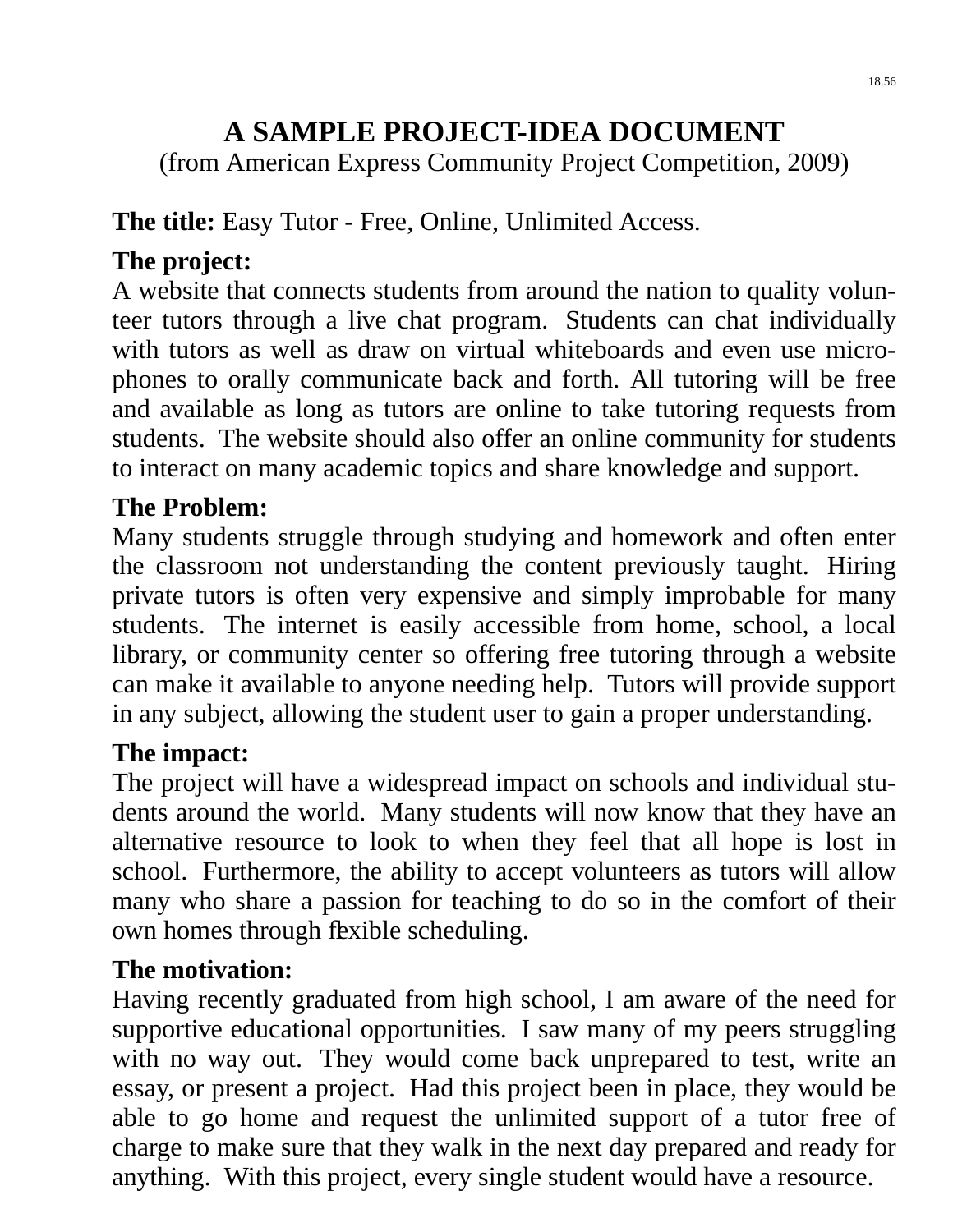# **A SAMPLE PROJECT-IDEA DOCUMENT**

(from American Express Community Project Competition, 2009)

**The title:** Easy Tutor - Free, Online, Unlimited Access.

### **The project:**

A website that connects students from around the nation to quality volunteer tutors through a live chat program. Students can chat individually with tutors as well as draw on virtual whiteboards and even use microphones to orally communicate back and forth. All tutoring will be free and available as long as tutors are online to take tutoring requests from students. The website should also offer an online community for students to interact on many academic topics and share knowledge and support.

#### **The Problem:**

Many students struggle through studying and homework and often enter the classroom not understanding the content previously taught. Hiring private tutors is often very expensive and simply improbable for many students. The internet is easily accessible from home, school, a local library, or community center so offering free tutoring through a website can make it available to anyone needing help. Tutors will provide support in any subject, allowing the student user to gain a proper understanding.

#### **The impact:**

The project will have a widespread impact on schools and individual students around the world. Many students will now know that they have an alternative resource to look to when they feel that all hope is lost in school. Furthermore, the ability to accept volunteers as tutors will allow many who share a passion for teaching to do so in the comfort of their own homes through flexible scheduling.

#### **The motivation:**

Having recently graduated from high school, I am aware of the need for supportive educational opportunities. I saw many of my peers struggling with no way out. They would come back unprepared to test, write an essay, or present a project. Had this project been in place, they would be able to go home and request the unlimited support of a tutor free of charge to make sure that they walk in the next day prepared and ready for anything. With this project, every single student would have a resource.